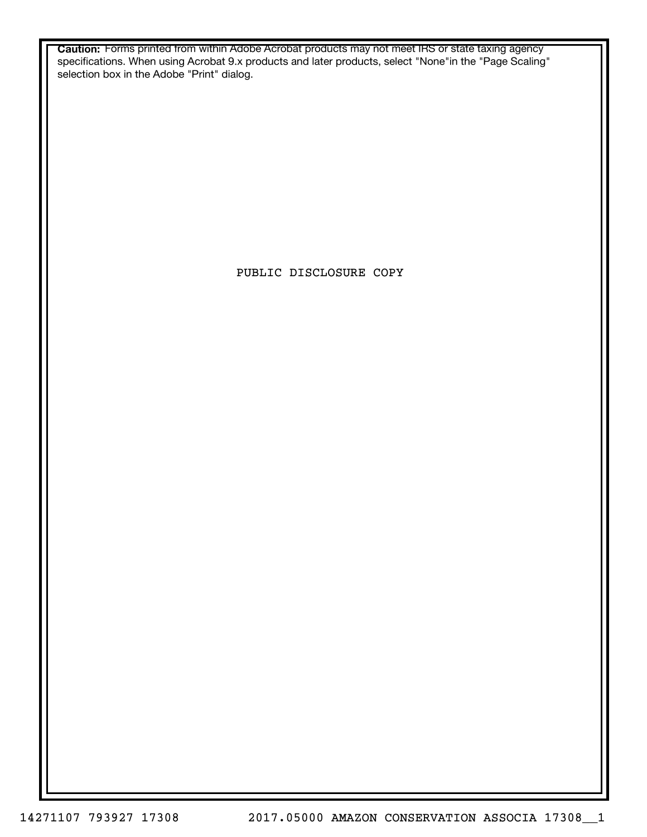**Caution:** Forms printed from within Adobe Acrobat products may not meet IRS or state taxing agency specifications. When using Acrobat 9.x products and later products, select "None"in the "Page Scaling" selection box in the Adobe "Print" dialog.

PUBLIC DISCLOSURE COPY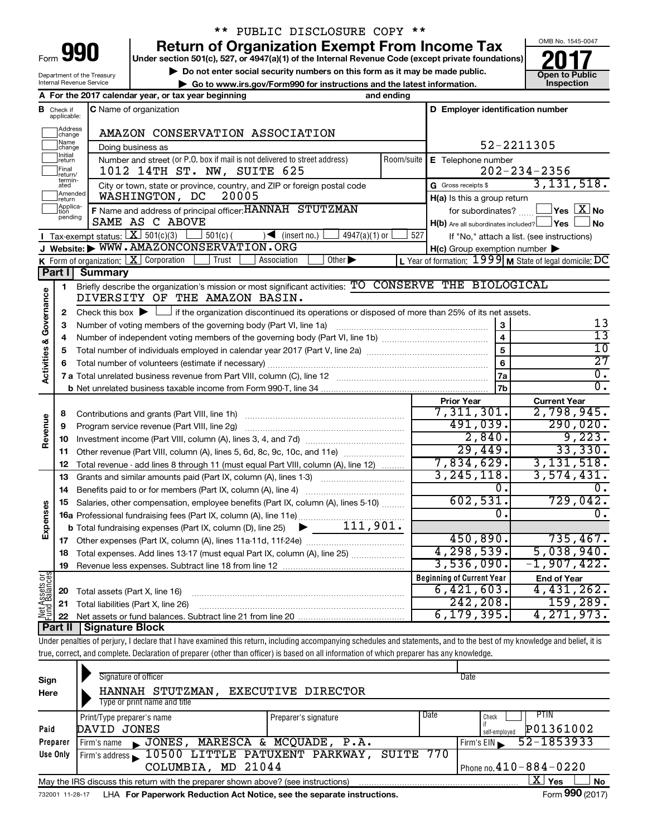Department of the Treasury

## \*\* PUBLIC DISCLOSURE COPY \*\*

**Under section 501(c), 527, or 4947(a)(1) of the Internal Revenue Code (except private foundations) 990 Return of Organization Exempt From Income Tax 1990 2017 Divide the section 501(c)**, 527, or 4947(a)(1) of the Internal Revenue Code (except private foundations) **2017** 

▶ Do not enter social security numbers on this form as it may be made public.<br>● Go to www.irs.gov/Form990 for instructions and the latest information. **Department in the latest** information. **| Go to www.irs.gov/Form990 for instructions and the latest information. Inspection**



|                                                                   |                               | Internal Revenue Service                                   | $\triangleright$ Go to www.irs.gov/Form990 for instructions and the latest information.                                                   |                                          |                                                           | Inspection                                                         |
|-------------------------------------------------------------------|-------------------------------|------------------------------------------------------------|-------------------------------------------------------------------------------------------------------------------------------------------|------------------------------------------|-----------------------------------------------------------|--------------------------------------------------------------------|
| A For the 2017 calendar year, or tax year beginning<br>and ending |                               |                                                            |                                                                                                                                           |                                          |                                                           |                                                                    |
|                                                                   | <b>B</b> Check if applicable: | C Name of organization<br>D Employer identification number |                                                                                                                                           |                                          |                                                           |                                                                    |
|                                                                   | Address<br> change            |                                                            | AMAZON CONSERVATION ASSOCIATION                                                                                                           |                                          |                                                           |                                                                    |
|                                                                   | ]Name<br>]change              |                                                            | Doing business as                                                                                                                         |                                          | 52-2211305                                                |                                                                    |
|                                                                   | Initial<br>return             |                                                            | Number and street (or P.O. box if mail is not delivered to street address)                                                                | Room/suite $\mathsf{E}$ Telephone number |                                                           |                                                                    |
|                                                                   | Final<br> return/             |                                                            | 1012 14TH ST. NW, SUITE 625                                                                                                               |                                          |                                                           | $202 - 234 - 2356$                                                 |
|                                                                   | termin-<br>ated               |                                                            | City or town, state or province, country, and ZIP or foreign postal code                                                                  |                                          | G Gross receipts \$                                       | 3, 131, 518.                                                       |
|                                                                   | Amended<br>Ireturn            |                                                            | WASHINGTON, DC<br>20005                                                                                                                   |                                          | H(a) Is this a group return                               |                                                                    |
|                                                                   | Applica-<br>Ition<br>pending  |                                                            | F Name and address of principal officer: HANNAH STUTZMAN                                                                                  |                                          | for subordinates?                                         | $\sqrt{\mathsf{Yes}\mathord{\;\mathbb{X}}\mathord{\;\mathsf{No}}}$ |
|                                                                   |                               |                                                            | SAME AS C ABOVE                                                                                                                           |                                          | $H(b)$ Are all subordinates included? $\Box$ Yes          | l No                                                               |
|                                                                   |                               |                                                            | <b>I</b> Tax-exempt status: $X \overline{3}$ 501(c)(3)<br>$501(c)$ (<br>$\sqrt{\frac{1}{1}}$ (insert no.)                                 | $4947(a)(1)$ or<br>527                   |                                                           | If "No," attach a list. (see instructions)                         |
|                                                                   |                               |                                                            | J Website: WWW.AMAZONCONSERVATION.ORG                                                                                                     |                                          | $H(c)$ Group exemption number $\blacktriangleright$       |                                                                    |
|                                                                   | Part I                        |                                                            | <b>K</b> Form of organization: $\boxed{\textbf{X}}$ Corporation<br>Other $\blacktriangleright$<br>Trust<br>Association                    |                                          | L Year of formation: $1999$ M State of legal domicile: DC |                                                                    |
|                                                                   |                               | <b>Summary</b>                                             | Briefly describe the organization's mission or most significant activities: TO CONSERVE THE BIOLOGICAL                                    |                                          |                                                           |                                                                    |
|                                                                   | 1                             |                                                            | DIVERSITY OF THE AMAZON BASIN.                                                                                                            |                                          |                                                           |                                                                    |
| Governance                                                        |                               |                                                            | Check this box $\blacktriangleright \Box$ if the organization discontinued its operations or disposed of more than 25% of its net assets. |                                          |                                                           |                                                                    |
|                                                                   | 2                             |                                                            |                                                                                                                                           |                                          | 3                                                         | 13                                                                 |
|                                                                   | 4                             | з                                                          |                                                                                                                                           |                                          |                                                           | $\overline{13}$                                                    |
|                                                                   | 5                             |                                                            |                                                                                                                                           |                                          | $\overline{4}$<br>5                                       | 10                                                                 |
|                                                                   |                               | $6\phantom{1}6$<br>6                                       |                                                                                                                                           |                                          |                                                           | $\overline{27}$                                                    |
| <b>Activities &amp;</b>                                           |                               |                                                            |                                                                                                                                           |                                          | 7a                                                        | $\overline{0}$ .                                                   |
|                                                                   |                               |                                                            |                                                                                                                                           |                                          | 7b                                                        | $\overline{0}$ .                                                   |
|                                                                   |                               |                                                            |                                                                                                                                           |                                          | <b>Prior Year</b>                                         | <b>Current Year</b>                                                |
|                                                                   | 8                             |                                                            |                                                                                                                                           |                                          | 7,311,301.                                                | 2,798,945.                                                         |
| Revenue                                                           | 9                             |                                                            | Program service revenue (Part VIII, line 2g)                                                                                              |                                          | 491,039.                                                  | 290,020.                                                           |
|                                                                   | 10                            |                                                            |                                                                                                                                           |                                          | 2,840.                                                    | 9,223.                                                             |
|                                                                   | 11                            |                                                            | Other revenue (Part VIII, column (A), lines 5, 6d, 8c, 9c, 10c, and 11e)                                                                  |                                          | 29,449.                                                   | 33,330.                                                            |
|                                                                   | 12                            |                                                            | Total revenue - add lines 8 through 11 (must equal Part VIII, column (A), line 12)                                                        |                                          | 7,834,629.                                                | 3,131,518.                                                         |
|                                                                   | 13                            |                                                            | Grants and similar amounts paid (Part IX, column (A), lines 1-3)                                                                          |                                          | 3, 245, 118.                                              | 3,574,431.                                                         |
|                                                                   | 14                            |                                                            |                                                                                                                                           |                                          | 0.                                                        | 0.                                                                 |
|                                                                   | 15                            |                                                            | Salaries, other compensation, employee benefits (Part IX, column (A), lines 5-10)                                                         |                                          | 602,531.                                                  | 729,042.                                                           |
| Expenses                                                          |                               |                                                            | 16a Professional fundraising fees (Part IX, column (A), line 11e)                                                                         |                                          | 0.                                                        | $\overline{0}$ .                                                   |
|                                                                   |                               |                                                            | <b>b</b> Total fundraising expenses (Part IX, column (D), line 25) $\blacktriangleright$ 111, 901.                                        |                                          |                                                           |                                                                    |
|                                                                   |                               |                                                            |                                                                                                                                           |                                          | 450,890.                                                  | 735,467.                                                           |
|                                                                   |                               |                                                            | 18 Total expenses. Add lines 13-17 (must equal Part IX, column (A), line 25)                                                              |                                          | 4, 298, 539.                                              | 5,038,940.                                                         |
|                                                                   | 19                            |                                                            |                                                                                                                                           |                                          | 3,536,090.                                                | $-1,907,422.$                                                      |
| Net Assets or<br>Fund Balances                                    |                               |                                                            |                                                                                                                                           |                                          | <b>Beginning of Current Year</b>                          | <b>End of Year</b>                                                 |
|                                                                   | 20                            |                                                            | Total assets (Part X, line 16)                                                                                                            |                                          | 6,421,603.                                                | 4,431,262.                                                         |
|                                                                   | 21                            |                                                            | Total liabilities (Part X, line 26)                                                                                                       |                                          | 242, 208.                                                 | 159, 289.                                                          |
|                                                                   | 22                            |                                                            |                                                                                                                                           |                                          | 6, 179, 395.                                              | 4, 271, 973.                                                       |
|                                                                   | Part II                       | <b>Signature Block</b>                                     |                                                                                                                                           |                                          |                                                           |                                                                    |

Under penalties of perjury, I declare that I have examined this return, including accompanying schedules and statements, and to the best of my knowledge and belief, it is true, correct, and complete. Declaration of preparer (other than officer) is based on all information of which preparer has any knowledge.

| Sign<br>Here                                       | Signature of officer<br>HANNAH STUTZMAN,<br>Type or print name and title                                     | EXECUTIVE DIRECTOR   |      | Date                                        |  |  |
|----------------------------------------------------|--------------------------------------------------------------------------------------------------------------|----------------------|------|---------------------------------------------|--|--|
| Paid                                               | Print/Type preparer's name<br>DAVID JONES                                                                    | Preparer's signature | Date | PTIN<br>Check<br>P01361002<br>self-emploved |  |  |
| Preparer                                           | JONES, MARESCA & MCQUADE, P.A.<br>Firm's name<br>$\mathbf{r}$                                                |                      |      | 52-1853933<br>Firm's EIN                    |  |  |
| Use Only                                           | Firm's address 10500 LITTLE PATUXENT PARKWAY,                                                                | SUITE                | 770  |                                             |  |  |
| Phone no. $410 - 884 - 0220$<br>COLUMBIA, MD 21044 |                                                                                                              |                      |      |                                             |  |  |
|                                                    | x.<br>Yes<br><b>No</b><br>May the IRS discuss this return with the preparer shown above? (see instructions)  |                      |      |                                             |  |  |
|                                                    | Form 990 (2017)<br>LHA For Paperwork Reduction Act Notice, see the separate instructions.<br>732001 11-28-17 |                      |      |                                             |  |  |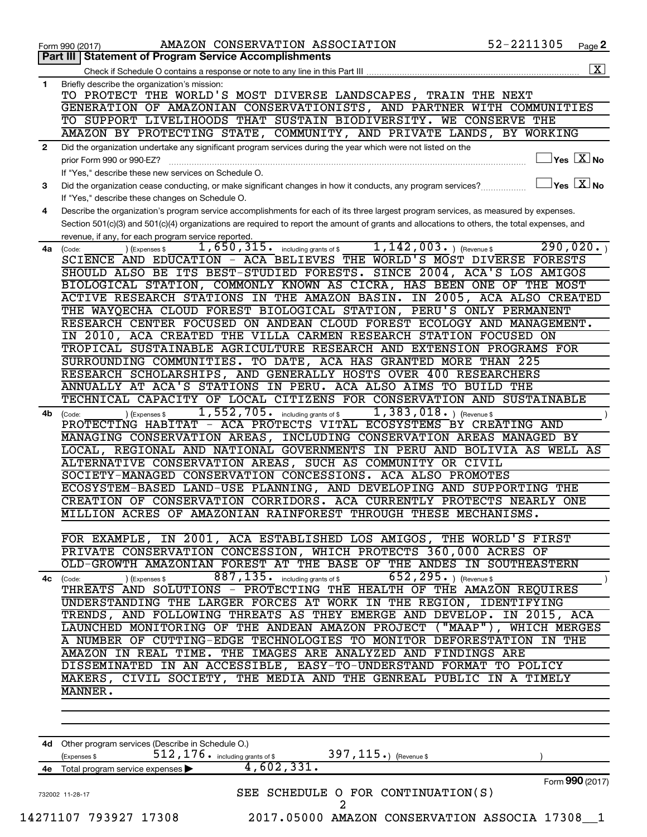|              | AMAZON CONSERVATION ASSOCIATION<br>Form 990 (2017)                                                                                                                     | 52-2211305                   | Page 2                      |
|--------------|------------------------------------------------------------------------------------------------------------------------------------------------------------------------|------------------------------|-----------------------------|
|              | <b>Part III   Statement of Program Service Accomplishments</b>                                                                                                         |                              |                             |
|              |                                                                                                                                                                        |                              | X                           |
| 1            | Briefly describe the organization's mission:<br>TO PROTECT THE WORLD'S MOST DIVERSE LANDSCAPES, TRAIN                                                                  | THE NEXT                     |                             |
|              | GENERATION OF AMAZONIAN CONSERVATIONISTS, AND PARTNER WITH COMMUNITIES                                                                                                 |                              |                             |
|              | TO SUPPORT LIVELIHOODS THAT SUSTAIN BIODIVERSITY. WE CONSERVE THE                                                                                                      |                              |                             |
|              | AMAZON BY PROTECTING STATE, COMMUNITY, AND PRIVATE LANDS, BY WORKING                                                                                                   |                              |                             |
| $\mathbf{2}$ | Did the organization undertake any significant program services during the year which were not listed on the                                                           |                              |                             |
|              | prior Form 990 or 990-EZ?                                                                                                                                              |                              | $\sqrt{}$ Yes $\sqrt{X}$ No |
|              | If "Yes," describe these new services on Schedule O.                                                                                                                   |                              |                             |
| 3            | Did the organization cease conducting, or make significant changes in how it conducts, any program services?                                                           |                              | $Yes$ $X$ No                |
|              | If "Yes," describe these changes on Schedule O.                                                                                                                        |                              |                             |
| 4            | Describe the organization's program service accomplishments for each of its three largest program services, as measured by expenses.                                   |                              |                             |
|              | Section 501(c)(3) and 501(c)(4) organizations are required to report the amount of grants and allocations to others, the total expenses, and                           |                              |                             |
|              | revenue, if any, for each program service reported.                                                                                                                    |                              |                             |
| 4a           | 1,650,315.<br>$1,142,003.$ (Revenue \$<br>(Expenses \$<br>including grants of \$<br>(Code:<br>ACA BELIEVES THE WORLD'S MOST DIVERSE FORESTS<br>SCIENCE AND EDUCATION - |                              | 290,020.                    |
|              | SHOULD ALSO BE ITS BEST-STUDIED FORESTS.                                                                                                                               | SINCE 2004, ACA'S LOS AMIGOS |                             |
|              | BIOLOGICAL STATION, COMMONLY KNOWN AS CICRA, HAS BEEN ONE OF THE MOST                                                                                                  |                              |                             |
|              | ACTIVE RESEARCH STATIONS IN THE AMAZON BASIN.                                                                                                                          | IN 2005, ACA ALSO CREATED    |                             |
|              | THE WAYQECHA CLOUD FOREST BIOLOGICAL STATION, PERU'S ONLY PERMANENT                                                                                                    |                              |                             |
|              | RESEARCH CENTER FOCUSED ON ANDEAN CLOUD FOREST ECOLOGY AND MANAGEMENT.                                                                                                 |                              |                             |
|              | VILLA CARMEN RESEARCH STATION FOCUSED ON<br>2010, ACA CREATED THE<br>ΙN                                                                                                |                              |                             |
|              | TROPICAL SUSTAINABLE AGRICULTURE RESEARCH AND EXTENSION PROGRAMS FOR                                                                                                   |                              |                             |
|              | SURROUNDING COMMUNITIES.<br>TO DATE, ACA HAS GRANTED MORE THAN 225                                                                                                     |                              |                             |
|              | RESEARCH SCHOLARSHIPS, AND GENERALLY HOSTS OVER 400 RESEARCHERS                                                                                                        |                              |                             |
|              | ANNUALLY AT ACA'S STATIONS<br>IN PERU. ACA ALSO AIMS TO BUILD                                                                                                          | THE                          |                             |
|              | TECHNICAL CAPACITY OF LOCAL CITIZENS FOR CONSERVATION AND SUSTAINABLE                                                                                                  |                              |                             |
| 4b           | 1,552,705.<br>$1,383,018.$ (Revenue \$)<br>including grants of \$<br>(Expenses \$<br>(Code:                                                                            |                              |                             |
|              | ACA PROTECTS VITAL ECOSYSTEMS<br>PROTECTING HABITAT<br>$\overline{\phantom{0}}$                                                                                        | BY CREATING AND              |                             |
|              | MANAGING CONSERVATION AREAS,<br>INCLUDING CONSERVATION AREAS MANAGED BY                                                                                                |                              |                             |
|              | LOCAL, REGIONAL AND NATIONAL GOVERNMENTS IN PERU AND BOLIVIA AS WELL AS                                                                                                |                              |                             |
|              | ALTERNATIVE CONSERVATION AREAS, SUCH AS COMMUNITY OR CIVIL<br>SOCIETY-MANAGED CONSERVATION CONCESSIONS. ACA ALSO PROMOTES                                              |                              |                             |
|              | ECOSYSTEM-BASED LAND-USE PLANNING, AND DEVELOPING AND SUPPORTING THE                                                                                                   |                              |                             |
|              | CREATION OF CONSERVATION CORRIDORS. ACA CURRENTLY PROTECTS NEARLY ONE                                                                                                  |                              |                             |
|              | MILLION ACRES OF AMAZONIAN RAINFOREST THROUGH THESE MECHANISMS.                                                                                                        |                              |                             |
|              |                                                                                                                                                                        |                              |                             |
|              | FOR EXAMPLE, IN 2001, ACA ESTABLISHED LOS AMIGOS, THE WORLD'S FIRST                                                                                                    |                              |                             |
|              | PRIVATE CONSERVATION CONCESSION, WHICH PROTECTS 360,000 ACRES OF                                                                                                       |                              |                             |
|              | OLD-GROWTH AMAZONIAN FOREST AT THE BASE OF THE ANDES IN SOUTHEASTERN                                                                                                   |                              |                             |
|              | 887, 135. including grants of \$ _______<br>652, 295. ) (Revenue \$<br>) (Expenses \$<br>4c (Code:                                                                     |                              |                             |
|              | THREATS AND SOLUTIONS - PROTECTING THE HEALTH OF THE AMAZON REQUIRES                                                                                                   |                              |                             |
|              | UNDERSTANDING THE LARGER FORCES AT WORK IN THE REGION, IDENTIFYING                                                                                                     |                              |                             |
|              | TRENDS, AND FOLLOWING THREATS AS THEY EMERGE AND DEVELOP. IN 2015, ACA                                                                                                 |                              |                             |
|              | LAUNCHED MONITORING OF THE ANDEAN AMAZON PROJECT ("MAAP"), WHICH MERGES                                                                                                |                              |                             |
|              | A NUMBER OF CUTTING-EDGE TECHNOLOGIES TO MONITOR DEFORESTATION IN THE                                                                                                  |                              |                             |
|              | AMAZON IN REAL TIME. THE IMAGES ARE ANALYZED AND FINDINGS ARE<br>DISSEMINATED IN AN ACCESSIBLE, EASY-TO-UNDERSTAND FORMAT TO POLICY                                    |                              |                             |
|              | MAKERS, CIVIL SOCIETY, THE MEDIA AND THE GENREAL PUBLIC IN A TIMELY                                                                                                    |                              |                             |
|              | MANNER.                                                                                                                                                                |                              |                             |
|              |                                                                                                                                                                        |                              |                             |
|              |                                                                                                                                                                        |                              |                             |
|              |                                                                                                                                                                        |                              |                             |
|              | 4d Other program services (Describe in Schedule O.)                                                                                                                    |                              |                             |
|              | $512$ , $176$ $\cdot$ including grants of \$<br>397, $115.$ ) (Revenue \$<br>(Expenses \$                                                                              |                              |                             |
|              | 4,602,331.<br>4e Total program service expenses                                                                                                                        |                              |                             |
|              |                                                                                                                                                                        |                              | Form 990 (2017)             |
|              | SEE SCHEDULE O FOR CONTINUATION(S)<br>732002 11-28-17                                                                                                                  |                              |                             |
|              | 2                                                                                                                                                                      |                              |                             |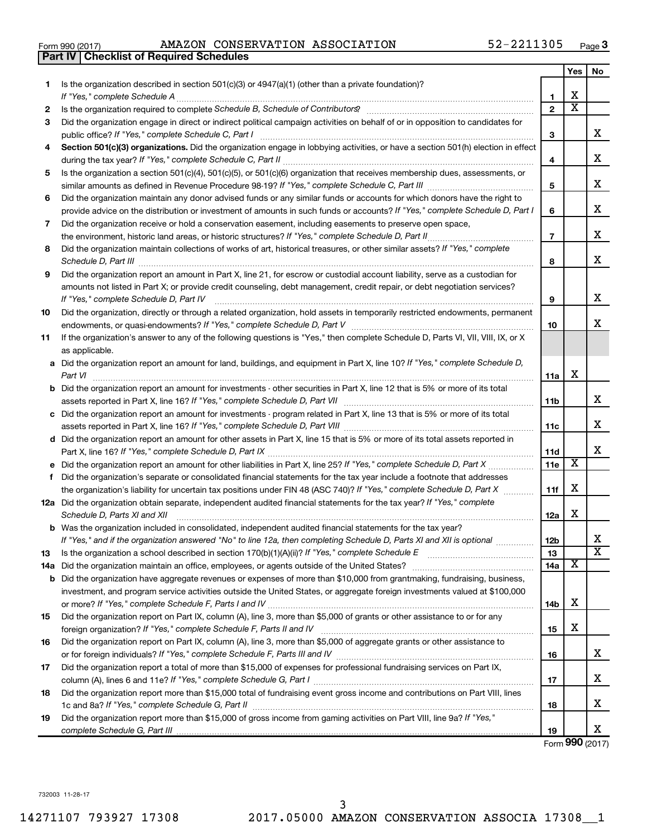|  | Form 990 (2017) |  |
|--|-----------------|--|
|  |                 |  |

Form 990 (2017) Page AMAZON CONSERVATION ASSOCIATION 52-2211305

|     | <b>Part IV   Checklist of Required Schedules</b>                                                                                                                                                                                    |                 |                         |                         |
|-----|-------------------------------------------------------------------------------------------------------------------------------------------------------------------------------------------------------------------------------------|-----------------|-------------------------|-------------------------|
|     |                                                                                                                                                                                                                                     |                 | <b>Yes</b>              | No                      |
| 1.  | Is the organization described in section 501(c)(3) or 4947(a)(1) (other than a private foundation)?                                                                                                                                 |                 |                         |                         |
|     |                                                                                                                                                                                                                                     | 1               | X                       |                         |
| 2   | Is the organization required to complete Schedule B, Schedule of Contributors? [11] the organization required to complete Schedule B, Schedule of Contributors?                                                                     | $\mathbf{2}$    | $\overline{\mathbf{X}}$ |                         |
| З   | Did the organization engage in direct or indirect political campaign activities on behalf of or in opposition to candidates for                                                                                                     |                 |                         |                         |
|     |                                                                                                                                                                                                                                     | 3               |                         | x                       |
| 4   | Section 501(c)(3) organizations. Did the organization engage in lobbying activities, or have a section 501(h) election in effect                                                                                                    |                 |                         |                         |
|     |                                                                                                                                                                                                                                     | 4               |                         | X                       |
| 5   | Is the organization a section 501(c)(4), 501(c)(5), or 501(c)(6) organization that receives membership dues, assessments, or                                                                                                        |                 |                         |                         |
|     |                                                                                                                                                                                                                                     | 5               |                         | х                       |
| 6   | Did the organization maintain any donor advised funds or any similar funds or accounts for which donors have the right to                                                                                                           |                 |                         |                         |
|     | provide advice on the distribution or investment of amounts in such funds or accounts? If "Yes," complete Schedule D, Part I                                                                                                        | 6               |                         | х                       |
| 7   | Did the organization receive or hold a conservation easement, including easements to preserve open space,                                                                                                                           |                 |                         |                         |
|     |                                                                                                                                                                                                                                     | $\overline{7}$  |                         | х                       |
| 8   | Did the organization maintain collections of works of art, historical treasures, or other similar assets? If "Yes," complete                                                                                                        |                 |                         |                         |
|     | Schedule D, Part III <b>Marting Community</b> Construction of the Construction of the Construction of the Construction of the Construction of the Construction of the Construction of the Construction of the Construction of the C | 8               |                         | X                       |
| 9   | Did the organization report an amount in Part X, line 21, for escrow or custodial account liability, serve as a custodian for                                                                                                       |                 |                         |                         |
|     | amounts not listed in Part X; or provide credit counseling, debt management, credit repair, or debt negotiation services?                                                                                                           |                 |                         |                         |
|     | If "Yes," complete Schedule D, Part IV                                                                                                                                                                                              | 9               |                         | х                       |
| 10  | Did the organization, directly or through a related organization, hold assets in temporarily restricted endowments, permanent                                                                                                       |                 |                         |                         |
|     |                                                                                                                                                                                                                                     | 10              |                         | х                       |
| 11  | If the organization's answer to any of the following questions is "Yes," then complete Schedule D, Parts VI, VII, VIII, IX, or X                                                                                                    |                 |                         |                         |
|     | as applicable.                                                                                                                                                                                                                      |                 |                         |                         |
|     | a Did the organization report an amount for land, buildings, and equipment in Part X, line 10? If "Yes," complete Schedule D,                                                                                                       |                 |                         |                         |
|     | Part VI                                                                                                                                                                                                                             | 11a             | х                       |                         |
|     | <b>b</b> Did the organization report an amount for investments - other securities in Part X, line 12 that is 5% or more of its total                                                                                                |                 |                         |                         |
|     | assets reported in Part X, line 16? If "Yes," complete Schedule D, Part VII [11] [11] [12] [12] [12] [12] [12] [                                                                                                                    | 11b             |                         | х                       |
|     | c Did the organization report an amount for investments - program related in Part X, line 13 that is 5% or more of its total                                                                                                        |                 |                         |                         |
|     |                                                                                                                                                                                                                                     | 11c             |                         | X                       |
|     | d Did the organization report an amount for other assets in Part X, line 15 that is 5% or more of its total assets reported in                                                                                                      |                 |                         |                         |
|     |                                                                                                                                                                                                                                     | 11d             |                         | х                       |
|     |                                                                                                                                                                                                                                     | 11e             | Х                       |                         |
|     | f Did the organization's separate or consolidated financial statements for the tax year include a footnote that addresses                                                                                                           |                 |                         |                         |
|     | the organization's liability for uncertain tax positions under FIN 48 (ASC 740)? If "Yes," complete Schedule D, Part X                                                                                                              | 11f             | х                       |                         |
|     | 12a Did the organization obtain separate, independent audited financial statements for the tax year? If "Yes," complete                                                                                                             |                 |                         |                         |
|     | Schedule D, Parts XI and XII                                                                                                                                                                                                        | 12a             | х                       |                         |
|     | <b>b</b> Was the organization included in consolidated, independent audited financial statements for the tax year?                                                                                                                  |                 |                         |                         |
|     | If "Yes," and if the organization answered "No" to line 12a, then completing Schedule D, Parts XI and XII is optional <i>manum</i>                                                                                                  | 12 <sub>b</sub> |                         | х                       |
| 13  |                                                                                                                                                                                                                                     | 13              |                         | $\overline{\texttt{x}}$ |
| 14a |                                                                                                                                                                                                                                     | 14a             | х                       |                         |
|     | <b>b</b> Did the organization have aggregate revenues or expenses of more than \$10,000 from grantmaking, fundraising, business,                                                                                                    |                 |                         |                         |
|     | investment, and program service activities outside the United States, or aggregate foreign investments valued at \$100,000                                                                                                          |                 |                         |                         |
|     |                                                                                                                                                                                                                                     | 14b             | х                       |                         |
| 15  | Did the organization report on Part IX, column (A), line 3, more than \$5,000 of grants or other assistance to or for any                                                                                                           |                 |                         |                         |
|     |                                                                                                                                                                                                                                     | 15              | х                       |                         |
| 16  | Did the organization report on Part IX, column (A), line 3, more than \$5,000 of aggregate grants or other assistance to                                                                                                            |                 |                         |                         |
|     |                                                                                                                                                                                                                                     | 16              |                         | х                       |
| 17  | Did the organization report a total of more than \$15,000 of expenses for professional fundraising services on Part IX,                                                                                                             |                 |                         |                         |
|     |                                                                                                                                                                                                                                     | 17              |                         | х                       |
| 18  | Did the organization report more than \$15,000 total of fundraising event gross income and contributions on Part VIII, lines                                                                                                        |                 |                         | х                       |
|     |                                                                                                                                                                                                                                     | 18              |                         |                         |
| 19  | Did the organization report more than \$15,000 of gross income from gaming activities on Part VIII, line 9a? If "Yes,"                                                                                                              |                 |                         | х                       |
|     |                                                                                                                                                                                                                                     | 19              |                         |                         |

Form (2017) **990**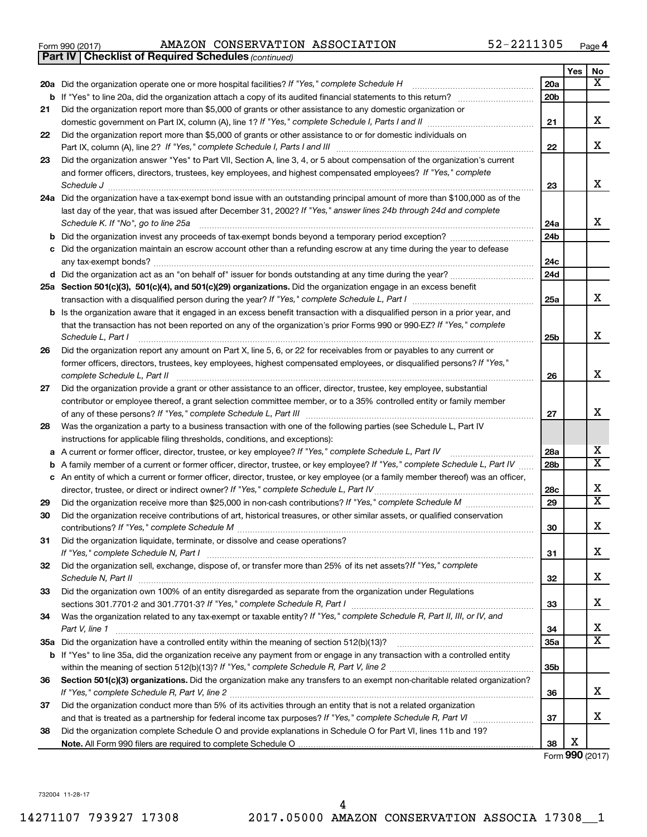|  | Form 990 (2017) |  |
|--|-----------------|--|
|  |                 |  |

*(continued)* **Part IV Checklist of Required Schedules**

Form 990 (2017) Page AMAZON CONSERVATION ASSOCIATION 52-2211305

|    |                                                                                                                                                           |                 | Yes | No                      |
|----|-----------------------------------------------------------------------------------------------------------------------------------------------------------|-----------------|-----|-------------------------|
|    | 20a Did the organization operate one or more hospital facilities? If "Yes," complete Schedule H                                                           | 20a             |     | x                       |
|    | <b>b</b> If "Yes" to line 20a, did the organization attach a copy of its audited financial statements to this return?                                     | 20 <sub>b</sub> |     |                         |
| 21 | Did the organization report more than \$5,000 of grants or other assistance to any domestic organization or                                               |                 |     |                         |
|    |                                                                                                                                                           | 21              |     | х                       |
| 22 | Did the organization report more than \$5,000 of grants or other assistance to or for domestic individuals on                                             |                 |     |                         |
|    | Part IX, column (A), line 2? If "Yes," complete Schedule I, Parts I and III [11]] [11]] [11] [11] [11] [11] [1                                            | 22              |     | x                       |
| 23 | Did the organization answer "Yes" to Part VII, Section A, line 3, 4, or 5 about compensation of the organization's current                                |                 |     |                         |
|    | and former officers, directors, trustees, key employees, and highest compensated employees? If "Yes," complete                                            | 23              |     | x                       |
|    | Schedule J<br>24a Did the organization have a tax-exempt bond issue with an outstanding principal amount of more than \$100,000 as of the                 |                 |     |                         |
|    | last day of the year, that was issued after December 31, 2002? If "Yes," answer lines 24b through 24d and complete                                        |                 |     |                         |
|    | Schedule K. If "No", go to line 25a                                                                                                                       | 24a             |     | x                       |
| b  | Did the organization invest any proceeds of tax-exempt bonds beyond a temporary period exception?                                                         | 24b             |     |                         |
| с  | Did the organization maintain an escrow account other than a refunding escrow at any time during the year to defease                                      |                 |     |                         |
|    |                                                                                                                                                           | 24c             |     |                         |
|    |                                                                                                                                                           | 24d             |     |                         |
|    | 25a Section 501(c)(3), 501(c)(4), and 501(c)(29) organizations. Did the organization engage in an excess benefit                                          |                 |     |                         |
|    |                                                                                                                                                           | 25a             |     | x                       |
|    | <b>b</b> Is the organization aware that it engaged in an excess benefit transaction with a disqualified person in a prior year, and                       |                 |     |                         |
|    | that the transaction has not been reported on any of the organization's prior Forms 990 or 990-EZ? If "Yes," complete                                     |                 |     |                         |
|    | Schedule L, Part I                                                                                                                                        | 25 <sub>b</sub> |     | x                       |
| 26 | Did the organization report any amount on Part X, line 5, 6, or 22 for receivables from or payables to any current or                                     |                 |     |                         |
|    | former officers, directors, trustees, key employees, highest compensated employees, or disqualified persons? If "Yes,"                                    |                 |     | X                       |
| 27 | complete Schedule L, Part II<br>Did the organization provide a grant or other assistance to an officer, director, trustee, key employee, substantial      | 26              |     |                         |
|    | contributor or employee thereof, a grant selection committee member, or to a 35% controlled entity or family member                                       |                 |     |                         |
|    |                                                                                                                                                           | 27              |     | x                       |
| 28 | Was the organization a party to a business transaction with one of the following parties (see Schedule L, Part IV                                         |                 |     |                         |
|    | instructions for applicable filing thresholds, conditions, and exceptions):                                                                               |                 |     |                         |
| а  | A current or former officer, director, trustee, or key employee? If "Yes," complete Schedule L, Part IV                                                   | 28a             |     | х                       |
| b  | A family member of a current or former officer, director, trustee, or key employee? If "Yes," complete Schedule L, Part IV                                | 28 <sub>b</sub> |     | X                       |
|    | c An entity of which a current or former officer, director, trustee, or key employee (or a family member thereof) was an officer,                         |                 |     |                         |
|    | director, trustee, or direct or indirect owner? If "Yes," complete Schedule L, Part IV                                                                    | 28c             |     | х                       |
| 29 |                                                                                                                                                           | 29              |     | $\overline{\textbf{X}}$ |
| 30 | Did the organization receive contributions of art, historical treasures, or other similar assets, or qualified conservation                               |                 |     |                         |
|    |                                                                                                                                                           | 30              |     | х                       |
| 31 | Did the organization liquidate, terminate, or dissolve and cease operations?                                                                              |                 |     | х                       |
| 32 | If "Yes," complete Schedule N, Part I<br>Did the organization sell, exchange, dispose of, or transfer more than 25% of its net assets? If "Yes," complete | 31              |     |                         |
|    |                                                                                                                                                           | 32              |     | х                       |
| 33 | Did the organization own 100% of an entity disregarded as separate from the organization under Regulations                                                |                 |     |                         |
|    |                                                                                                                                                           | 33              |     | х                       |
| 34 | Was the organization related to any tax-exempt or taxable entity? If "Yes," complete Schedule R, Part II, III, or IV, and                                 |                 |     |                         |
|    | Part V, line 1                                                                                                                                            | 34              |     | x                       |
|    |                                                                                                                                                           | 35a             |     | х                       |
|    | b If "Yes" to line 35a, did the organization receive any payment from or engage in any transaction with a controlled entity                               |                 |     |                         |
|    |                                                                                                                                                           | 35 <sub>b</sub> |     |                         |
| 36 | Section 501(c)(3) organizations. Did the organization make any transfers to an exempt non-charitable related organization?                                |                 |     |                         |
|    |                                                                                                                                                           | 36              |     | х                       |
| 37 | Did the organization conduct more than 5% of its activities through an entity that is not a related organization                                          |                 |     |                         |
|    |                                                                                                                                                           | 37              |     | х                       |
| 38 | Did the organization complete Schedule O and provide explanations in Schedule O for Part VI, lines 11b and 19?                                            | 38              | х   |                         |
|    |                                                                                                                                                           |                 |     |                         |

Form (2017) **990**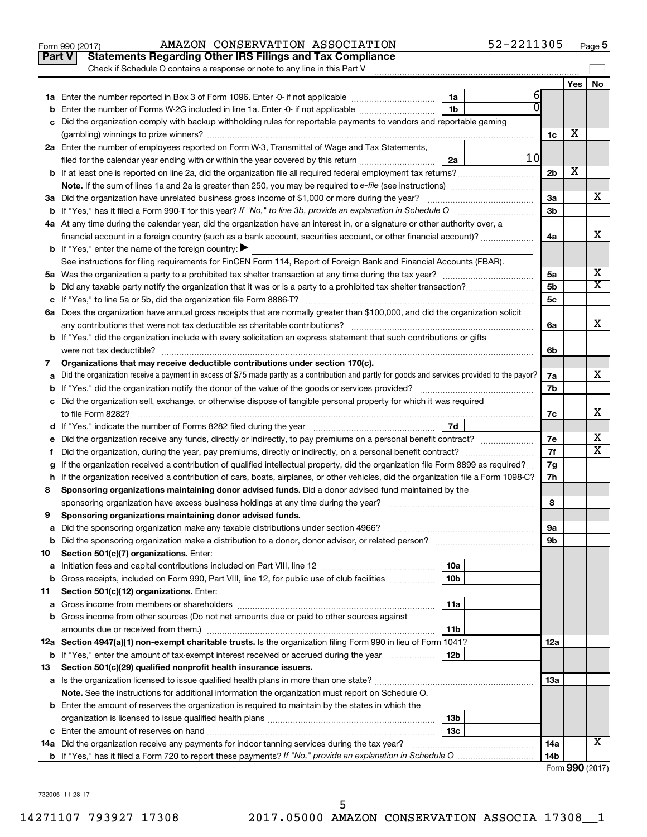| Yes<br>No<br>6<br>1a<br>U<br>1 <sub>b</sub><br>Enter the number of Forms W-2G included in line 1a. Enter -0- if not applicable<br>b<br>Did the organization comply with backup withholding rules for reportable payments to vendors and reportable gaming<br>х<br>1c<br>2a Enter the number of employees reported on Form W-3, Transmittal of Wage and Tax Statements,<br>10<br>filed for the calendar year ending with or within the year covered by this return <i>[[[[[[[[[[[[[[[]]]]</i> ]]<br>2a<br>X<br>b If at least one is reported on line 2a, did the organization file all required federal employment tax returns?<br>2 <sub>b</sub><br>х<br>3a Did the organization have unrelated business gross income of \$1,000 or more during the year?<br>За<br>3 <sub>b</sub><br>4a At any time during the calendar year, did the organization have an interest in, or a signature or other authority over, a<br>x<br>financial account in a foreign country (such as a bank account, securities account, or other financial account)?<br>4a<br><b>b</b> If "Yes," enter the name of the foreign country: $\blacktriangleright$<br>See instructions for filing requirements for FinCEN Form 114, Report of Foreign Bank and Financial Accounts (FBAR).<br>х<br>5a<br>X<br>5 <sub>b</sub><br>b<br>5с<br>6a Does the organization have annual gross receipts that are normally greater than \$100,000, and did the organization solicit<br>x<br>6a<br><b>b</b> If "Yes," did the organization include with every solicitation an express statement that such contributions or gifts<br>6b<br>Organizations that may receive deductible contributions under section 170(c).<br>7<br>x<br>Did the organization receive a payment in excess of \$75 made partly as a contribution and partly for goods and services provided to the payor?<br>7a<br>a<br>7b<br>b<br>c Did the organization sell, exchange, or otherwise dispose of tangible personal property for which it was required<br>x<br>7c<br>7d<br>х<br>Did the organization receive any funds, directly or indirectly, to pay premiums on a personal benefit contract?<br>7e<br>е<br>$\overline{\text{X}}$<br>7f<br>f.<br>If the organization received a contribution of qualified intellectual property, did the organization file Form 8899 as required?<br>7g<br>g<br>If the organization received a contribution of cars, boats, airplanes, or other vehicles, did the organization file a Form 1098-C?<br>7h<br>h<br>Sponsoring organizations maintaining donor advised funds. Did a donor advised fund maintained by the<br>8<br>8<br>Sponsoring organizations maintaining donor advised funds.<br>9<br>эа<br>Did the sponsoring organization make a distribution to a donor, donor advisor, or related person?<br>9b<br>b<br>Section 501(c)(7) organizations. Enter:<br>10<br>10a<br>а<br>Gross receipts, included on Form 990, Part VIII, line 12, for public use of club facilities<br>10 <sub>b</sub><br>b<br>Section 501(c)(12) organizations. Enter:<br>11<br>11a<br>а<br>Gross income from other sources (Do not net amounts due or paid to other sources against<br>b<br>amounts due or received from them.)<br>11b<br>12a Section 4947(a)(1) non-exempt charitable trusts. Is the organization filing Form 990 in lieu of Form 1041?<br>12a<br>12 <sub>b</sub><br><b>b</b> If "Yes," enter the amount of tax-exempt interest received or accrued during the year<br>Section 501(c)(29) qualified nonprofit health insurance issuers.<br>13<br>1За<br>Note. See the instructions for additional information the organization must report on Schedule O.<br><b>b</b> Enter the amount of reserves the organization is required to maintain by the states in which the<br>13b<br>13с<br>x<br>14a Did the organization receive any payments for indoor tanning services during the tax year?<br>14a<br>14b | Part V | <b>Statements Regarding Other IRS Filings and Tax Compliance</b>           |  |  |
|--------------------------------------------------------------------------------------------------------------------------------------------------------------------------------------------------------------------------------------------------------------------------------------------------------------------------------------------------------------------------------------------------------------------------------------------------------------------------------------------------------------------------------------------------------------------------------------------------------------------------------------------------------------------------------------------------------------------------------------------------------------------------------------------------------------------------------------------------------------------------------------------------------------------------------------------------------------------------------------------------------------------------------------------------------------------------------------------------------------------------------------------------------------------------------------------------------------------------------------------------------------------------------------------------------------------------------------------------------------------------------------------------------------------------------------------------------------------------------------------------------------------------------------------------------------------------------------------------------------------------------------------------------------------------------------------------------------------------------------------------------------------------------------------------------------------------------------------------------------------------------------------------------------------------------------------------------------------------------------------------------------------------------------------------------------------------------------------------------------------------------------------------------------------------------------------------------------------------------------------------------------------------------------------------------------------------------------------------------------------------------------------------------------------------------------------------------------------------------------------------------------------------------------------------------------------------------------------------------------------------------------------------------------------------------------------------------------------------------------------------------------------------------------------------------------------------------------------------------------------------------------------------------------------------------------------------------------------------------------------------------------------------------------------------------------------------------------------------------------------------------------------------------------------------------------------------------------------------------------------------------------------------------------------------------------------------------------------------------------------------------------------------------------------------------------------------------------------------------------------------------------------------------------------------------------------------------------------------------------------------------------------------------------------------------------------------------------------------------------------------------------------------------------------------------------------------------------------------------------------------------|--------|----------------------------------------------------------------------------|--|--|
|                                                                                                                                                                                                                                                                                                                                                                                                                                                                                                                                                                                                                                                                                                                                                                                                                                                                                                                                                                                                                                                                                                                                                                                                                                                                                                                                                                                                                                                                                                                                                                                                                                                                                                                                                                                                                                                                                                                                                                                                                                                                                                                                                                                                                                                                                                                                                                                                                                                                                                                                                                                                                                                                                                                                                                                                                                                                                                                                                                                                                                                                                                                                                                                                                                                                                                                                                                                                                                                                                                                                                                                                                                                                                                                                                                                                                                                                                |        | Check if Schedule O contains a response or note to any line in this Part V |  |  |
|                                                                                                                                                                                                                                                                                                                                                                                                                                                                                                                                                                                                                                                                                                                                                                                                                                                                                                                                                                                                                                                                                                                                                                                                                                                                                                                                                                                                                                                                                                                                                                                                                                                                                                                                                                                                                                                                                                                                                                                                                                                                                                                                                                                                                                                                                                                                                                                                                                                                                                                                                                                                                                                                                                                                                                                                                                                                                                                                                                                                                                                                                                                                                                                                                                                                                                                                                                                                                                                                                                                                                                                                                                                                                                                                                                                                                                                                                |        |                                                                            |  |  |
|                                                                                                                                                                                                                                                                                                                                                                                                                                                                                                                                                                                                                                                                                                                                                                                                                                                                                                                                                                                                                                                                                                                                                                                                                                                                                                                                                                                                                                                                                                                                                                                                                                                                                                                                                                                                                                                                                                                                                                                                                                                                                                                                                                                                                                                                                                                                                                                                                                                                                                                                                                                                                                                                                                                                                                                                                                                                                                                                                                                                                                                                                                                                                                                                                                                                                                                                                                                                                                                                                                                                                                                                                                                                                                                                                                                                                                                                                |        |                                                                            |  |  |
|                                                                                                                                                                                                                                                                                                                                                                                                                                                                                                                                                                                                                                                                                                                                                                                                                                                                                                                                                                                                                                                                                                                                                                                                                                                                                                                                                                                                                                                                                                                                                                                                                                                                                                                                                                                                                                                                                                                                                                                                                                                                                                                                                                                                                                                                                                                                                                                                                                                                                                                                                                                                                                                                                                                                                                                                                                                                                                                                                                                                                                                                                                                                                                                                                                                                                                                                                                                                                                                                                                                                                                                                                                                                                                                                                                                                                                                                                |        |                                                                            |  |  |
|                                                                                                                                                                                                                                                                                                                                                                                                                                                                                                                                                                                                                                                                                                                                                                                                                                                                                                                                                                                                                                                                                                                                                                                                                                                                                                                                                                                                                                                                                                                                                                                                                                                                                                                                                                                                                                                                                                                                                                                                                                                                                                                                                                                                                                                                                                                                                                                                                                                                                                                                                                                                                                                                                                                                                                                                                                                                                                                                                                                                                                                                                                                                                                                                                                                                                                                                                                                                                                                                                                                                                                                                                                                                                                                                                                                                                                                                                |        |                                                                            |  |  |
|                                                                                                                                                                                                                                                                                                                                                                                                                                                                                                                                                                                                                                                                                                                                                                                                                                                                                                                                                                                                                                                                                                                                                                                                                                                                                                                                                                                                                                                                                                                                                                                                                                                                                                                                                                                                                                                                                                                                                                                                                                                                                                                                                                                                                                                                                                                                                                                                                                                                                                                                                                                                                                                                                                                                                                                                                                                                                                                                                                                                                                                                                                                                                                                                                                                                                                                                                                                                                                                                                                                                                                                                                                                                                                                                                                                                                                                                                |        |                                                                            |  |  |
|                                                                                                                                                                                                                                                                                                                                                                                                                                                                                                                                                                                                                                                                                                                                                                                                                                                                                                                                                                                                                                                                                                                                                                                                                                                                                                                                                                                                                                                                                                                                                                                                                                                                                                                                                                                                                                                                                                                                                                                                                                                                                                                                                                                                                                                                                                                                                                                                                                                                                                                                                                                                                                                                                                                                                                                                                                                                                                                                                                                                                                                                                                                                                                                                                                                                                                                                                                                                                                                                                                                                                                                                                                                                                                                                                                                                                                                                                |        |                                                                            |  |  |
|                                                                                                                                                                                                                                                                                                                                                                                                                                                                                                                                                                                                                                                                                                                                                                                                                                                                                                                                                                                                                                                                                                                                                                                                                                                                                                                                                                                                                                                                                                                                                                                                                                                                                                                                                                                                                                                                                                                                                                                                                                                                                                                                                                                                                                                                                                                                                                                                                                                                                                                                                                                                                                                                                                                                                                                                                                                                                                                                                                                                                                                                                                                                                                                                                                                                                                                                                                                                                                                                                                                                                                                                                                                                                                                                                                                                                                                                                |        |                                                                            |  |  |
|                                                                                                                                                                                                                                                                                                                                                                                                                                                                                                                                                                                                                                                                                                                                                                                                                                                                                                                                                                                                                                                                                                                                                                                                                                                                                                                                                                                                                                                                                                                                                                                                                                                                                                                                                                                                                                                                                                                                                                                                                                                                                                                                                                                                                                                                                                                                                                                                                                                                                                                                                                                                                                                                                                                                                                                                                                                                                                                                                                                                                                                                                                                                                                                                                                                                                                                                                                                                                                                                                                                                                                                                                                                                                                                                                                                                                                                                                |        |                                                                            |  |  |
|                                                                                                                                                                                                                                                                                                                                                                                                                                                                                                                                                                                                                                                                                                                                                                                                                                                                                                                                                                                                                                                                                                                                                                                                                                                                                                                                                                                                                                                                                                                                                                                                                                                                                                                                                                                                                                                                                                                                                                                                                                                                                                                                                                                                                                                                                                                                                                                                                                                                                                                                                                                                                                                                                                                                                                                                                                                                                                                                                                                                                                                                                                                                                                                                                                                                                                                                                                                                                                                                                                                                                                                                                                                                                                                                                                                                                                                                                |        |                                                                            |  |  |
|                                                                                                                                                                                                                                                                                                                                                                                                                                                                                                                                                                                                                                                                                                                                                                                                                                                                                                                                                                                                                                                                                                                                                                                                                                                                                                                                                                                                                                                                                                                                                                                                                                                                                                                                                                                                                                                                                                                                                                                                                                                                                                                                                                                                                                                                                                                                                                                                                                                                                                                                                                                                                                                                                                                                                                                                                                                                                                                                                                                                                                                                                                                                                                                                                                                                                                                                                                                                                                                                                                                                                                                                                                                                                                                                                                                                                                                                                |        |                                                                            |  |  |
|                                                                                                                                                                                                                                                                                                                                                                                                                                                                                                                                                                                                                                                                                                                                                                                                                                                                                                                                                                                                                                                                                                                                                                                                                                                                                                                                                                                                                                                                                                                                                                                                                                                                                                                                                                                                                                                                                                                                                                                                                                                                                                                                                                                                                                                                                                                                                                                                                                                                                                                                                                                                                                                                                                                                                                                                                                                                                                                                                                                                                                                                                                                                                                                                                                                                                                                                                                                                                                                                                                                                                                                                                                                                                                                                                                                                                                                                                |        |                                                                            |  |  |
|                                                                                                                                                                                                                                                                                                                                                                                                                                                                                                                                                                                                                                                                                                                                                                                                                                                                                                                                                                                                                                                                                                                                                                                                                                                                                                                                                                                                                                                                                                                                                                                                                                                                                                                                                                                                                                                                                                                                                                                                                                                                                                                                                                                                                                                                                                                                                                                                                                                                                                                                                                                                                                                                                                                                                                                                                                                                                                                                                                                                                                                                                                                                                                                                                                                                                                                                                                                                                                                                                                                                                                                                                                                                                                                                                                                                                                                                                |        |                                                                            |  |  |
|                                                                                                                                                                                                                                                                                                                                                                                                                                                                                                                                                                                                                                                                                                                                                                                                                                                                                                                                                                                                                                                                                                                                                                                                                                                                                                                                                                                                                                                                                                                                                                                                                                                                                                                                                                                                                                                                                                                                                                                                                                                                                                                                                                                                                                                                                                                                                                                                                                                                                                                                                                                                                                                                                                                                                                                                                                                                                                                                                                                                                                                                                                                                                                                                                                                                                                                                                                                                                                                                                                                                                                                                                                                                                                                                                                                                                                                                                |        |                                                                            |  |  |
|                                                                                                                                                                                                                                                                                                                                                                                                                                                                                                                                                                                                                                                                                                                                                                                                                                                                                                                                                                                                                                                                                                                                                                                                                                                                                                                                                                                                                                                                                                                                                                                                                                                                                                                                                                                                                                                                                                                                                                                                                                                                                                                                                                                                                                                                                                                                                                                                                                                                                                                                                                                                                                                                                                                                                                                                                                                                                                                                                                                                                                                                                                                                                                                                                                                                                                                                                                                                                                                                                                                                                                                                                                                                                                                                                                                                                                                                                |        |                                                                            |  |  |
|                                                                                                                                                                                                                                                                                                                                                                                                                                                                                                                                                                                                                                                                                                                                                                                                                                                                                                                                                                                                                                                                                                                                                                                                                                                                                                                                                                                                                                                                                                                                                                                                                                                                                                                                                                                                                                                                                                                                                                                                                                                                                                                                                                                                                                                                                                                                                                                                                                                                                                                                                                                                                                                                                                                                                                                                                                                                                                                                                                                                                                                                                                                                                                                                                                                                                                                                                                                                                                                                                                                                                                                                                                                                                                                                                                                                                                                                                |        |                                                                            |  |  |
|                                                                                                                                                                                                                                                                                                                                                                                                                                                                                                                                                                                                                                                                                                                                                                                                                                                                                                                                                                                                                                                                                                                                                                                                                                                                                                                                                                                                                                                                                                                                                                                                                                                                                                                                                                                                                                                                                                                                                                                                                                                                                                                                                                                                                                                                                                                                                                                                                                                                                                                                                                                                                                                                                                                                                                                                                                                                                                                                                                                                                                                                                                                                                                                                                                                                                                                                                                                                                                                                                                                                                                                                                                                                                                                                                                                                                                                                                |        |                                                                            |  |  |
|                                                                                                                                                                                                                                                                                                                                                                                                                                                                                                                                                                                                                                                                                                                                                                                                                                                                                                                                                                                                                                                                                                                                                                                                                                                                                                                                                                                                                                                                                                                                                                                                                                                                                                                                                                                                                                                                                                                                                                                                                                                                                                                                                                                                                                                                                                                                                                                                                                                                                                                                                                                                                                                                                                                                                                                                                                                                                                                                                                                                                                                                                                                                                                                                                                                                                                                                                                                                                                                                                                                                                                                                                                                                                                                                                                                                                                                                                |        |                                                                            |  |  |
|                                                                                                                                                                                                                                                                                                                                                                                                                                                                                                                                                                                                                                                                                                                                                                                                                                                                                                                                                                                                                                                                                                                                                                                                                                                                                                                                                                                                                                                                                                                                                                                                                                                                                                                                                                                                                                                                                                                                                                                                                                                                                                                                                                                                                                                                                                                                                                                                                                                                                                                                                                                                                                                                                                                                                                                                                                                                                                                                                                                                                                                                                                                                                                                                                                                                                                                                                                                                                                                                                                                                                                                                                                                                                                                                                                                                                                                                                |        |                                                                            |  |  |
|                                                                                                                                                                                                                                                                                                                                                                                                                                                                                                                                                                                                                                                                                                                                                                                                                                                                                                                                                                                                                                                                                                                                                                                                                                                                                                                                                                                                                                                                                                                                                                                                                                                                                                                                                                                                                                                                                                                                                                                                                                                                                                                                                                                                                                                                                                                                                                                                                                                                                                                                                                                                                                                                                                                                                                                                                                                                                                                                                                                                                                                                                                                                                                                                                                                                                                                                                                                                                                                                                                                                                                                                                                                                                                                                                                                                                                                                                |        |                                                                            |  |  |
|                                                                                                                                                                                                                                                                                                                                                                                                                                                                                                                                                                                                                                                                                                                                                                                                                                                                                                                                                                                                                                                                                                                                                                                                                                                                                                                                                                                                                                                                                                                                                                                                                                                                                                                                                                                                                                                                                                                                                                                                                                                                                                                                                                                                                                                                                                                                                                                                                                                                                                                                                                                                                                                                                                                                                                                                                                                                                                                                                                                                                                                                                                                                                                                                                                                                                                                                                                                                                                                                                                                                                                                                                                                                                                                                                                                                                                                                                |        |                                                                            |  |  |
|                                                                                                                                                                                                                                                                                                                                                                                                                                                                                                                                                                                                                                                                                                                                                                                                                                                                                                                                                                                                                                                                                                                                                                                                                                                                                                                                                                                                                                                                                                                                                                                                                                                                                                                                                                                                                                                                                                                                                                                                                                                                                                                                                                                                                                                                                                                                                                                                                                                                                                                                                                                                                                                                                                                                                                                                                                                                                                                                                                                                                                                                                                                                                                                                                                                                                                                                                                                                                                                                                                                                                                                                                                                                                                                                                                                                                                                                                |        |                                                                            |  |  |
|                                                                                                                                                                                                                                                                                                                                                                                                                                                                                                                                                                                                                                                                                                                                                                                                                                                                                                                                                                                                                                                                                                                                                                                                                                                                                                                                                                                                                                                                                                                                                                                                                                                                                                                                                                                                                                                                                                                                                                                                                                                                                                                                                                                                                                                                                                                                                                                                                                                                                                                                                                                                                                                                                                                                                                                                                                                                                                                                                                                                                                                                                                                                                                                                                                                                                                                                                                                                                                                                                                                                                                                                                                                                                                                                                                                                                                                                                |        |                                                                            |  |  |
|                                                                                                                                                                                                                                                                                                                                                                                                                                                                                                                                                                                                                                                                                                                                                                                                                                                                                                                                                                                                                                                                                                                                                                                                                                                                                                                                                                                                                                                                                                                                                                                                                                                                                                                                                                                                                                                                                                                                                                                                                                                                                                                                                                                                                                                                                                                                                                                                                                                                                                                                                                                                                                                                                                                                                                                                                                                                                                                                                                                                                                                                                                                                                                                                                                                                                                                                                                                                                                                                                                                                                                                                                                                                                                                                                                                                                                                                                |        |                                                                            |  |  |
|                                                                                                                                                                                                                                                                                                                                                                                                                                                                                                                                                                                                                                                                                                                                                                                                                                                                                                                                                                                                                                                                                                                                                                                                                                                                                                                                                                                                                                                                                                                                                                                                                                                                                                                                                                                                                                                                                                                                                                                                                                                                                                                                                                                                                                                                                                                                                                                                                                                                                                                                                                                                                                                                                                                                                                                                                                                                                                                                                                                                                                                                                                                                                                                                                                                                                                                                                                                                                                                                                                                                                                                                                                                                                                                                                                                                                                                                                |        |                                                                            |  |  |
|                                                                                                                                                                                                                                                                                                                                                                                                                                                                                                                                                                                                                                                                                                                                                                                                                                                                                                                                                                                                                                                                                                                                                                                                                                                                                                                                                                                                                                                                                                                                                                                                                                                                                                                                                                                                                                                                                                                                                                                                                                                                                                                                                                                                                                                                                                                                                                                                                                                                                                                                                                                                                                                                                                                                                                                                                                                                                                                                                                                                                                                                                                                                                                                                                                                                                                                                                                                                                                                                                                                                                                                                                                                                                                                                                                                                                                                                                |        |                                                                            |  |  |
|                                                                                                                                                                                                                                                                                                                                                                                                                                                                                                                                                                                                                                                                                                                                                                                                                                                                                                                                                                                                                                                                                                                                                                                                                                                                                                                                                                                                                                                                                                                                                                                                                                                                                                                                                                                                                                                                                                                                                                                                                                                                                                                                                                                                                                                                                                                                                                                                                                                                                                                                                                                                                                                                                                                                                                                                                                                                                                                                                                                                                                                                                                                                                                                                                                                                                                                                                                                                                                                                                                                                                                                                                                                                                                                                                                                                                                                                                |        |                                                                            |  |  |
|                                                                                                                                                                                                                                                                                                                                                                                                                                                                                                                                                                                                                                                                                                                                                                                                                                                                                                                                                                                                                                                                                                                                                                                                                                                                                                                                                                                                                                                                                                                                                                                                                                                                                                                                                                                                                                                                                                                                                                                                                                                                                                                                                                                                                                                                                                                                                                                                                                                                                                                                                                                                                                                                                                                                                                                                                                                                                                                                                                                                                                                                                                                                                                                                                                                                                                                                                                                                                                                                                                                                                                                                                                                                                                                                                                                                                                                                                |        |                                                                            |  |  |
|                                                                                                                                                                                                                                                                                                                                                                                                                                                                                                                                                                                                                                                                                                                                                                                                                                                                                                                                                                                                                                                                                                                                                                                                                                                                                                                                                                                                                                                                                                                                                                                                                                                                                                                                                                                                                                                                                                                                                                                                                                                                                                                                                                                                                                                                                                                                                                                                                                                                                                                                                                                                                                                                                                                                                                                                                                                                                                                                                                                                                                                                                                                                                                                                                                                                                                                                                                                                                                                                                                                                                                                                                                                                                                                                                                                                                                                                                |        |                                                                            |  |  |
|                                                                                                                                                                                                                                                                                                                                                                                                                                                                                                                                                                                                                                                                                                                                                                                                                                                                                                                                                                                                                                                                                                                                                                                                                                                                                                                                                                                                                                                                                                                                                                                                                                                                                                                                                                                                                                                                                                                                                                                                                                                                                                                                                                                                                                                                                                                                                                                                                                                                                                                                                                                                                                                                                                                                                                                                                                                                                                                                                                                                                                                                                                                                                                                                                                                                                                                                                                                                                                                                                                                                                                                                                                                                                                                                                                                                                                                                                |        |                                                                            |  |  |
|                                                                                                                                                                                                                                                                                                                                                                                                                                                                                                                                                                                                                                                                                                                                                                                                                                                                                                                                                                                                                                                                                                                                                                                                                                                                                                                                                                                                                                                                                                                                                                                                                                                                                                                                                                                                                                                                                                                                                                                                                                                                                                                                                                                                                                                                                                                                                                                                                                                                                                                                                                                                                                                                                                                                                                                                                                                                                                                                                                                                                                                                                                                                                                                                                                                                                                                                                                                                                                                                                                                                                                                                                                                                                                                                                                                                                                                                                |        |                                                                            |  |  |
|                                                                                                                                                                                                                                                                                                                                                                                                                                                                                                                                                                                                                                                                                                                                                                                                                                                                                                                                                                                                                                                                                                                                                                                                                                                                                                                                                                                                                                                                                                                                                                                                                                                                                                                                                                                                                                                                                                                                                                                                                                                                                                                                                                                                                                                                                                                                                                                                                                                                                                                                                                                                                                                                                                                                                                                                                                                                                                                                                                                                                                                                                                                                                                                                                                                                                                                                                                                                                                                                                                                                                                                                                                                                                                                                                                                                                                                                                |        |                                                                            |  |  |
|                                                                                                                                                                                                                                                                                                                                                                                                                                                                                                                                                                                                                                                                                                                                                                                                                                                                                                                                                                                                                                                                                                                                                                                                                                                                                                                                                                                                                                                                                                                                                                                                                                                                                                                                                                                                                                                                                                                                                                                                                                                                                                                                                                                                                                                                                                                                                                                                                                                                                                                                                                                                                                                                                                                                                                                                                                                                                                                                                                                                                                                                                                                                                                                                                                                                                                                                                                                                                                                                                                                                                                                                                                                                                                                                                                                                                                                                                |        |                                                                            |  |  |
|                                                                                                                                                                                                                                                                                                                                                                                                                                                                                                                                                                                                                                                                                                                                                                                                                                                                                                                                                                                                                                                                                                                                                                                                                                                                                                                                                                                                                                                                                                                                                                                                                                                                                                                                                                                                                                                                                                                                                                                                                                                                                                                                                                                                                                                                                                                                                                                                                                                                                                                                                                                                                                                                                                                                                                                                                                                                                                                                                                                                                                                                                                                                                                                                                                                                                                                                                                                                                                                                                                                                                                                                                                                                                                                                                                                                                                                                                |        |                                                                            |  |  |
|                                                                                                                                                                                                                                                                                                                                                                                                                                                                                                                                                                                                                                                                                                                                                                                                                                                                                                                                                                                                                                                                                                                                                                                                                                                                                                                                                                                                                                                                                                                                                                                                                                                                                                                                                                                                                                                                                                                                                                                                                                                                                                                                                                                                                                                                                                                                                                                                                                                                                                                                                                                                                                                                                                                                                                                                                                                                                                                                                                                                                                                                                                                                                                                                                                                                                                                                                                                                                                                                                                                                                                                                                                                                                                                                                                                                                                                                                |        |                                                                            |  |  |
|                                                                                                                                                                                                                                                                                                                                                                                                                                                                                                                                                                                                                                                                                                                                                                                                                                                                                                                                                                                                                                                                                                                                                                                                                                                                                                                                                                                                                                                                                                                                                                                                                                                                                                                                                                                                                                                                                                                                                                                                                                                                                                                                                                                                                                                                                                                                                                                                                                                                                                                                                                                                                                                                                                                                                                                                                                                                                                                                                                                                                                                                                                                                                                                                                                                                                                                                                                                                                                                                                                                                                                                                                                                                                                                                                                                                                                                                                |        |                                                                            |  |  |
|                                                                                                                                                                                                                                                                                                                                                                                                                                                                                                                                                                                                                                                                                                                                                                                                                                                                                                                                                                                                                                                                                                                                                                                                                                                                                                                                                                                                                                                                                                                                                                                                                                                                                                                                                                                                                                                                                                                                                                                                                                                                                                                                                                                                                                                                                                                                                                                                                                                                                                                                                                                                                                                                                                                                                                                                                                                                                                                                                                                                                                                                                                                                                                                                                                                                                                                                                                                                                                                                                                                                                                                                                                                                                                                                                                                                                                                                                |        |                                                                            |  |  |
|                                                                                                                                                                                                                                                                                                                                                                                                                                                                                                                                                                                                                                                                                                                                                                                                                                                                                                                                                                                                                                                                                                                                                                                                                                                                                                                                                                                                                                                                                                                                                                                                                                                                                                                                                                                                                                                                                                                                                                                                                                                                                                                                                                                                                                                                                                                                                                                                                                                                                                                                                                                                                                                                                                                                                                                                                                                                                                                                                                                                                                                                                                                                                                                                                                                                                                                                                                                                                                                                                                                                                                                                                                                                                                                                                                                                                                                                                |        |                                                                            |  |  |
|                                                                                                                                                                                                                                                                                                                                                                                                                                                                                                                                                                                                                                                                                                                                                                                                                                                                                                                                                                                                                                                                                                                                                                                                                                                                                                                                                                                                                                                                                                                                                                                                                                                                                                                                                                                                                                                                                                                                                                                                                                                                                                                                                                                                                                                                                                                                                                                                                                                                                                                                                                                                                                                                                                                                                                                                                                                                                                                                                                                                                                                                                                                                                                                                                                                                                                                                                                                                                                                                                                                                                                                                                                                                                                                                                                                                                                                                                |        |                                                                            |  |  |
|                                                                                                                                                                                                                                                                                                                                                                                                                                                                                                                                                                                                                                                                                                                                                                                                                                                                                                                                                                                                                                                                                                                                                                                                                                                                                                                                                                                                                                                                                                                                                                                                                                                                                                                                                                                                                                                                                                                                                                                                                                                                                                                                                                                                                                                                                                                                                                                                                                                                                                                                                                                                                                                                                                                                                                                                                                                                                                                                                                                                                                                                                                                                                                                                                                                                                                                                                                                                                                                                                                                                                                                                                                                                                                                                                                                                                                                                                |        |                                                                            |  |  |
|                                                                                                                                                                                                                                                                                                                                                                                                                                                                                                                                                                                                                                                                                                                                                                                                                                                                                                                                                                                                                                                                                                                                                                                                                                                                                                                                                                                                                                                                                                                                                                                                                                                                                                                                                                                                                                                                                                                                                                                                                                                                                                                                                                                                                                                                                                                                                                                                                                                                                                                                                                                                                                                                                                                                                                                                                                                                                                                                                                                                                                                                                                                                                                                                                                                                                                                                                                                                                                                                                                                                                                                                                                                                                                                                                                                                                                                                                |        |                                                                            |  |  |
|                                                                                                                                                                                                                                                                                                                                                                                                                                                                                                                                                                                                                                                                                                                                                                                                                                                                                                                                                                                                                                                                                                                                                                                                                                                                                                                                                                                                                                                                                                                                                                                                                                                                                                                                                                                                                                                                                                                                                                                                                                                                                                                                                                                                                                                                                                                                                                                                                                                                                                                                                                                                                                                                                                                                                                                                                                                                                                                                                                                                                                                                                                                                                                                                                                                                                                                                                                                                                                                                                                                                                                                                                                                                                                                                                                                                                                                                                |        |                                                                            |  |  |
|                                                                                                                                                                                                                                                                                                                                                                                                                                                                                                                                                                                                                                                                                                                                                                                                                                                                                                                                                                                                                                                                                                                                                                                                                                                                                                                                                                                                                                                                                                                                                                                                                                                                                                                                                                                                                                                                                                                                                                                                                                                                                                                                                                                                                                                                                                                                                                                                                                                                                                                                                                                                                                                                                                                                                                                                                                                                                                                                                                                                                                                                                                                                                                                                                                                                                                                                                                                                                                                                                                                                                                                                                                                                                                                                                                                                                                                                                |        |                                                                            |  |  |
|                                                                                                                                                                                                                                                                                                                                                                                                                                                                                                                                                                                                                                                                                                                                                                                                                                                                                                                                                                                                                                                                                                                                                                                                                                                                                                                                                                                                                                                                                                                                                                                                                                                                                                                                                                                                                                                                                                                                                                                                                                                                                                                                                                                                                                                                                                                                                                                                                                                                                                                                                                                                                                                                                                                                                                                                                                                                                                                                                                                                                                                                                                                                                                                                                                                                                                                                                                                                                                                                                                                                                                                                                                                                                                                                                                                                                                                                                |        |                                                                            |  |  |
|                                                                                                                                                                                                                                                                                                                                                                                                                                                                                                                                                                                                                                                                                                                                                                                                                                                                                                                                                                                                                                                                                                                                                                                                                                                                                                                                                                                                                                                                                                                                                                                                                                                                                                                                                                                                                                                                                                                                                                                                                                                                                                                                                                                                                                                                                                                                                                                                                                                                                                                                                                                                                                                                                                                                                                                                                                                                                                                                                                                                                                                                                                                                                                                                                                                                                                                                                                                                                                                                                                                                                                                                                                                                                                                                                                                                                                                                                |        |                                                                            |  |  |
|                                                                                                                                                                                                                                                                                                                                                                                                                                                                                                                                                                                                                                                                                                                                                                                                                                                                                                                                                                                                                                                                                                                                                                                                                                                                                                                                                                                                                                                                                                                                                                                                                                                                                                                                                                                                                                                                                                                                                                                                                                                                                                                                                                                                                                                                                                                                                                                                                                                                                                                                                                                                                                                                                                                                                                                                                                                                                                                                                                                                                                                                                                                                                                                                                                                                                                                                                                                                                                                                                                                                                                                                                                                                                                                                                                                                                                                                                |        |                                                                            |  |  |
|                                                                                                                                                                                                                                                                                                                                                                                                                                                                                                                                                                                                                                                                                                                                                                                                                                                                                                                                                                                                                                                                                                                                                                                                                                                                                                                                                                                                                                                                                                                                                                                                                                                                                                                                                                                                                                                                                                                                                                                                                                                                                                                                                                                                                                                                                                                                                                                                                                                                                                                                                                                                                                                                                                                                                                                                                                                                                                                                                                                                                                                                                                                                                                                                                                                                                                                                                                                                                                                                                                                                                                                                                                                                                                                                                                                                                                                                                |        |                                                                            |  |  |
|                                                                                                                                                                                                                                                                                                                                                                                                                                                                                                                                                                                                                                                                                                                                                                                                                                                                                                                                                                                                                                                                                                                                                                                                                                                                                                                                                                                                                                                                                                                                                                                                                                                                                                                                                                                                                                                                                                                                                                                                                                                                                                                                                                                                                                                                                                                                                                                                                                                                                                                                                                                                                                                                                                                                                                                                                                                                                                                                                                                                                                                                                                                                                                                                                                                                                                                                                                                                                                                                                                                                                                                                                                                                                                                                                                                                                                                                                |        |                                                                            |  |  |
|                                                                                                                                                                                                                                                                                                                                                                                                                                                                                                                                                                                                                                                                                                                                                                                                                                                                                                                                                                                                                                                                                                                                                                                                                                                                                                                                                                                                                                                                                                                                                                                                                                                                                                                                                                                                                                                                                                                                                                                                                                                                                                                                                                                                                                                                                                                                                                                                                                                                                                                                                                                                                                                                                                                                                                                                                                                                                                                                                                                                                                                                                                                                                                                                                                                                                                                                                                                                                                                                                                                                                                                                                                                                                                                                                                                                                                                                                |        |                                                                            |  |  |
|                                                                                                                                                                                                                                                                                                                                                                                                                                                                                                                                                                                                                                                                                                                                                                                                                                                                                                                                                                                                                                                                                                                                                                                                                                                                                                                                                                                                                                                                                                                                                                                                                                                                                                                                                                                                                                                                                                                                                                                                                                                                                                                                                                                                                                                                                                                                                                                                                                                                                                                                                                                                                                                                                                                                                                                                                                                                                                                                                                                                                                                                                                                                                                                                                                                                                                                                                                                                                                                                                                                                                                                                                                                                                                                                                                                                                                                                                |        |                                                                            |  |  |
|                                                                                                                                                                                                                                                                                                                                                                                                                                                                                                                                                                                                                                                                                                                                                                                                                                                                                                                                                                                                                                                                                                                                                                                                                                                                                                                                                                                                                                                                                                                                                                                                                                                                                                                                                                                                                                                                                                                                                                                                                                                                                                                                                                                                                                                                                                                                                                                                                                                                                                                                                                                                                                                                                                                                                                                                                                                                                                                                                                                                                                                                                                                                                                                                                                                                                                                                                                                                                                                                                                                                                                                                                                                                                                                                                                                                                                                                                |        |                                                                            |  |  |
|                                                                                                                                                                                                                                                                                                                                                                                                                                                                                                                                                                                                                                                                                                                                                                                                                                                                                                                                                                                                                                                                                                                                                                                                                                                                                                                                                                                                                                                                                                                                                                                                                                                                                                                                                                                                                                                                                                                                                                                                                                                                                                                                                                                                                                                                                                                                                                                                                                                                                                                                                                                                                                                                                                                                                                                                                                                                                                                                                                                                                                                                                                                                                                                                                                                                                                                                                                                                                                                                                                                                                                                                                                                                                                                                                                                                                                                                                |        |                                                                            |  |  |
|                                                                                                                                                                                                                                                                                                                                                                                                                                                                                                                                                                                                                                                                                                                                                                                                                                                                                                                                                                                                                                                                                                                                                                                                                                                                                                                                                                                                                                                                                                                                                                                                                                                                                                                                                                                                                                                                                                                                                                                                                                                                                                                                                                                                                                                                                                                                                                                                                                                                                                                                                                                                                                                                                                                                                                                                                                                                                                                                                                                                                                                                                                                                                                                                                                                                                                                                                                                                                                                                                                                                                                                                                                                                                                                                                                                                                                                                                |        |                                                                            |  |  |

Form 990 (2017) Page AMAZON CONSERVATION ASSOCIATION 52-2211305

| Form 990 (2017) |  |
|-----------------|--|
|-----------------|--|

52-2211305 Page 5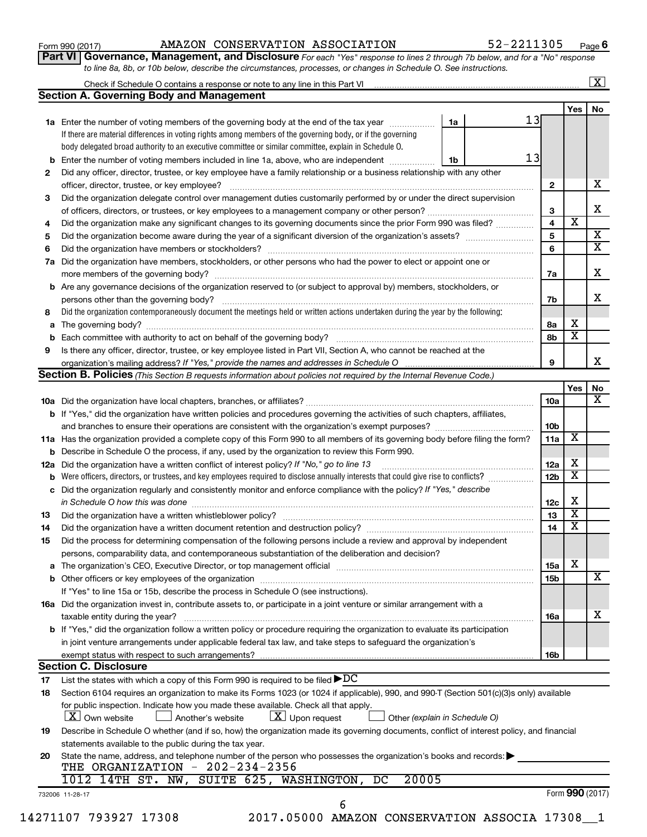| Form 990 (2017) |  |
|-----------------|--|
|-----------------|--|

## Form 990 (2017) Page AMAZON CONSERVATION ASSOCIATION 52-2211305

**Part VI** Governance, Management, and Disclosure For each "Yes" response to lines 2 through 7b below, and for a "No" response *to line 8a, 8b, or 10b below, describe the circumstances, processes, or changes in Schedule O. See instructions.*

|     | Check if Schedule O contains a response or note to any line in this Part VI [11] [12] Check if Schedule O contains a response or note to any line in this Part VI |    |    |                         |                         | $\overline{\textbf{X}}$ |  |  |
|-----|-------------------------------------------------------------------------------------------------------------------------------------------------------------------|----|----|-------------------------|-------------------------|-------------------------|--|--|
|     | <b>Section A. Governing Body and Management</b>                                                                                                                   |    |    |                         |                         | No                      |  |  |
|     |                                                                                                                                                                   |    |    |                         | Yes                     |                         |  |  |
|     | 1a Enter the number of voting members of the governing body at the end of the tax year                                                                            | 1a | 13 |                         |                         |                         |  |  |
|     | If there are material differences in voting rights among members of the governing body, or if the governing                                                       |    |    |                         |                         |                         |  |  |
|     | body delegated broad authority to an executive committee or similar committee, explain in Schedule O.                                                             |    |    |                         |                         |                         |  |  |
|     | <b>b</b> Enter the number of voting members included in line 1a, above, who are independent <i>manameron</i>                                                      | 1b | 13 |                         |                         |                         |  |  |
| 2   | Did any officer, director, trustee, or key employee have a family relationship or a business relationship with any other                                          |    |    |                         |                         |                         |  |  |
|     | officer, director, trustee, or key employee?                                                                                                                      |    |    | $\mathbf{2}$            |                         |                         |  |  |
| 3   | Did the organization delegate control over management duties customarily performed by or under the direct supervision                                             |    |    |                         |                         |                         |  |  |
|     |                                                                                                                                                                   |    |    | 3                       |                         |                         |  |  |
| 4   | Did the organization make any significant changes to its governing documents since the prior Form 990 was filed?                                                  |    |    | $\overline{\mathbf{4}}$ | $\overline{\mathbf{x}}$ |                         |  |  |
| 5   |                                                                                                                                                                   |    |    | $5\phantom{a}$          |                         |                         |  |  |
| 6   |                                                                                                                                                                   |    |    | 6                       |                         |                         |  |  |
| 7a  | Did the organization have members, stockholders, or other persons who had the power to elect or appoint one or                                                    |    |    |                         |                         |                         |  |  |
|     |                                                                                                                                                                   |    |    | 7a                      |                         |                         |  |  |
|     | <b>b</b> Are any governance decisions of the organization reserved to (or subject to approval by) members, stockholders, or                                       |    |    |                         |                         |                         |  |  |
|     | persons other than the governing body?                                                                                                                            |    |    | 7b                      |                         |                         |  |  |
| 8   | Did the organization contemporaneously document the meetings held or written actions undertaken during the year by the following:                                 |    |    |                         |                         |                         |  |  |
|     |                                                                                                                                                                   |    |    | 8а                      | x                       |                         |  |  |
|     |                                                                                                                                                                   |    |    | 8b                      | $\overline{\mathbf{x}}$ |                         |  |  |
| 9   | Is there any officer, director, trustee, or key employee listed in Part VII, Section A, who cannot be reached at the                                              |    |    |                         |                         |                         |  |  |
|     |                                                                                                                                                                   |    |    | 9                       |                         |                         |  |  |
|     | Section B. Policies (This Section B requests information about policies not required by the Internal Revenue Code.)                                               |    |    |                         |                         |                         |  |  |
|     |                                                                                                                                                                   |    |    |                         | Yes                     |                         |  |  |
|     |                                                                                                                                                                   |    |    | 10a                     |                         |                         |  |  |
|     | <b>b</b> If "Yes," did the organization have written policies and procedures governing the activities of such chapters, affiliates,                               |    |    |                         |                         |                         |  |  |
|     |                                                                                                                                                                   |    |    | 10 <sub>b</sub>         |                         |                         |  |  |
|     | 11a Has the organization provided a complete copy of this Form 990 to all members of its governing body before filing the form?                                   |    |    | 11a                     | X                       |                         |  |  |
|     | <b>b</b> Describe in Schedule O the process, if any, used by the organization to review this Form 990.                                                            |    |    |                         |                         |                         |  |  |
| 12a | Did the organization have a written conflict of interest policy? If "No," go to line 13                                                                           |    |    | 12a                     | x                       |                         |  |  |
| b   | Were officers, directors, or trustees, and key employees required to disclose annually interests that could give rise to conflicts?                               |    |    | 12 <sub>b</sub>         | $\overline{\textbf{x}}$ |                         |  |  |
|     | c Did the organization regularly and consistently monitor and enforce compliance with the policy? If "Yes," describe                                              |    |    |                         |                         |                         |  |  |
|     | in Schedule O how this was done manufactured and continuum and contact the way to the set of the set of the schedule O how this was done                          |    |    | 12c                     | х                       |                         |  |  |
| 13  |                                                                                                                                                                   |    |    | 13                      | $\overline{\textbf{x}}$ |                         |  |  |
| 14  | Did the organization have a written document retention and destruction policy? [11] manufaction manufaction in                                                    |    |    | 14                      | $\overline{\textbf{x}}$ |                         |  |  |
| 15  | Did the process for determining compensation of the following persons include a review and approval by independent                                                |    |    |                         |                         |                         |  |  |
|     | persons, comparability data, and contemporaneous substantiation of the deliberation and decision?                                                                 |    |    |                         |                         |                         |  |  |
|     |                                                                                                                                                                   |    |    | <b>15a</b>              | х                       |                         |  |  |
|     |                                                                                                                                                                   |    |    | 15b                     |                         |                         |  |  |
|     | If "Yes" to line 15a or 15b, describe the process in Schedule O (see instructions).                                                                               |    |    |                         |                         |                         |  |  |
|     | 16a Did the organization invest in, contribute assets to, or participate in a joint venture or similar arrangement with a                                         |    |    |                         |                         |                         |  |  |
|     | taxable entity during the year?                                                                                                                                   |    |    | 16a                     |                         |                         |  |  |
|     | b If "Yes," did the organization follow a written policy or procedure requiring the organization to evaluate its participation                                    |    |    |                         |                         |                         |  |  |
|     | in joint venture arrangements under applicable federal tax law, and take steps to safeguard the organization's                                                    |    |    |                         |                         |                         |  |  |
|     | exempt status with respect to such arrangements?                                                                                                                  |    |    | 16b                     |                         |                         |  |  |
|     | <b>Section C. Disclosure</b>                                                                                                                                      |    |    |                         |                         |                         |  |  |
|     | List the states with which a copy of this Form 990 is required to be filed $\blacktriangleright DC$                                                               |    |    |                         |                         |                         |  |  |
| 17  |                                                                                                                                                                   |    |    |                         |                         |                         |  |  |
| 18  | Section 6104 requires an organization to make its Forms 1023 (or 1024 if applicable), 990, and 990-T (Section 501(c)(3)s only) available                          |    |    |                         |                         |                         |  |  |
|     | for public inspection. Indicate how you made these available. Check all that apply.<br>$X$ Own website                                                            |    |    |                         |                         |                         |  |  |
|     | $\lfloor x \rfloor$ Upon request<br>Another's website<br>Other (explain in Schedule O)                                                                            |    |    |                         |                         |                         |  |  |
| 19  | Describe in Schedule O whether (and if so, how) the organization made its governing documents, conflict of interest policy, and financial                         |    |    |                         |                         |                         |  |  |
|     | statements available to the public during the tax year.                                                                                                           |    |    |                         |                         |                         |  |  |
| 20  | State the name, address, and telephone number of the person who possesses the organization's books and records:                                                   |    |    |                         |                         |                         |  |  |
|     | THE ORGANIZATION - 202-234-2356                                                                                                                                   |    |    |                         |                         |                         |  |  |
|     | 1012 14TH ST. NW, SUITE 625, WASHINGTON, DC<br>20005                                                                                                              |    |    |                         |                         |                         |  |  |
|     | 732006 11-28-17                                                                                                                                                   |    |    |                         | Form 990 (2017)         |                         |  |  |
|     | 6                                                                                                                                                                 |    |    |                         |                         |                         |  |  |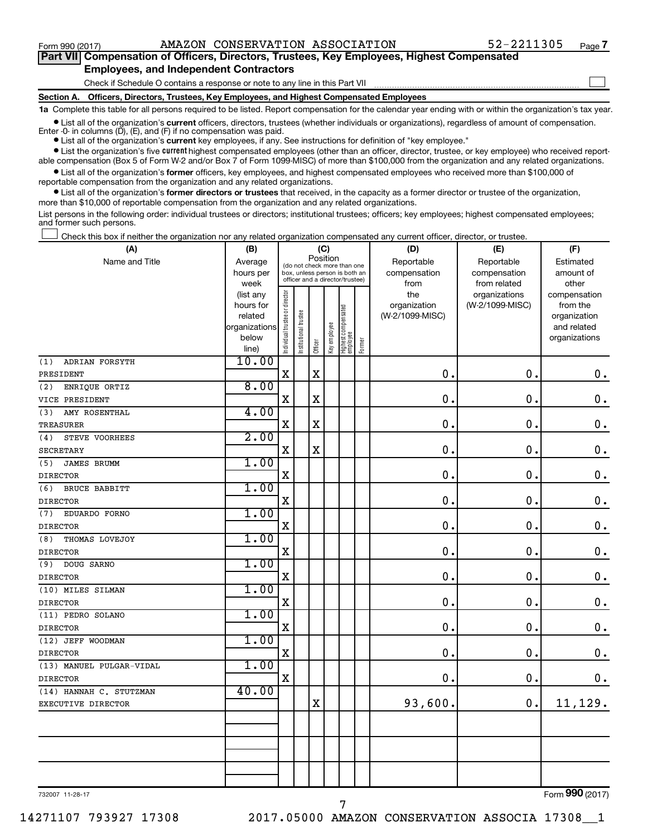$\Box$ 

| Part VII Compensation of Officers, Directors, Trustees, Key Employees, Highest Compensated |  |
|--------------------------------------------------------------------------------------------|--|
| <b>Employees, and Independent Contractors</b>                                              |  |

Check if Schedule O contains a response or note to any line in this Part VII

**Section A. Officers, Directors, Trustees, Key Employees, and Highest Compensated Employees**

**1a**  Complete this table for all persons required to be listed. Report compensation for the calendar year ending with or within the organization's tax year.

**•** List all of the organization's current officers, directors, trustees (whether individuals or organizations), regardless of amount of compensation. Enter -0- in columns  $(D)$ ,  $(E)$ , and  $(F)$  if no compensation was paid.

**•** List all of the organization's **current** key employees, if any. See instructions for definition of "key employee."

**•** List the organization's five current highest compensated employees (other than an officer, director, trustee, or key employee) who received reportable compensation (Box 5 of Form W-2 and/or Box 7 of Form 1099-MISC) of more than \$100,000 from the organization and any related organizations.

**•** List all of the organization's former officers, key employees, and highest compensated employees who received more than \$100,000 of reportable compensation from the organization and any related organizations.

**•** List all of the organization's former directors or trustees that received, in the capacity as a former director or trustee of the organization, more than \$10,000 of reportable compensation from the organization and any related organizations.

List persons in the following order: individual trustees or directors; institutional trustees; officers; key employees; highest compensated employees; and former such persons.

Check this box if neither the organization nor any related organization compensated any current officer, director, or trustee.  $\Box$ 

| (A)                       | (B)                    |                                |                                                                                                             | (C)         |              |                                 |        | (D)             | (E)             | (F)                          |
|---------------------------|------------------------|--------------------------------|-------------------------------------------------------------------------------------------------------------|-------------|--------------|---------------------------------|--------|-----------------|-----------------|------------------------------|
| Name and Title            | Average                |                                | Position<br>(do not check more than one<br>box, unless person is both an<br>officer and a director/trustee) |             |              |                                 |        | Reportable      | Reportable      | Estimated                    |
|                           | hours per              |                                |                                                                                                             |             |              |                                 |        | compensation    | compensation    | amount of                    |
|                           | week                   |                                |                                                                                                             |             |              |                                 |        | from            | from related    | other                        |
|                           | (list any              |                                |                                                                                                             |             |              |                                 |        | the             | organizations   | compensation                 |
|                           | hours for              |                                |                                                                                                             |             |              |                                 |        | organization    | (W-2/1099-MISC) | from the                     |
|                           | related                |                                |                                                                                                             |             |              |                                 |        | (W-2/1099-MISC) |                 | organization                 |
|                           | organizations<br>below |                                |                                                                                                             |             |              |                                 |        |                 |                 | and related<br>organizations |
|                           | line)                  | Individual trustee or director | Institutional trustee                                                                                       | Officer     | Key employee | Highest compensated<br>employee | Former |                 |                 |                              |
| ADRIAN FORSYTH<br>(1)     | 10.00                  |                                |                                                                                                             |             |              |                                 |        |                 |                 |                              |
| PRESIDENT                 |                        | $\mathbf X$                    |                                                                                                             | $\mathbf X$ |              |                                 |        | $\mathbf 0$ .   | $\mathbf 0$ .   | $\mathbf 0$ .                |
| (2)<br>ENRIQUE ORTIZ      | 8.00                   |                                |                                                                                                             |             |              |                                 |        |                 |                 |                              |
| VICE PRESIDENT            |                        | $\mathbf X$                    |                                                                                                             | $\mathbf X$ |              |                                 |        | 0.              | $\mathbf 0$ .   | $\mathbf 0$ .                |
| AMY ROSENTHAL<br>(3)      | 4.00                   |                                |                                                                                                             |             |              |                                 |        |                 |                 |                              |
| <b>TREASURER</b>          |                        | $\mathbf X$                    |                                                                                                             | $\mathbf X$ |              |                                 |        | 0.              | $\mathbf 0$ .   | $\mathbf 0$ .                |
| STEVE VOORHEES<br>(4)     | 2.00                   |                                |                                                                                                             |             |              |                                 |        |                 |                 |                              |
| <b>SECRETARY</b>          |                        | $\mathbf X$                    |                                                                                                             | $\mathbf X$ |              |                                 |        | 0.              | 0.              | $\mathbf 0$ .                |
| (5)<br><b>JAMES BRUMM</b> | 1.00                   |                                |                                                                                                             |             |              |                                 |        |                 |                 |                              |
| <b>DIRECTOR</b>           |                        | $\mathbf X$                    |                                                                                                             |             |              |                                 |        | 0.              | 0.              | $\mathbf 0$ .                |
| (6)<br>BRUCE BABBITT      | 1.00                   |                                |                                                                                                             |             |              |                                 |        |                 |                 |                              |
| <b>DIRECTOR</b>           |                        | $\mathbf X$                    |                                                                                                             |             |              |                                 |        | $\mathbf 0$ .   | 0.              | $\mathbf 0$ .                |
| (7)<br>EDUARDO FORNO      | 1.00                   |                                |                                                                                                             |             |              |                                 |        |                 |                 |                              |
| <b>DIRECTOR</b>           |                        | $\mathbf X$                    |                                                                                                             |             |              |                                 |        | $\mathbf 0$ .   | $\mathbf 0$ .   | $\mathbf 0$ .                |
| THOMAS LOVEJOY<br>(8)     | 1.00                   |                                |                                                                                                             |             |              |                                 |        |                 |                 |                              |
| <b>DIRECTOR</b>           |                        | $\mathbf X$                    |                                                                                                             |             |              |                                 |        | 0.              | 0.              | $\mathbf 0$ .                |
| (9)<br>DOUG SARNO         | 1.00                   |                                |                                                                                                             |             |              |                                 |        |                 |                 |                              |
| <b>DIRECTOR</b>           |                        | $\mathbf X$                    |                                                                                                             |             |              |                                 |        | 0.              | $\mathbf 0$ .   | $\mathbf 0$ .                |
| (10) MILES SILMAN         | 1.00                   |                                |                                                                                                             |             |              |                                 |        |                 |                 |                              |
| <b>DIRECTOR</b>           |                        | $\mathbf X$                    |                                                                                                             |             |              |                                 |        | 0               | $\mathbf 0$ .   | $\mathbf 0$ .                |
| (11) PEDRO SOLANO         | 1.00                   |                                |                                                                                                             |             |              |                                 |        |                 |                 |                              |
| <b>DIRECTOR</b>           |                        | $\mathbf X$                    |                                                                                                             |             |              |                                 |        | $\mathbf 0$     | $\mathbf 0$ .   | $\mathbf 0$ .                |
| (12) JEFF WOODMAN         | 1.00                   |                                |                                                                                                             |             |              |                                 |        |                 |                 |                              |
| <b>DIRECTOR</b>           |                        | X                              |                                                                                                             |             |              |                                 |        | $\mathbf 0$     | 0.              | $\mathbf 0$ .                |
| (13) MANUEL PULGAR-VIDAL  | 1.00                   |                                |                                                                                                             |             |              |                                 |        |                 |                 |                              |
| <b>DIRECTOR</b>           |                        | $\mathbf X$                    |                                                                                                             |             |              |                                 |        | 0.              | 0.              | $0$ .                        |
| (14) HANNAH C. STUTZMAN   | 40.00                  |                                |                                                                                                             |             |              |                                 |        |                 |                 |                              |
| EXECUTIVE DIRECTOR        |                        |                                |                                                                                                             | $\mathbf X$ |              |                                 |        | 93,600.         | 0.              | 11,129.                      |
|                           |                        |                                |                                                                                                             |             |              |                                 |        |                 |                 |                              |
|                           |                        |                                |                                                                                                             |             |              |                                 |        |                 |                 |                              |
|                           |                        |                                |                                                                                                             |             |              |                                 |        |                 |                 |                              |
|                           |                        |                                |                                                                                                             |             |              |                                 |        |                 |                 |                              |
|                           |                        |                                |                                                                                                             |             |              |                                 |        |                 |                 |                              |

7

732007 11-28-17

Form (2017) **990**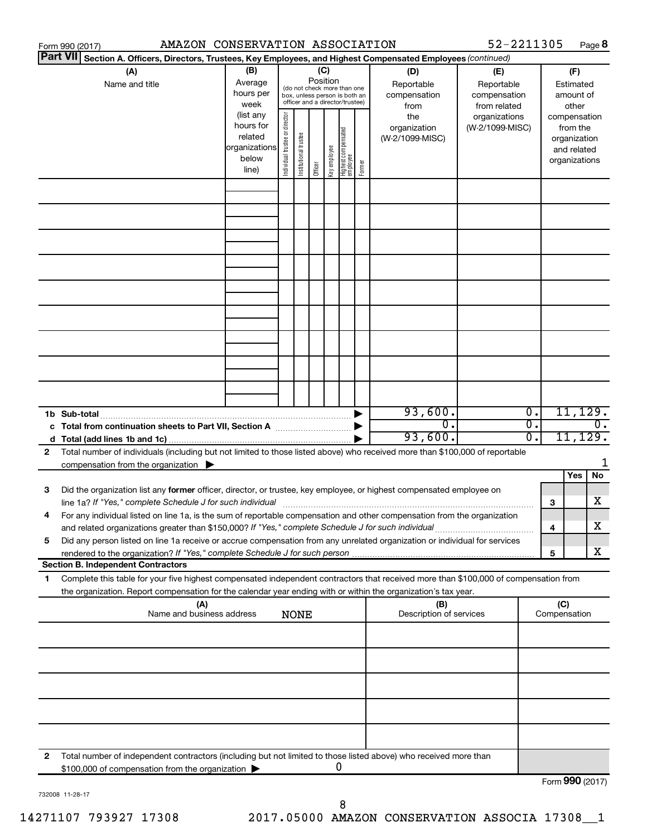|                 | AMAZON CONSERVATION ASSOCIATION<br>Form 990 (2017)                                                                                                                                                                                                     |                                                                      |                                |                       |          |              |                                                                                                 |        |                                                                                                | 52-2211305                       |          |                     |                                                                          | Page 8           |
|-----------------|--------------------------------------------------------------------------------------------------------------------------------------------------------------------------------------------------------------------------------------------------------|----------------------------------------------------------------------|--------------------------------|-----------------------|----------|--------------|-------------------------------------------------------------------------------------------------|--------|------------------------------------------------------------------------------------------------|----------------------------------|----------|---------------------|--------------------------------------------------------------------------|------------------|
| <b>Part VII</b> | Section A. Officers, Directors, Trustees, Key Employees, and Highest Compensated Employees (continued)                                                                                                                                                 |                                                                      |                                |                       |          |              |                                                                                                 |        |                                                                                                |                                  |          |                     |                                                                          |                  |
|                 | (A)<br>Name and title                                                                                                                                                                                                                                  | (B)<br>Average<br>hours per<br>week                                  |                                |                       | Position | (C)          | (do not check more than one<br>box, unless person is both an<br>officer and a director/trustee) |        | (D)<br>(E)<br>Reportable<br>Reportable<br>compensation<br>compensation<br>from related<br>from |                                  |          |                     | (F)<br>Estimated<br>amount of<br>other                                   |                  |
|                 |                                                                                                                                                                                                                                                        | (list any<br>hours for<br>related<br>organizations<br>below<br>line) | Individual trustee or director | Institutional trustee | Officer  | Key employee | Highest compensated<br>  employee                                                               | Former | the<br>organization<br>(W-2/1099-MISC)                                                         | organizations<br>(W-2/1099-MISC) |          |                     | compensation<br>from the<br>organization<br>and related<br>organizations |                  |
|                 |                                                                                                                                                                                                                                                        |                                                                      |                                |                       |          |              |                                                                                                 |        |                                                                                                |                                  |          |                     |                                                                          |                  |
|                 |                                                                                                                                                                                                                                                        |                                                                      |                                |                       |          |              |                                                                                                 |        |                                                                                                |                                  |          |                     |                                                                          |                  |
|                 |                                                                                                                                                                                                                                                        |                                                                      |                                |                       |          |              |                                                                                                 |        |                                                                                                |                                  |          |                     |                                                                          |                  |
|                 |                                                                                                                                                                                                                                                        |                                                                      |                                |                       |          |              |                                                                                                 |        |                                                                                                |                                  |          |                     |                                                                          |                  |
|                 |                                                                                                                                                                                                                                                        |                                                                      |                                |                       |          |              |                                                                                                 |        |                                                                                                |                                  |          |                     |                                                                          |                  |
|                 |                                                                                                                                                                                                                                                        |                                                                      |                                |                       |          |              |                                                                                                 |        |                                                                                                |                                  |          |                     |                                                                          |                  |
|                 |                                                                                                                                                                                                                                                        |                                                                      |                                |                       |          |              |                                                                                                 |        |                                                                                                |                                  |          |                     |                                                                          |                  |
|                 | 1b Sub-total                                                                                                                                                                                                                                           |                                                                      |                                |                       |          |              |                                                                                                 |        | 93,600.                                                                                        |                                  | Ο.       |                     | 11, 129.                                                                 |                  |
|                 | c Total from continuation sheets to Part VII, Section A manufactured by                                                                                                                                                                                |                                                                      |                                |                       |          |              |                                                                                                 |        | $\overline{0}$ .<br>93,600.                                                                    |                                  | σ.<br>0. |                     | 11, 129.                                                                 | $\overline{0}$ . |
| 2               | Total number of individuals (including but not limited to those listed above) who received more than \$100,000 of reportable<br>compensation from the organization $\blacktriangleright$                                                               |                                                                      |                                |                       |          |              |                                                                                                 |        |                                                                                                |                                  |          |                     |                                                                          | 1                |
| 3               | Did the organization list any former officer, director, or trustee, key employee, or highest compensated employee on                                                                                                                                   |                                                                      |                                |                       |          |              |                                                                                                 |        |                                                                                                |                                  |          |                     | Yes                                                                      | No               |
|                 | For any individual listed on line 1a, is the sum of reportable compensation and other compensation from the organization                                                                                                                               |                                                                      |                                |                       |          |              |                                                                                                 |        |                                                                                                |                                  |          | 3                   |                                                                          | х                |
| 5               | and related organizations greater than \$150,000? If "Yes," complete Schedule J for such individual<br>Did any person listed on line 1a receive or accrue compensation from any unrelated organization or individual for services                      |                                                                      |                                |                       |          |              |                                                                                                 |        |                                                                                                |                                  |          | 4                   |                                                                          | х<br>х           |
|                 | <b>Section B. Independent Contractors</b>                                                                                                                                                                                                              |                                                                      |                                |                       |          |              |                                                                                                 |        |                                                                                                |                                  |          | 5                   |                                                                          |                  |
| 1               | Complete this table for your five highest compensated independent contractors that received more than \$100,000 of compensation from<br>the organization. Report compensation for the calendar year ending with or within the organization's tax year. |                                                                      |                                |                       |          |              |                                                                                                 |        |                                                                                                |                                  |          |                     |                                                                          |                  |
|                 | (A)<br>Name and business address                                                                                                                                                                                                                       |                                                                      |                                | <b>NONE</b>           |          |              |                                                                                                 |        | (B)<br>Description of services                                                                 |                                  |          | (C)<br>Compensation |                                                                          |                  |
|                 |                                                                                                                                                                                                                                                        |                                                                      |                                |                       |          |              |                                                                                                 |        |                                                                                                |                                  |          |                     |                                                                          |                  |
|                 |                                                                                                                                                                                                                                                        |                                                                      |                                |                       |          |              |                                                                                                 |        |                                                                                                |                                  |          |                     |                                                                          |                  |
|                 |                                                                                                                                                                                                                                                        |                                                                      |                                |                       |          |              |                                                                                                 |        |                                                                                                |                                  |          |                     |                                                                          |                  |
|                 |                                                                                                                                                                                                                                                        |                                                                      |                                |                       |          |              |                                                                                                 |        |                                                                                                |                                  |          |                     |                                                                          |                  |
| 2               | Total number of independent contractors (including but not limited to those listed above) who received more than<br>\$100,000 of compensation from the organization                                                                                    |                                                                      |                                |                       |          |              | U                                                                                               |        |                                                                                                |                                  |          |                     |                                                                          |                  |
|                 |                                                                                                                                                                                                                                                        |                                                                      |                                |                       |          |              |                                                                                                 |        |                                                                                                |                                  |          |                     | $000 \times 1$                                                           |                  |

732008 11-28-17

Form (2017) **990**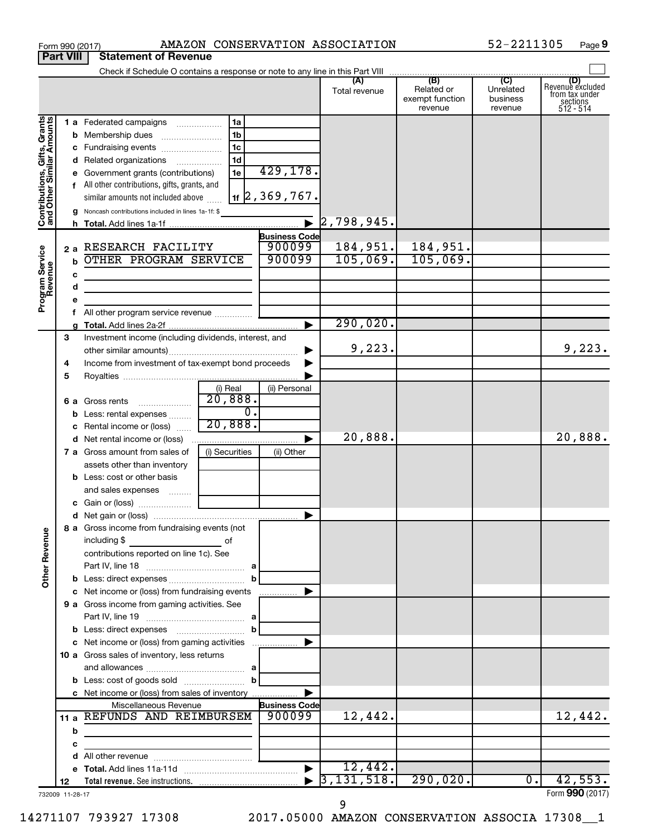| Check if Schedule O contains a response or note to any line in this Part VIII<br>(B)<br>(C)<br>(D)<br>Revenue excluded<br>(A)<br>Related or<br>Unrelated<br>Total revenue<br>from tax under<br>exempt function<br>business<br>$sec$<br>sections<br>512 - 514<br>revenue<br>revenue<br>Contributions, Gifts, Grants<br>and Other Similar Amounts<br>1a<br>1 a Federated campaigns<br>1 <sub>b</sub><br><b>b</b> Membership dues<br>l 1c<br>c Fundraising events<br>1 <sub>d</sub><br>d Related organizations<br>429,178.<br>1e<br>Government grants (contributions)<br>f All other contributions, gifts, grants, and<br>$\vert$ 1f $\vert$ 2, 369, 767.<br>similar amounts not included above<br>g Noncash contributions included in lines 1a-1f: \$<br>$\overline{\blacktriangleright}$<br>2,798,945.<br><b>Business Code</b><br>900099<br>184,951.<br>2 a RESEARCH FACILITY<br>184,951.<br>Program Service<br>Revenue<br>900099<br>105,069.<br>105,069.<br>OTHER PROGRAM SERVICE<br>$\mathbf b$<br>c<br>d<br>the control of the control of the control of the control of<br>e<br>f<br>290,020.<br>$\blacktriangleright$<br>Investment income (including dividends, interest, and<br>3<br>9,223.<br>▶<br>Income from investment of tax-exempt bond proceeds<br>4<br>5<br>(i) Real<br>(ii) Personal<br>20,888.<br>$\ldots \ldots \ldots \ldots \ldots$<br>6 a Gross rents<br>$\overline{0}$ .<br>Less: rental expenses<br>b<br>20,888.<br>Rental income or (loss)<br>c<br>20,888.<br>20,888.<br>▶<br>(i) Securities<br>7 a Gross amount from sales of<br>(ii) Other<br>assets other than inventory<br><b>b</b> Less: cost or other basis<br>and sales expenses<br>$\blacktriangleright$<br>8 a Gross income from fundraising events (not  <br><b>Other Revenue</b><br>including \$<br>оf<br>contributions reported on line 1c). See<br>c Net income or (loss) from fundraising events<br>▶<br>9 a Gross income from gaming activities. See<br>c Net income or (loss) from gaming activities<br>▶<br>10 a Gross sales of inventory, less returns<br>c Net income or (loss) from sales of inventory<br>▶<br><b>Business Code</b><br>Miscellaneous Revenue<br>12,442.<br>11 a REFUNDS AND REIMBURSEM<br>900099<br>12,442.<br>b<br>the control of the control of the control of the control of the control of<br>c<br>d<br>12,442.<br>$\blacktriangleright$<br>3,131,518.<br>290,020.<br>42,553.<br>$\overline{0}$ .<br>12 |  | <b>Part VIII</b> | <b>Statement of Revenue</b> |  |  |                 |
|-----------------------------------------------------------------------------------------------------------------------------------------------------------------------------------------------------------------------------------------------------------------------------------------------------------------------------------------------------------------------------------------------------------------------------------------------------------------------------------------------------------------------------------------------------------------------------------------------------------------------------------------------------------------------------------------------------------------------------------------------------------------------------------------------------------------------------------------------------------------------------------------------------------------------------------------------------------------------------------------------------------------------------------------------------------------------------------------------------------------------------------------------------------------------------------------------------------------------------------------------------------------------------------------------------------------------------------------------------------------------------------------------------------------------------------------------------------------------------------------------------------------------------------------------------------------------------------------------------------------------------------------------------------------------------------------------------------------------------------------------------------------------------------------------------------------------------------------------------------------------------------------------------------------------------------------------------------------------------------------------------------------------------------------------------------------------------------------------------------------------------------------------------------------------------------------------------------------------------------------------------------------------------------------------------------------------------------------------------------------------------------------------------------------------|--|------------------|-----------------------------|--|--|-----------------|
|                                                                                                                                                                                                                                                                                                                                                                                                                                                                                                                                                                                                                                                                                                                                                                                                                                                                                                                                                                                                                                                                                                                                                                                                                                                                                                                                                                                                                                                                                                                                                                                                                                                                                                                                                                                                                                                                                                                                                                                                                                                                                                                                                                                                                                                                                                                                                                                                                       |  |                  |                             |  |  |                 |
|                                                                                                                                                                                                                                                                                                                                                                                                                                                                                                                                                                                                                                                                                                                                                                                                                                                                                                                                                                                                                                                                                                                                                                                                                                                                                                                                                                                                                                                                                                                                                                                                                                                                                                                                                                                                                                                                                                                                                                                                                                                                                                                                                                                                                                                                                                                                                                                                                       |  |                  |                             |  |  |                 |
|                                                                                                                                                                                                                                                                                                                                                                                                                                                                                                                                                                                                                                                                                                                                                                                                                                                                                                                                                                                                                                                                                                                                                                                                                                                                                                                                                                                                                                                                                                                                                                                                                                                                                                                                                                                                                                                                                                                                                                                                                                                                                                                                                                                                                                                                                                                                                                                                                       |  |                  |                             |  |  |                 |
|                                                                                                                                                                                                                                                                                                                                                                                                                                                                                                                                                                                                                                                                                                                                                                                                                                                                                                                                                                                                                                                                                                                                                                                                                                                                                                                                                                                                                                                                                                                                                                                                                                                                                                                                                                                                                                                                                                                                                                                                                                                                                                                                                                                                                                                                                                                                                                                                                       |  |                  |                             |  |  |                 |
|                                                                                                                                                                                                                                                                                                                                                                                                                                                                                                                                                                                                                                                                                                                                                                                                                                                                                                                                                                                                                                                                                                                                                                                                                                                                                                                                                                                                                                                                                                                                                                                                                                                                                                                                                                                                                                                                                                                                                                                                                                                                                                                                                                                                                                                                                                                                                                                                                       |  |                  |                             |  |  |                 |
|                                                                                                                                                                                                                                                                                                                                                                                                                                                                                                                                                                                                                                                                                                                                                                                                                                                                                                                                                                                                                                                                                                                                                                                                                                                                                                                                                                                                                                                                                                                                                                                                                                                                                                                                                                                                                                                                                                                                                                                                                                                                                                                                                                                                                                                                                                                                                                                                                       |  |                  |                             |  |  |                 |
|                                                                                                                                                                                                                                                                                                                                                                                                                                                                                                                                                                                                                                                                                                                                                                                                                                                                                                                                                                                                                                                                                                                                                                                                                                                                                                                                                                                                                                                                                                                                                                                                                                                                                                                                                                                                                                                                                                                                                                                                                                                                                                                                                                                                                                                                                                                                                                                                                       |  |                  |                             |  |  |                 |
|                                                                                                                                                                                                                                                                                                                                                                                                                                                                                                                                                                                                                                                                                                                                                                                                                                                                                                                                                                                                                                                                                                                                                                                                                                                                                                                                                                                                                                                                                                                                                                                                                                                                                                                                                                                                                                                                                                                                                                                                                                                                                                                                                                                                                                                                                                                                                                                                                       |  |                  |                             |  |  |                 |
|                                                                                                                                                                                                                                                                                                                                                                                                                                                                                                                                                                                                                                                                                                                                                                                                                                                                                                                                                                                                                                                                                                                                                                                                                                                                                                                                                                                                                                                                                                                                                                                                                                                                                                                                                                                                                                                                                                                                                                                                                                                                                                                                                                                                                                                                                                                                                                                                                       |  |                  |                             |  |  |                 |
|                                                                                                                                                                                                                                                                                                                                                                                                                                                                                                                                                                                                                                                                                                                                                                                                                                                                                                                                                                                                                                                                                                                                                                                                                                                                                                                                                                                                                                                                                                                                                                                                                                                                                                                                                                                                                                                                                                                                                                                                                                                                                                                                                                                                                                                                                                                                                                                                                       |  |                  |                             |  |  |                 |
|                                                                                                                                                                                                                                                                                                                                                                                                                                                                                                                                                                                                                                                                                                                                                                                                                                                                                                                                                                                                                                                                                                                                                                                                                                                                                                                                                                                                                                                                                                                                                                                                                                                                                                                                                                                                                                                                                                                                                                                                                                                                                                                                                                                                                                                                                                                                                                                                                       |  |                  |                             |  |  |                 |
|                                                                                                                                                                                                                                                                                                                                                                                                                                                                                                                                                                                                                                                                                                                                                                                                                                                                                                                                                                                                                                                                                                                                                                                                                                                                                                                                                                                                                                                                                                                                                                                                                                                                                                                                                                                                                                                                                                                                                                                                                                                                                                                                                                                                                                                                                                                                                                                                                       |  |                  |                             |  |  |                 |
|                                                                                                                                                                                                                                                                                                                                                                                                                                                                                                                                                                                                                                                                                                                                                                                                                                                                                                                                                                                                                                                                                                                                                                                                                                                                                                                                                                                                                                                                                                                                                                                                                                                                                                                                                                                                                                                                                                                                                                                                                                                                                                                                                                                                                                                                                                                                                                                                                       |  |                  |                             |  |  |                 |
|                                                                                                                                                                                                                                                                                                                                                                                                                                                                                                                                                                                                                                                                                                                                                                                                                                                                                                                                                                                                                                                                                                                                                                                                                                                                                                                                                                                                                                                                                                                                                                                                                                                                                                                                                                                                                                                                                                                                                                                                                                                                                                                                                                                                                                                                                                                                                                                                                       |  |                  |                             |  |  |                 |
|                                                                                                                                                                                                                                                                                                                                                                                                                                                                                                                                                                                                                                                                                                                                                                                                                                                                                                                                                                                                                                                                                                                                                                                                                                                                                                                                                                                                                                                                                                                                                                                                                                                                                                                                                                                                                                                                                                                                                                                                                                                                                                                                                                                                                                                                                                                                                                                                                       |  |                  |                             |  |  |                 |
|                                                                                                                                                                                                                                                                                                                                                                                                                                                                                                                                                                                                                                                                                                                                                                                                                                                                                                                                                                                                                                                                                                                                                                                                                                                                                                                                                                                                                                                                                                                                                                                                                                                                                                                                                                                                                                                                                                                                                                                                                                                                                                                                                                                                                                                                                                                                                                                                                       |  |                  |                             |  |  |                 |
|                                                                                                                                                                                                                                                                                                                                                                                                                                                                                                                                                                                                                                                                                                                                                                                                                                                                                                                                                                                                                                                                                                                                                                                                                                                                                                                                                                                                                                                                                                                                                                                                                                                                                                                                                                                                                                                                                                                                                                                                                                                                                                                                                                                                                                                                                                                                                                                                                       |  |                  |                             |  |  |                 |
|                                                                                                                                                                                                                                                                                                                                                                                                                                                                                                                                                                                                                                                                                                                                                                                                                                                                                                                                                                                                                                                                                                                                                                                                                                                                                                                                                                                                                                                                                                                                                                                                                                                                                                                                                                                                                                                                                                                                                                                                                                                                                                                                                                                                                                                                                                                                                                                                                       |  |                  |                             |  |  |                 |
|                                                                                                                                                                                                                                                                                                                                                                                                                                                                                                                                                                                                                                                                                                                                                                                                                                                                                                                                                                                                                                                                                                                                                                                                                                                                                                                                                                                                                                                                                                                                                                                                                                                                                                                                                                                                                                                                                                                                                                                                                                                                                                                                                                                                                                                                                                                                                                                                                       |  |                  |                             |  |  |                 |
|                                                                                                                                                                                                                                                                                                                                                                                                                                                                                                                                                                                                                                                                                                                                                                                                                                                                                                                                                                                                                                                                                                                                                                                                                                                                                                                                                                                                                                                                                                                                                                                                                                                                                                                                                                                                                                                                                                                                                                                                                                                                                                                                                                                                                                                                                                                                                                                                                       |  |                  |                             |  |  | 9,223.          |
|                                                                                                                                                                                                                                                                                                                                                                                                                                                                                                                                                                                                                                                                                                                                                                                                                                                                                                                                                                                                                                                                                                                                                                                                                                                                                                                                                                                                                                                                                                                                                                                                                                                                                                                                                                                                                                                                                                                                                                                                                                                                                                                                                                                                                                                                                                                                                                                                                       |  |                  |                             |  |  |                 |
|                                                                                                                                                                                                                                                                                                                                                                                                                                                                                                                                                                                                                                                                                                                                                                                                                                                                                                                                                                                                                                                                                                                                                                                                                                                                                                                                                                                                                                                                                                                                                                                                                                                                                                                                                                                                                                                                                                                                                                                                                                                                                                                                                                                                                                                                                                                                                                                                                       |  |                  |                             |  |  |                 |
|                                                                                                                                                                                                                                                                                                                                                                                                                                                                                                                                                                                                                                                                                                                                                                                                                                                                                                                                                                                                                                                                                                                                                                                                                                                                                                                                                                                                                                                                                                                                                                                                                                                                                                                                                                                                                                                                                                                                                                                                                                                                                                                                                                                                                                                                                                                                                                                                                       |  |                  |                             |  |  |                 |
|                                                                                                                                                                                                                                                                                                                                                                                                                                                                                                                                                                                                                                                                                                                                                                                                                                                                                                                                                                                                                                                                                                                                                                                                                                                                                                                                                                                                                                                                                                                                                                                                                                                                                                                                                                                                                                                                                                                                                                                                                                                                                                                                                                                                                                                                                                                                                                                                                       |  |                  |                             |  |  |                 |
|                                                                                                                                                                                                                                                                                                                                                                                                                                                                                                                                                                                                                                                                                                                                                                                                                                                                                                                                                                                                                                                                                                                                                                                                                                                                                                                                                                                                                                                                                                                                                                                                                                                                                                                                                                                                                                                                                                                                                                                                                                                                                                                                                                                                                                                                                                                                                                                                                       |  |                  |                             |  |  |                 |
|                                                                                                                                                                                                                                                                                                                                                                                                                                                                                                                                                                                                                                                                                                                                                                                                                                                                                                                                                                                                                                                                                                                                                                                                                                                                                                                                                                                                                                                                                                                                                                                                                                                                                                                                                                                                                                                                                                                                                                                                                                                                                                                                                                                                                                                                                                                                                                                                                       |  |                  |                             |  |  |                 |
|                                                                                                                                                                                                                                                                                                                                                                                                                                                                                                                                                                                                                                                                                                                                                                                                                                                                                                                                                                                                                                                                                                                                                                                                                                                                                                                                                                                                                                                                                                                                                                                                                                                                                                                                                                                                                                                                                                                                                                                                                                                                                                                                                                                                                                                                                                                                                                                                                       |  |                  |                             |  |  |                 |
|                                                                                                                                                                                                                                                                                                                                                                                                                                                                                                                                                                                                                                                                                                                                                                                                                                                                                                                                                                                                                                                                                                                                                                                                                                                                                                                                                                                                                                                                                                                                                                                                                                                                                                                                                                                                                                                                                                                                                                                                                                                                                                                                                                                                                                                                                                                                                                                                                       |  |                  |                             |  |  |                 |
|                                                                                                                                                                                                                                                                                                                                                                                                                                                                                                                                                                                                                                                                                                                                                                                                                                                                                                                                                                                                                                                                                                                                                                                                                                                                                                                                                                                                                                                                                                                                                                                                                                                                                                                                                                                                                                                                                                                                                                                                                                                                                                                                                                                                                                                                                                                                                                                                                       |  |                  |                             |  |  |                 |
|                                                                                                                                                                                                                                                                                                                                                                                                                                                                                                                                                                                                                                                                                                                                                                                                                                                                                                                                                                                                                                                                                                                                                                                                                                                                                                                                                                                                                                                                                                                                                                                                                                                                                                                                                                                                                                                                                                                                                                                                                                                                                                                                                                                                                                                                                                                                                                                                                       |  |                  |                             |  |  |                 |
|                                                                                                                                                                                                                                                                                                                                                                                                                                                                                                                                                                                                                                                                                                                                                                                                                                                                                                                                                                                                                                                                                                                                                                                                                                                                                                                                                                                                                                                                                                                                                                                                                                                                                                                                                                                                                                                                                                                                                                                                                                                                                                                                                                                                                                                                                                                                                                                                                       |  |                  |                             |  |  |                 |
|                                                                                                                                                                                                                                                                                                                                                                                                                                                                                                                                                                                                                                                                                                                                                                                                                                                                                                                                                                                                                                                                                                                                                                                                                                                                                                                                                                                                                                                                                                                                                                                                                                                                                                                                                                                                                                                                                                                                                                                                                                                                                                                                                                                                                                                                                                                                                                                                                       |  |                  |                             |  |  |                 |
|                                                                                                                                                                                                                                                                                                                                                                                                                                                                                                                                                                                                                                                                                                                                                                                                                                                                                                                                                                                                                                                                                                                                                                                                                                                                                                                                                                                                                                                                                                                                                                                                                                                                                                                                                                                                                                                                                                                                                                                                                                                                                                                                                                                                                                                                                                                                                                                                                       |  |                  |                             |  |  |                 |
|                                                                                                                                                                                                                                                                                                                                                                                                                                                                                                                                                                                                                                                                                                                                                                                                                                                                                                                                                                                                                                                                                                                                                                                                                                                                                                                                                                                                                                                                                                                                                                                                                                                                                                                                                                                                                                                                                                                                                                                                                                                                                                                                                                                                                                                                                                                                                                                                                       |  |                  |                             |  |  |                 |
|                                                                                                                                                                                                                                                                                                                                                                                                                                                                                                                                                                                                                                                                                                                                                                                                                                                                                                                                                                                                                                                                                                                                                                                                                                                                                                                                                                                                                                                                                                                                                                                                                                                                                                                                                                                                                                                                                                                                                                                                                                                                                                                                                                                                                                                                                                                                                                                                                       |  |                  |                             |  |  |                 |
|                                                                                                                                                                                                                                                                                                                                                                                                                                                                                                                                                                                                                                                                                                                                                                                                                                                                                                                                                                                                                                                                                                                                                                                                                                                                                                                                                                                                                                                                                                                                                                                                                                                                                                                                                                                                                                                                                                                                                                                                                                                                                                                                                                                                                                                                                                                                                                                                                       |  |                  |                             |  |  |                 |
|                                                                                                                                                                                                                                                                                                                                                                                                                                                                                                                                                                                                                                                                                                                                                                                                                                                                                                                                                                                                                                                                                                                                                                                                                                                                                                                                                                                                                                                                                                                                                                                                                                                                                                                                                                                                                                                                                                                                                                                                                                                                                                                                                                                                                                                                                                                                                                                                                       |  |                  |                             |  |  |                 |
|                                                                                                                                                                                                                                                                                                                                                                                                                                                                                                                                                                                                                                                                                                                                                                                                                                                                                                                                                                                                                                                                                                                                                                                                                                                                                                                                                                                                                                                                                                                                                                                                                                                                                                                                                                                                                                                                                                                                                                                                                                                                                                                                                                                                                                                                                                                                                                                                                       |  |                  |                             |  |  |                 |
|                                                                                                                                                                                                                                                                                                                                                                                                                                                                                                                                                                                                                                                                                                                                                                                                                                                                                                                                                                                                                                                                                                                                                                                                                                                                                                                                                                                                                                                                                                                                                                                                                                                                                                                                                                                                                                                                                                                                                                                                                                                                                                                                                                                                                                                                                                                                                                                                                       |  |                  |                             |  |  |                 |
|                                                                                                                                                                                                                                                                                                                                                                                                                                                                                                                                                                                                                                                                                                                                                                                                                                                                                                                                                                                                                                                                                                                                                                                                                                                                                                                                                                                                                                                                                                                                                                                                                                                                                                                                                                                                                                                                                                                                                                                                                                                                                                                                                                                                                                                                                                                                                                                                                       |  |                  |                             |  |  |                 |
|                                                                                                                                                                                                                                                                                                                                                                                                                                                                                                                                                                                                                                                                                                                                                                                                                                                                                                                                                                                                                                                                                                                                                                                                                                                                                                                                                                                                                                                                                                                                                                                                                                                                                                                                                                                                                                                                                                                                                                                                                                                                                                                                                                                                                                                                                                                                                                                                                       |  |                  |                             |  |  |                 |
|                                                                                                                                                                                                                                                                                                                                                                                                                                                                                                                                                                                                                                                                                                                                                                                                                                                                                                                                                                                                                                                                                                                                                                                                                                                                                                                                                                                                                                                                                                                                                                                                                                                                                                                                                                                                                                                                                                                                                                                                                                                                                                                                                                                                                                                                                                                                                                                                                       |  |                  |                             |  |  |                 |
|                                                                                                                                                                                                                                                                                                                                                                                                                                                                                                                                                                                                                                                                                                                                                                                                                                                                                                                                                                                                                                                                                                                                                                                                                                                                                                                                                                                                                                                                                                                                                                                                                                                                                                                                                                                                                                                                                                                                                                                                                                                                                                                                                                                                                                                                                                                                                                                                                       |  |                  |                             |  |  |                 |
|                                                                                                                                                                                                                                                                                                                                                                                                                                                                                                                                                                                                                                                                                                                                                                                                                                                                                                                                                                                                                                                                                                                                                                                                                                                                                                                                                                                                                                                                                                                                                                                                                                                                                                                                                                                                                                                                                                                                                                                                                                                                                                                                                                                                                                                                                                                                                                                                                       |  |                  |                             |  |  |                 |
|                                                                                                                                                                                                                                                                                                                                                                                                                                                                                                                                                                                                                                                                                                                                                                                                                                                                                                                                                                                                                                                                                                                                                                                                                                                                                                                                                                                                                                                                                                                                                                                                                                                                                                                                                                                                                                                                                                                                                                                                                                                                                                                                                                                                                                                                                                                                                                                                                       |  |                  |                             |  |  |                 |
|                                                                                                                                                                                                                                                                                                                                                                                                                                                                                                                                                                                                                                                                                                                                                                                                                                                                                                                                                                                                                                                                                                                                                                                                                                                                                                                                                                                                                                                                                                                                                                                                                                                                                                                                                                                                                                                                                                                                                                                                                                                                                                                                                                                                                                                                                                                                                                                                                       |  |                  |                             |  |  |                 |
|                                                                                                                                                                                                                                                                                                                                                                                                                                                                                                                                                                                                                                                                                                                                                                                                                                                                                                                                                                                                                                                                                                                                                                                                                                                                                                                                                                                                                                                                                                                                                                                                                                                                                                                                                                                                                                                                                                                                                                                                                                                                                                                                                                                                                                                                                                                                                                                                                       |  |                  |                             |  |  |                 |
|                                                                                                                                                                                                                                                                                                                                                                                                                                                                                                                                                                                                                                                                                                                                                                                                                                                                                                                                                                                                                                                                                                                                                                                                                                                                                                                                                                                                                                                                                                                                                                                                                                                                                                                                                                                                                                                                                                                                                                                                                                                                                                                                                                                                                                                                                                                                                                                                                       |  |                  |                             |  |  |                 |
|                                                                                                                                                                                                                                                                                                                                                                                                                                                                                                                                                                                                                                                                                                                                                                                                                                                                                                                                                                                                                                                                                                                                                                                                                                                                                                                                                                                                                                                                                                                                                                                                                                                                                                                                                                                                                                                                                                                                                                                                                                                                                                                                                                                                                                                                                                                                                                                                                       |  |                  |                             |  |  |                 |
|                                                                                                                                                                                                                                                                                                                                                                                                                                                                                                                                                                                                                                                                                                                                                                                                                                                                                                                                                                                                                                                                                                                                                                                                                                                                                                                                                                                                                                                                                                                                                                                                                                                                                                                                                                                                                                                                                                                                                                                                                                                                                                                                                                                                                                                                                                                                                                                                                       |  |                  |                             |  |  |                 |
|                                                                                                                                                                                                                                                                                                                                                                                                                                                                                                                                                                                                                                                                                                                                                                                                                                                                                                                                                                                                                                                                                                                                                                                                                                                                                                                                                                                                                                                                                                                                                                                                                                                                                                                                                                                                                                                                                                                                                                                                                                                                                                                                                                                                                                                                                                                                                                                                                       |  |                  |                             |  |  |                 |
| 732009 11-28-17                                                                                                                                                                                                                                                                                                                                                                                                                                                                                                                                                                                                                                                                                                                                                                                                                                                                                                                                                                                                                                                                                                                                                                                                                                                                                                                                                                                                                                                                                                                                                                                                                                                                                                                                                                                                                                                                                                                                                                                                                                                                                                                                                                                                                                                                                                                                                                                                       |  |                  |                             |  |  | Form 990 (2017) |

Form 990 (2017) Page AMAZON CONSERVATION ASSOCIATION 52-2211305

52-2211305 Page 9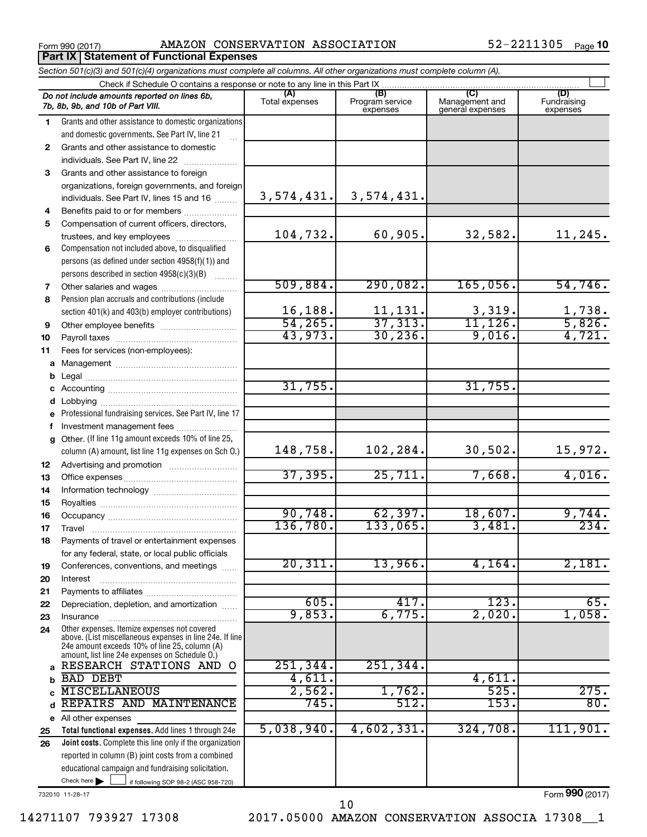**Part IX Statement of Functional Expenses**

Form 990 (2017) Page AMAZON CONSERVATION ASSOCIATION 52-2211305

|          | Section 501(c)(3) and 501(c)(4) organizations must complete all columns. All other organizations must complete column (A).                                |                           |                                    |                                           |                                |
|----------|-----------------------------------------------------------------------------------------------------------------------------------------------------------|---------------------------|------------------------------------|-------------------------------------------|--------------------------------|
|          | Check if Schedule O contains a response or note to any line in this Part IX.                                                                              |                           |                                    |                                           |                                |
|          | Do not include amounts reported on lines 6b,<br>7b, 8b, 9b, and 10b of Part VIII.                                                                         | (A)<br>Total expenses     | (B)<br>Program service<br>expenses | (C)<br>Management and<br>general expenses | (D)<br>Fundraising<br>expenses |
| 1        | Grants and other assistance to domestic organizations                                                                                                     |                           |                                    |                                           |                                |
|          | and domestic governments. See Part IV, line 21                                                                                                            |                           |                                    |                                           |                                |
| 2        | Grants and other assistance to domestic                                                                                                                   |                           |                                    |                                           |                                |
|          | individuals. See Part IV, line 22                                                                                                                         |                           |                                    |                                           |                                |
| 3        | Grants and other assistance to foreign                                                                                                                    |                           |                                    |                                           |                                |
|          | organizations, foreign governments, and foreign                                                                                                           |                           |                                    |                                           |                                |
|          | individuals. See Part IV, lines 15 and 16                                                                                                                 | 3,574,431.                | 3,574,431.                         |                                           |                                |
| 4        | Benefits paid to or for members                                                                                                                           |                           |                                    |                                           |                                |
| 5        | Compensation of current officers, directors,                                                                                                              |                           |                                    |                                           |                                |
|          | trustees, and key employees                                                                                                                               | 104,732.                  | 60,905.                            | 32,582.                                   | 11,245.                        |
| 6        | Compensation not included above, to disqualified                                                                                                          |                           |                                    |                                           |                                |
|          | persons (as defined under section 4958(f)(1)) and                                                                                                         |                           |                                    |                                           |                                |
|          | persons described in section 4958(c)(3)(B)                                                                                                                |                           |                                    |                                           |                                |
| 7        |                                                                                                                                                           | 509,884.                  | 290,082.                           | 165,056.                                  | 54,746.                        |
| 8        | Pension plan accruals and contributions (include                                                                                                          |                           |                                    |                                           |                                |
|          | section 401(k) and 403(b) employer contributions)                                                                                                         | $\frac{16,188.}{54,265.}$ | $\frac{11,131}{37,313}$            | $\frac{3,319}{11,126}$                    | $\frac{1,738}{5,826}$          |
| 9        |                                                                                                                                                           |                           |                                    |                                           |                                |
| 10       |                                                                                                                                                           | 43,973.                   | 30, 236.                           | 9,016.                                    | 4,721.                         |
| 11       | Fees for services (non-employees):                                                                                                                        |                           |                                    |                                           |                                |
| a        |                                                                                                                                                           |                           |                                    |                                           |                                |
| b        |                                                                                                                                                           | 31,755.                   |                                    | 31,755.                                   |                                |
|          |                                                                                                                                                           |                           |                                    |                                           |                                |
|          |                                                                                                                                                           |                           |                                    |                                           |                                |
| е        | Professional fundraising services. See Part IV, line 17                                                                                                   |                           |                                    |                                           |                                |
| f        | Investment management fees<br>Other. (If line 11g amount exceeds 10% of line 25,                                                                          |                           |                                    |                                           |                                |
| g        | column (A) amount, list line 11g expenses on Sch O.)                                                                                                      | 148,758.                  | 102,284.                           | 30,502.                                   | 15,972.                        |
| 12       |                                                                                                                                                           |                           |                                    |                                           |                                |
| 13       |                                                                                                                                                           | 37, 395.                  | 25,711.                            | 7,668.                                    | 4,016.                         |
| 14       |                                                                                                                                                           |                           |                                    |                                           |                                |
| 15       |                                                                                                                                                           | 90,748.                   | 62, 397.                           |                                           |                                |
| 16       |                                                                                                                                                           | 136,780.                  | 133,065.                           | 18,607.<br>3,481.                         | 9,744.<br>234.                 |
| 17       |                                                                                                                                                           |                           |                                    |                                           |                                |
| 18       | Payments of travel or entertainment expenses                                                                                                              |                           |                                    |                                           |                                |
|          | for any federal, state, or local public officials                                                                                                         | 20,311.                   | 13,966                             | 4,164.                                    | 2,181.                         |
| 19       | Conferences, conventions, and meetings                                                                                                                    |                           |                                    |                                           |                                |
| 20<br>21 | Interest                                                                                                                                                  |                           |                                    |                                           |                                |
| 22       | Depreciation, depletion, and amortization                                                                                                                 | 605.                      | 417.                               | 123.                                      | 65.                            |
| 23       | Insurance                                                                                                                                                 | 9,853.                    | 6,775.                             | 2,020                                     | 1,058.                         |
| 24       | Other expenses. Itemize expenses not covered<br>above. (List miscellaneous expenses in line 24e. If line<br>24e amount exceeds 10% of line 25, column (A) |                           |                                    |                                           |                                |
|          | amount, list line 24e expenses on Schedule O.)                                                                                                            |                           |                                    |                                           |                                |
| a        | RESEARCH STATIONS AND<br>O                                                                                                                                | 251, 344.                 | 251, 344.                          |                                           |                                |
| b        | <b>BAD DEBT</b>                                                                                                                                           | 4,611.                    |                                    | 4,611                                     |                                |
| C        | <b>MISCELLANEOUS</b>                                                                                                                                      | 2,562.                    | 1,762.                             | 525.                                      | 275.                           |
| d        | REPAIRS AND MAINTENANCE                                                                                                                                   | 745.                      | 512.                               | 153.                                      | 80.                            |
|          | e All other expenses                                                                                                                                      |                           |                                    |                                           |                                |
| 25       | Total functional expenses. Add lines 1 through 24e                                                                                                        | 5,038,940.                | 4,602,331.                         | 324,708.                                  | 111,901.                       |
| 26       | Joint costs. Complete this line only if the organization                                                                                                  |                           |                                    |                                           |                                |
|          | reported in column (B) joint costs from a combined                                                                                                        |                           |                                    |                                           |                                |
|          | educational campaign and fundraising solicitation.<br>Check here $\blacktriangleright$                                                                    |                           |                                    |                                           |                                |
|          | if following SOP 98-2 (ASC 958-720)                                                                                                                       |                           |                                    |                                           |                                |

732010 11-28-17

14271107 793927 17308 2017.05000 AMAZON CONSERVATION ASSOCIA 17308\_\_1

10

Form (2017) **990**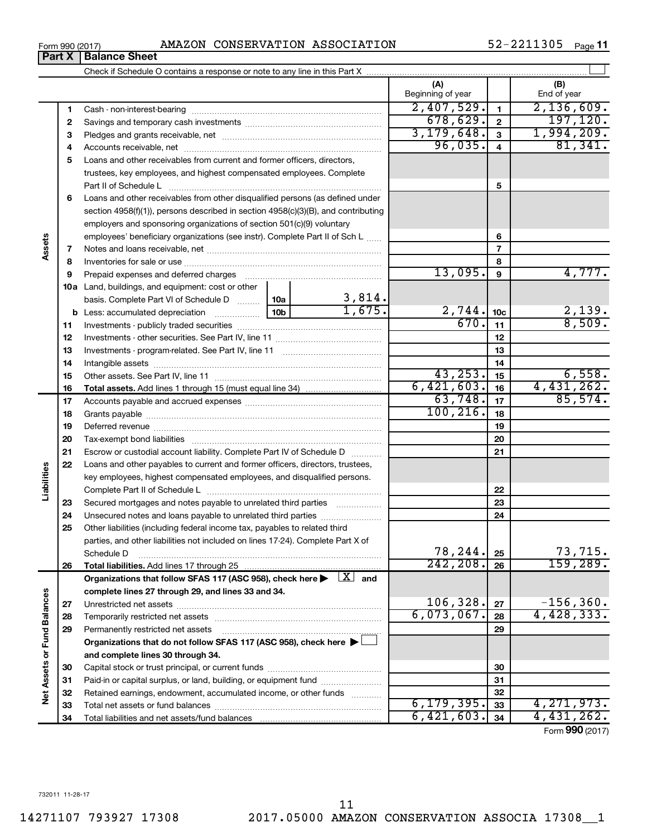**34**

Total liabilities and net assets/fund balances

**Net Assets or Fund Balances**

Net Assets or Fund Balances

**Assets**

**Liabilities**

**34**

 $6,421,603.$   $34$   $4,431,262.$ 

Form (2017) **990**

**Part X** | **Balance Sheet** 

|    |                                                                                                                         |  |                       | (A)<br>Beginning of year     |                         | (B)<br>End of year      |
|----|-------------------------------------------------------------------------------------------------------------------------|--|-----------------------|------------------------------|-------------------------|-------------------------|
| 1  |                                                                                                                         |  |                       | 2,407,529.                   | $\mathbf{1}$            | 2,136,609.              |
| 2  |                                                                                                                         |  |                       | 678,629.                     | $\overline{\mathbf{2}}$ | 197, 120.               |
| 3  |                                                                                                                         |  |                       | 3, 179, 648.                 | 3                       | 1,994,209.              |
| 4  |                                                                                                                         |  |                       | 96,035.                      | $\overline{4}$          | 81,341.                 |
| 5  | Loans and other receivables from current and former officers, directors,                                                |  |                       |                              |                         |                         |
|    | trustees, key employees, and highest compensated employees. Complete                                                    |  |                       |                              |                         |                         |
|    | Part II of Schedule L                                                                                                   |  |                       |                              | 5                       |                         |
| 6  | Loans and other receivables from other disqualified persons (as defined under                                           |  |                       |                              |                         |                         |
|    | section $4958(f)(1)$ , persons described in section $4958(c)(3)(B)$ , and contributing                                  |  |                       |                              |                         |                         |
|    | employers and sponsoring organizations of section 501(c)(9) voluntary                                                   |  |                       |                              |                         |                         |
|    | employees' beneficiary organizations (see instr). Complete Part II of Sch L                                             |  |                       |                              | 6                       |                         |
| 7  |                                                                                                                         |  |                       |                              | $\overline{7}$          |                         |
| 8  |                                                                                                                         |  |                       |                              | 8                       |                         |
| 9  |                                                                                                                         |  |                       | 13,095.                      | 9                       | 4,777.                  |
|    | 10a Land, buildings, and equipment: cost or other                                                                       |  |                       |                              |                         |                         |
|    | basis. Complete Part VI of Schedule D  10a                                                                              |  | $\frac{3,814}{1,675}$ |                              |                         |                         |
|    |                                                                                                                         |  |                       | $\frac{2,744}{670 \cdot 11}$ |                         | $\frac{2,139}{8,509}$ . |
| 11 |                                                                                                                         |  |                       |                              | 11                      |                         |
| 12 |                                                                                                                         |  | 12                    |                              |                         |                         |
| 13 |                                                                                                                         |  |                       |                              | 13                      |                         |
| 14 |                                                                                                                         |  |                       |                              | 14                      |                         |
| 15 |                                                                                                                         |  |                       | 43, 253.                     | 15                      | 6,558.                  |
| 16 |                                                                                                                         |  |                       | 6,421,603.                   | 16                      | 4,431,262.              |
| 17 |                                                                                                                         |  |                       | 63,748.                      | 17                      | 85,574.                 |
| 18 |                                                                                                                         |  |                       | 100, 216.                    | 18                      |                         |
| 19 |                                                                                                                         |  |                       |                              | 19                      |                         |
| 20 |                                                                                                                         |  |                       |                              | 20                      |                         |
| 21 | Escrow or custodial account liability. Complete Part IV of Schedule D                                                   |  |                       |                              | 21                      |                         |
| 22 | Loans and other payables to current and former officers, directors, trustees,                                           |  |                       |                              |                         |                         |
|    | key employees, highest compensated employees, and disqualified persons.                                                 |  |                       |                              |                         |                         |
|    |                                                                                                                         |  |                       |                              | 22                      |                         |
| 23 | Secured mortgages and notes payable to unrelated third parties                                                          |  |                       |                              | 23                      |                         |
| 24 | Unsecured notes and loans payable to unrelated third parties                                                            |  |                       |                              | 24                      |                         |
| 25 | Other liabilities (including federal income tax, payables to related third                                              |  |                       |                              |                         |                         |
|    | parties, and other liabilities not included on lines 17-24). Complete Part X of                                         |  |                       | 78,244.                      | 25                      | 73,715.                 |
| 26 | Schedule D                                                                                                              |  |                       | 242, 208.                    | 26                      | 159, 289.               |
|    | Organizations that follow SFAS 117 (ASC 958), check here $\blacktriangleright \begin{array}{c} \perp X \end{array}$ and |  |                       |                              |                         |                         |
|    | complete lines 27 through 29, and lines 33 and 34.                                                                      |  |                       |                              |                         |                         |
| 27 |                                                                                                                         |  |                       | 106,328.                     | 27                      | $-156, 360.$            |
| 28 |                                                                                                                         |  |                       | 6,073,067.                   | 28                      | 4,428,333.              |
| 29 | Permanently restricted net assets                                                                                       |  |                       |                              | 29                      |                         |
|    | Organizations that do not follow SFAS 117 (ASC 958), check here ▶                                                       |  |                       |                              |                         |                         |
|    | and complete lines 30 through 34.                                                                                       |  |                       |                              |                         |                         |
| 30 |                                                                                                                         |  |                       |                              | 30                      |                         |
| 31 | Paid-in or capital surplus, or land, building, or equipment fund                                                        |  |                       |                              | 31                      |                         |
| 32 | Retained earnings, endowment, accumulated income, or other funds                                                        |  |                       |                              | 32                      |                         |
| 33 | Total net assets or fund balances                                                                                       |  | 6, 179, 395.          | 33                           | 4,271,973.              |                         |

52-2211305 Page 11

†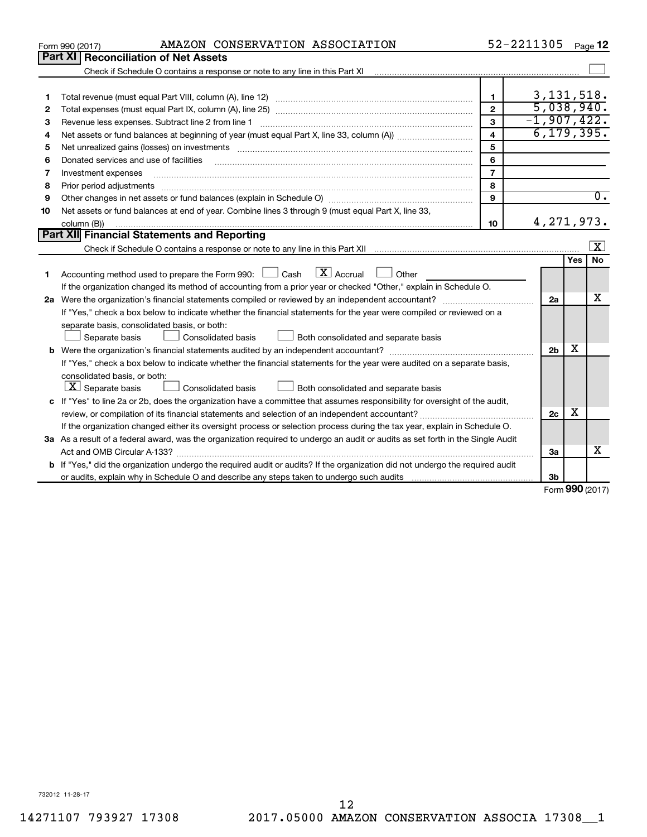|         | AMAZON CONSERVATION ASSOCIATION<br>Form 990 (2017)                                                                                                                                                                                                                                                                                                                                                                                                                      |                | 52-2211305                    |                    | Page 12          |  |  |  |
|---------|-------------------------------------------------------------------------------------------------------------------------------------------------------------------------------------------------------------------------------------------------------------------------------------------------------------------------------------------------------------------------------------------------------------------------------------------------------------------------|----------------|-------------------------------|--------------------|------------------|--|--|--|
| Part XI | <b>Reconciliation of Net Assets</b>                                                                                                                                                                                                                                                                                                                                                                                                                                     |                |                               |                    |                  |  |  |  |
|         |                                                                                                                                                                                                                                                                                                                                                                                                                                                                         |                |                               |                    |                  |  |  |  |
|         |                                                                                                                                                                                                                                                                                                                                                                                                                                                                         |                |                               |                    |                  |  |  |  |
| 1       |                                                                                                                                                                                                                                                                                                                                                                                                                                                                         | $\mathbf{1}$   | 3, 131, 518.                  |                    |                  |  |  |  |
| 2       |                                                                                                                                                                                                                                                                                                                                                                                                                                                                         | $\mathbf{2}$   | 5,038,940.                    |                    |                  |  |  |  |
| 3       | Revenue less expenses. Subtract line 2 from line 1                                                                                                                                                                                                                                                                                                                                                                                                                      | 3              | $-1,907,422.$<br>6, 179, 395. |                    |                  |  |  |  |
| 4       | $\overline{\mathbf{4}}$                                                                                                                                                                                                                                                                                                                                                                                                                                                 |                |                               |                    |                  |  |  |  |
| 5       |                                                                                                                                                                                                                                                                                                                                                                                                                                                                         | 5              |                               |                    |                  |  |  |  |
| 6       | Donated services and use of facilities                                                                                                                                                                                                                                                                                                                                                                                                                                  | 6              |                               |                    |                  |  |  |  |
| 7       | Investment expenses                                                                                                                                                                                                                                                                                                                                                                                                                                                     | $\overline{7}$ |                               |                    |                  |  |  |  |
| 8       | Prior period adjustments<br>$\begin{minipage}{0.5\textwidth} \begin{tabular}{ l l l } \hline \multicolumn{1}{ l l l } \hline \multicolumn{1}{ l l } \multicolumn{1}{ l } \multicolumn{1}{ l } \multicolumn{1}{ l } \multicolumn{1}{ l } \multicolumn{1}{ l } \multicolumn{1}{ l } \multicolumn{1}{ l } \multicolumn{1}{ l } \multicolumn{1}{ l } \multicolumn{1}{ l } \multicolumn{1}{ l } \multicolumn{1}{ l } \multicolumn{1}{ l } \multicolumn{1}{ l } \multicolumn$ | 8              |                               |                    |                  |  |  |  |
| 9       |                                                                                                                                                                                                                                                                                                                                                                                                                                                                         | 9              |                               |                    | $\overline{0}$ . |  |  |  |
| 10      | Net assets or fund balances at end of year. Combine lines 3 through 9 (must equal Part X, line 33,                                                                                                                                                                                                                                                                                                                                                                      |                |                               |                    |                  |  |  |  |
|         | column (B))                                                                                                                                                                                                                                                                                                                                                                                                                                                             | 10             | 4, 271, 973.                  |                    |                  |  |  |  |
|         | Part XII Financial Statements and Reporting                                                                                                                                                                                                                                                                                                                                                                                                                             |                |                               |                    |                  |  |  |  |
|         |                                                                                                                                                                                                                                                                                                                                                                                                                                                                         |                |                               |                    | $\mathbf{X}$     |  |  |  |
|         |                                                                                                                                                                                                                                                                                                                                                                                                                                                                         |                |                               | Yes                | <b>No</b>        |  |  |  |
| 1       | $X$ Accrual<br>Accounting method used to prepare the Form 990: $\Box$ Cash<br>Other                                                                                                                                                                                                                                                                                                                                                                                     |                |                               |                    |                  |  |  |  |
|         | If the organization changed its method of accounting from a prior year or checked "Other," explain in Schedule O.                                                                                                                                                                                                                                                                                                                                                       |                |                               |                    |                  |  |  |  |
|         |                                                                                                                                                                                                                                                                                                                                                                                                                                                                         |                | 2a                            |                    | x                |  |  |  |
|         | If "Yes," check a box below to indicate whether the financial statements for the year were compiled or reviewed on a                                                                                                                                                                                                                                                                                                                                                    |                |                               |                    |                  |  |  |  |
|         | separate basis, consolidated basis, or both:                                                                                                                                                                                                                                                                                                                                                                                                                            |                |                               |                    |                  |  |  |  |
|         | Separate basis<br><b>Consolidated basis</b><br>Both consolidated and separate basis                                                                                                                                                                                                                                                                                                                                                                                     |                |                               |                    |                  |  |  |  |
|         |                                                                                                                                                                                                                                                                                                                                                                                                                                                                         |                | 2 <sub>b</sub>                | x                  |                  |  |  |  |
|         | If "Yes," check a box below to indicate whether the financial statements for the year were audited on a separate basis,                                                                                                                                                                                                                                                                                                                                                 |                |                               |                    |                  |  |  |  |
|         | consolidated basis, or both:                                                                                                                                                                                                                                                                                                                                                                                                                                            |                |                               |                    |                  |  |  |  |
|         | $ \mathbf{X} $ Separate basis<br><b>Consolidated basis</b><br>Both consolidated and separate basis                                                                                                                                                                                                                                                                                                                                                                      |                |                               |                    |                  |  |  |  |
|         | c If "Yes" to line 2a or 2b, does the organization have a committee that assumes responsibility for oversight of the audit,                                                                                                                                                                                                                                                                                                                                             |                |                               |                    |                  |  |  |  |
|         |                                                                                                                                                                                                                                                                                                                                                                                                                                                                         |                | 2c                            | х                  |                  |  |  |  |
|         | If the organization changed either its oversight process or selection process during the tax year, explain in Schedule O.                                                                                                                                                                                                                                                                                                                                               |                |                               |                    |                  |  |  |  |
|         | 3a As a result of a federal award, was the organization required to undergo an audit or audits as set forth in the Single Audit                                                                                                                                                                                                                                                                                                                                         |                |                               |                    |                  |  |  |  |
|         |                                                                                                                                                                                                                                                                                                                                                                                                                                                                         |                | За                            |                    | x                |  |  |  |
|         | <b>b</b> If "Yes," did the organization undergo the required audit or audits? If the organization did not undergo the required audit                                                                                                                                                                                                                                                                                                                                    |                |                               |                    |                  |  |  |  |
|         |                                                                                                                                                                                                                                                                                                                                                                                                                                                                         |                | 3b                            | $000 \, \text{mm}$ |                  |  |  |  |

Form (2017) **990**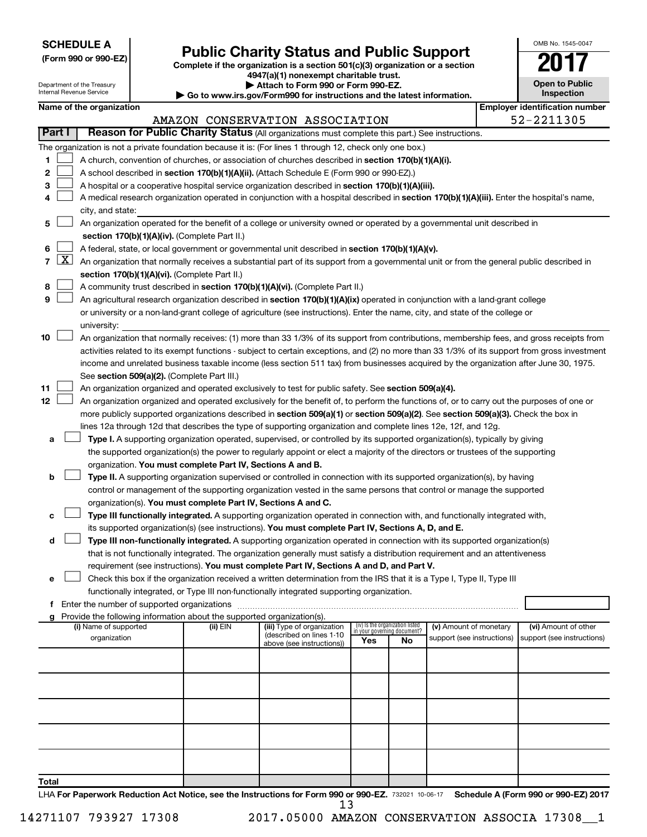| <b>SCHEDULE A</b> |  |
|-------------------|--|
|-------------------|--|

# **Public Charity Status and Public Support**<br> **Addition is a section 501(c)(3) organization or a section**<br>  $4947(a)(1)$  nonexempt charitable trust.

**(Form 990 or 990-EZ) Complete if the organization is a section 501(c)(3) organization or a section**

| OMB No 1545-0047                    |
|-------------------------------------|
|                                     |
| <b>Open to Public</b><br>Inspection |

| $\frac{1}{2}$ and $\frac{1}{2}$ indirecting channel and $\frac{1}{2}$<br><b>Open to Public</b><br>Department of the Treasury<br>Attach to Form 990 or Form 990-EZ.<br>Internal Revenue Service<br>Inspection<br>Go to www.irs.gov/Form990 for instructions and the latest information. |                 |                                                                                                  |                                             |                                                                        |                                                                                                                                               |                                                                |     |                            |  |                                       |  |  |
|----------------------------------------------------------------------------------------------------------------------------------------------------------------------------------------------------------------------------------------------------------------------------------------|-----------------|--------------------------------------------------------------------------------------------------|---------------------------------------------|------------------------------------------------------------------------|-----------------------------------------------------------------------------------------------------------------------------------------------|----------------------------------------------------------------|-----|----------------------------|--|---------------------------------------|--|--|
|                                                                                                                                                                                                                                                                                        |                 | Name of the organization                                                                         |                                             |                                                                        |                                                                                                                                               |                                                                |     |                            |  | <b>Employer identification number</b> |  |  |
|                                                                                                                                                                                                                                                                                        |                 |                                                                                                  |                                             |                                                                        | AMAZON CONSERVATION ASSOCIATION                                                                                                               |                                                                |     |                            |  | 52-2211305                            |  |  |
|                                                                                                                                                                                                                                                                                        | Part I          |                                                                                                  |                                             |                                                                        | Reason for Public Charity Status (All organizations must complete this part.) See instructions.                                               |                                                                |     |                            |  |                                       |  |  |
|                                                                                                                                                                                                                                                                                        |                 |                                                                                                  |                                             |                                                                        | The organization is not a private foundation because it is: (For lines 1 through 12, check only one box.)                                     |                                                                |     |                            |  |                                       |  |  |
|                                                                                                                                                                                                                                                                                        |                 |                                                                                                  |                                             |                                                                        |                                                                                                                                               |                                                                |     |                            |  |                                       |  |  |
| 1                                                                                                                                                                                                                                                                                      |                 |                                                                                                  |                                             |                                                                        | A church, convention of churches, or association of churches described in section 170(b)(1)(A)(i).                                            |                                                                |     |                            |  |                                       |  |  |
| 2                                                                                                                                                                                                                                                                                      |                 |                                                                                                  |                                             |                                                                        | A school described in section 170(b)(1)(A)(ii). (Attach Schedule E (Form 990 or 990-EZ).)                                                     |                                                                |     |                            |  |                                       |  |  |
| з                                                                                                                                                                                                                                                                                      |                 |                                                                                                  |                                             |                                                                        | A hospital or a cooperative hospital service organization described in section 170(b)(1)(A)(iii).                                             |                                                                |     |                            |  |                                       |  |  |
|                                                                                                                                                                                                                                                                                        |                 |                                                                                                  |                                             |                                                                        | A medical research organization operated in conjunction with a hospital described in section 170(b)(1)(A)(iii). Enter the hospital's name,    |                                                                |     |                            |  |                                       |  |  |
|                                                                                                                                                                                                                                                                                        |                 | city, and state:                                                                                 |                                             |                                                                        |                                                                                                                                               |                                                                |     |                            |  |                                       |  |  |
| 5.                                                                                                                                                                                                                                                                                     |                 |                                                                                                  |                                             |                                                                        | An organization operated for the benefit of a college or university owned or operated by a governmental unit described in                     |                                                                |     |                            |  |                                       |  |  |
|                                                                                                                                                                                                                                                                                        |                 |                                                                                                  |                                             | section 170(b)(1)(A)(iv). (Complete Part II.)                          |                                                                                                                                               |                                                                |     |                            |  |                                       |  |  |
| 6                                                                                                                                                                                                                                                                                      |                 | A federal, state, or local government or governmental unit described in section 170(b)(1)(A)(v). |                                             |                                                                        |                                                                                                                                               |                                                                |     |                            |  |                                       |  |  |
|                                                                                                                                                                                                                                                                                        | $7 \mid X \mid$ |                                                                                                  |                                             |                                                                        | An organization that normally receives a substantial part of its support from a governmental unit or from the general public described in     |                                                                |     |                            |  |                                       |  |  |
|                                                                                                                                                                                                                                                                                        |                 |                                                                                                  |                                             | section 170(b)(1)(A)(vi). (Complete Part II.)                          |                                                                                                                                               |                                                                |     |                            |  |                                       |  |  |
| 8                                                                                                                                                                                                                                                                                      |                 |                                                                                                  |                                             |                                                                        | A community trust described in section 170(b)(1)(A)(vi). (Complete Part II.)                                                                  |                                                                |     |                            |  |                                       |  |  |
| 9                                                                                                                                                                                                                                                                                      |                 |                                                                                                  |                                             |                                                                        | An agricultural research organization described in section 170(b)(1)(A)(ix) operated in conjunction with a land-grant college                 |                                                                |     |                            |  |                                       |  |  |
|                                                                                                                                                                                                                                                                                        |                 |                                                                                                  |                                             |                                                                        | or university or a non-land-grant college of agriculture (see instructions). Enter the name, city, and state of the college or                |                                                                |     |                            |  |                                       |  |  |
|                                                                                                                                                                                                                                                                                        |                 | university:                                                                                      |                                             |                                                                        |                                                                                                                                               |                                                                |     |                            |  |                                       |  |  |
| 10                                                                                                                                                                                                                                                                                     |                 |                                                                                                  |                                             |                                                                        | An organization that normally receives: (1) more than 33 1/3% of its support from contributions, membership fees, and gross receipts from     |                                                                |     |                            |  |                                       |  |  |
|                                                                                                                                                                                                                                                                                        |                 |                                                                                                  |                                             |                                                                        | activities related to its exempt functions - subject to certain exceptions, and (2) no more than 33 1/3% of its support from gross investment |                                                                |     |                            |  |                                       |  |  |
|                                                                                                                                                                                                                                                                                        |                 |                                                                                                  |                                             |                                                                        | income and unrelated business taxable income (less section 511 tax) from businesses acquired by the organization after June 30, 1975.         |                                                                |     |                            |  |                                       |  |  |
|                                                                                                                                                                                                                                                                                        |                 |                                                                                                  |                                             | See section 509(a)(2). (Complete Part III.)                            |                                                                                                                                               |                                                                |     |                            |  |                                       |  |  |
| 11                                                                                                                                                                                                                                                                                     |                 |                                                                                                  |                                             |                                                                        | An organization organized and operated exclusively to test for public safety. See section 509(a)(4).                                          |                                                                |     |                            |  |                                       |  |  |
| 12                                                                                                                                                                                                                                                                                     |                 |                                                                                                  |                                             |                                                                        | An organization organized and operated exclusively for the benefit of, to perform the functions of, or to carry out the purposes of one or    |                                                                |     |                            |  |                                       |  |  |
|                                                                                                                                                                                                                                                                                        |                 |                                                                                                  |                                             |                                                                        | more publicly supported organizations described in section 509(a)(1) or section 509(a)(2). See section 509(a)(3). Check the box in            |                                                                |     |                            |  |                                       |  |  |
|                                                                                                                                                                                                                                                                                        |                 |                                                                                                  |                                             |                                                                        | lines 12a through 12d that describes the type of supporting organization and complete lines 12e, 12f, and 12g.                                |                                                                |     |                            |  |                                       |  |  |
| а                                                                                                                                                                                                                                                                                      |                 |                                                                                                  |                                             |                                                                        | Type I. A supporting organization operated, supervised, or controlled by its supported organization(s), typically by giving                   |                                                                |     |                            |  |                                       |  |  |
|                                                                                                                                                                                                                                                                                        |                 |                                                                                                  |                                             |                                                                        | the supported organization(s) the power to regularly appoint or elect a majority of the directors or trustees of the supporting               |                                                                |     |                            |  |                                       |  |  |
|                                                                                                                                                                                                                                                                                        |                 |                                                                                                  |                                             | organization. You must complete Part IV, Sections A and B.             |                                                                                                                                               |                                                                |     |                            |  |                                       |  |  |
| b                                                                                                                                                                                                                                                                                      |                 |                                                                                                  |                                             |                                                                        | Type II. A supporting organization supervised or controlled in connection with its supported organization(s), by having                       |                                                                |     |                            |  |                                       |  |  |
|                                                                                                                                                                                                                                                                                        |                 |                                                                                                  |                                             |                                                                        |                                                                                                                                               |                                                                |     |                            |  |                                       |  |  |
|                                                                                                                                                                                                                                                                                        |                 |                                                                                                  |                                             |                                                                        | control or management of the supporting organization vested in the same persons that control or manage the supported                          |                                                                |     |                            |  |                                       |  |  |
|                                                                                                                                                                                                                                                                                        |                 |                                                                                                  |                                             | organization(s). You must complete Part IV, Sections A and C.          |                                                                                                                                               |                                                                |     |                            |  |                                       |  |  |
| с                                                                                                                                                                                                                                                                                      |                 |                                                                                                  |                                             |                                                                        | Type III functionally integrated. A supporting organization operated in connection with, and functionally integrated with,                    |                                                                |     |                            |  |                                       |  |  |
|                                                                                                                                                                                                                                                                                        |                 |                                                                                                  |                                             |                                                                        | its supported organization(s) (see instructions). You must complete Part IV, Sections A, D, and E.                                            |                                                                |     |                            |  |                                       |  |  |
| d                                                                                                                                                                                                                                                                                      |                 |                                                                                                  |                                             |                                                                        | Type III non-functionally integrated. A supporting organization operated in connection with its supported organization(s)                     |                                                                |     |                            |  |                                       |  |  |
|                                                                                                                                                                                                                                                                                        |                 |                                                                                                  |                                             |                                                                        | that is not functionally integrated. The organization generally must satisfy a distribution requirement and an attentiveness                  |                                                                |     |                            |  |                                       |  |  |
|                                                                                                                                                                                                                                                                                        |                 |                                                                                                  |                                             |                                                                        | requirement (see instructions). You must complete Part IV, Sections A and D, and Part V.                                                      |                                                                |     |                            |  |                                       |  |  |
| е                                                                                                                                                                                                                                                                                      |                 |                                                                                                  |                                             |                                                                        | Check this box if the organization received a written determination from the IRS that it is a Type I, Type II, Type III                       |                                                                |     |                            |  |                                       |  |  |
|                                                                                                                                                                                                                                                                                        |                 |                                                                                                  |                                             |                                                                        | functionally integrated, or Type III non-functionally integrated supporting organization.                                                     |                                                                |     |                            |  |                                       |  |  |
|                                                                                                                                                                                                                                                                                        |                 |                                                                                                  | Enter the number of supported organizations |                                                                        |                                                                                                                                               |                                                                |     |                            |  |                                       |  |  |
|                                                                                                                                                                                                                                                                                        |                 |                                                                                                  |                                             | Provide the following information about the supported organization(s). |                                                                                                                                               |                                                                |     |                            |  |                                       |  |  |
|                                                                                                                                                                                                                                                                                        |                 | (i) Name of supported                                                                            |                                             | $(ii)$ $EIN$                                                           | (iii) Type of organization<br>(described on lines 1-10                                                                                        | (iv) Is the organization listed<br>in your governing document? |     | (v) Amount of monetary     |  | (vi) Amount of other                  |  |  |
|                                                                                                                                                                                                                                                                                        |                 | organization                                                                                     |                                             |                                                                        | above (see instructions))                                                                                                                     | Yes                                                            | No. | support (see instructions) |  | support (see instructions)            |  |  |
|                                                                                                                                                                                                                                                                                        |                 |                                                                                                  |                                             |                                                                        |                                                                                                                                               |                                                                |     |                            |  |                                       |  |  |
|                                                                                                                                                                                                                                                                                        |                 |                                                                                                  |                                             |                                                                        |                                                                                                                                               |                                                                |     |                            |  |                                       |  |  |
|                                                                                                                                                                                                                                                                                        |                 |                                                                                                  |                                             |                                                                        |                                                                                                                                               |                                                                |     |                            |  |                                       |  |  |
|                                                                                                                                                                                                                                                                                        |                 |                                                                                                  |                                             |                                                                        |                                                                                                                                               |                                                                |     |                            |  |                                       |  |  |
|                                                                                                                                                                                                                                                                                        |                 |                                                                                                  |                                             |                                                                        |                                                                                                                                               |                                                                |     |                            |  |                                       |  |  |
|                                                                                                                                                                                                                                                                                        |                 |                                                                                                  |                                             |                                                                        |                                                                                                                                               |                                                                |     |                            |  |                                       |  |  |
|                                                                                                                                                                                                                                                                                        |                 |                                                                                                  |                                             |                                                                        |                                                                                                                                               |                                                                |     |                            |  |                                       |  |  |
|                                                                                                                                                                                                                                                                                        |                 |                                                                                                  |                                             |                                                                        |                                                                                                                                               |                                                                |     |                            |  |                                       |  |  |
|                                                                                                                                                                                                                                                                                        |                 |                                                                                                  |                                             |                                                                        |                                                                                                                                               |                                                                |     |                            |  |                                       |  |  |
|                                                                                                                                                                                                                                                                                        |                 |                                                                                                  |                                             |                                                                        |                                                                                                                                               |                                                                |     |                            |  |                                       |  |  |
|                                                                                                                                                                                                                                                                                        |                 |                                                                                                  |                                             |                                                                        |                                                                                                                                               |                                                                |     |                            |  |                                       |  |  |

LHA For Paperwork Reduction Act Notice, see the Instructions for Form 990 or 990-EZ. 732021 10-06-17 Schedule A (Form 990 or 990-EZ) 2017 13

**Total**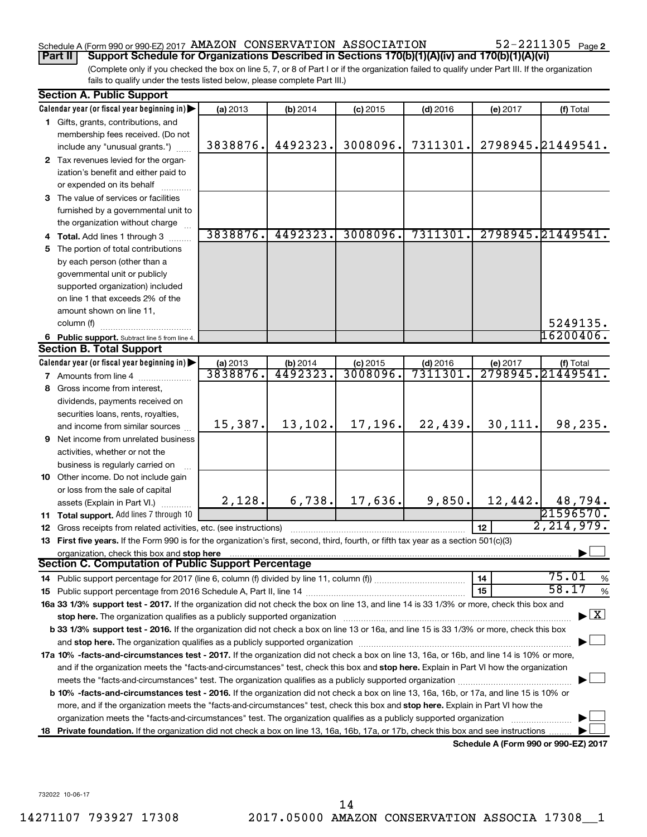## Schedule A (Form 990 or 990-EZ) 2017  $\,$  AMAZON  $\,$  CONSERVATION  $\,$  ASSOCIATION  $\,$  52-2211305  $\,$  Page

(Complete only if you checked the box on line 5, 7, or 8 of Part I or if the organization failed to qualify under Part III. If the organization **Part II Support Schedule for Organizations Described in Sections 170(b)(1)(A)(iv) and 170(b)(1)(A)(vi)**

fails to qualify under the tests listed below, please complete Part III.)

|    | <b>Section A. Public Support</b>                                                                                                                                                                                                                           |          |          |            |            |          |                                          |  |  |  |
|----|------------------------------------------------------------------------------------------------------------------------------------------------------------------------------------------------------------------------------------------------------------|----------|----------|------------|------------|----------|------------------------------------------|--|--|--|
|    | Calendar year (or fiscal year beginning in)                                                                                                                                                                                                                | (a) 2013 | (b) 2014 | $(c)$ 2015 | $(d)$ 2016 | (e) 2017 | (f) Total                                |  |  |  |
|    | 1 Gifts, grants, contributions, and                                                                                                                                                                                                                        |          |          |            |            |          |                                          |  |  |  |
|    | membership fees received. (Do not                                                                                                                                                                                                                          |          |          |            |            |          |                                          |  |  |  |
|    | include any "unusual grants.")                                                                                                                                                                                                                             | 3838876. | 4492323. | 3008096.   | 7311301.   |          | 2798945.21449541.                        |  |  |  |
|    | 2 Tax revenues levied for the organ-                                                                                                                                                                                                                       |          |          |            |            |          |                                          |  |  |  |
|    | ization's benefit and either paid to                                                                                                                                                                                                                       |          |          |            |            |          |                                          |  |  |  |
|    | or expended on its behalf                                                                                                                                                                                                                                  |          |          |            |            |          |                                          |  |  |  |
|    | 3 The value of services or facilities                                                                                                                                                                                                                      |          |          |            |            |          |                                          |  |  |  |
|    | furnished by a governmental unit to                                                                                                                                                                                                                        |          |          |            |            |          |                                          |  |  |  |
|    | the organization without charge                                                                                                                                                                                                                            |          |          |            |            |          |                                          |  |  |  |
|    | 4 Total. Add lines 1 through 3                                                                                                                                                                                                                             | 3838876. | 4492323. | 3008096.   | 7311301.   |          | 2798945.21449541.                        |  |  |  |
| 5  | The portion of total contributions                                                                                                                                                                                                                         |          |          |            |            |          |                                          |  |  |  |
|    | by each person (other than a                                                                                                                                                                                                                               |          |          |            |            |          |                                          |  |  |  |
|    | governmental unit or publicly                                                                                                                                                                                                                              |          |          |            |            |          |                                          |  |  |  |
|    | supported organization) included                                                                                                                                                                                                                           |          |          |            |            |          |                                          |  |  |  |
|    | on line 1 that exceeds 2% of the                                                                                                                                                                                                                           |          |          |            |            |          |                                          |  |  |  |
|    | amount shown on line 11,                                                                                                                                                                                                                                   |          |          |            |            |          |                                          |  |  |  |
|    | column (f)                                                                                                                                                                                                                                                 |          |          |            |            |          | 5249135.                                 |  |  |  |
|    | 6 Public support. Subtract line 5 from line 4.                                                                                                                                                                                                             |          |          |            |            |          | 16200406.                                |  |  |  |
|    | <b>Section B. Total Support</b>                                                                                                                                                                                                                            |          |          |            |            |          |                                          |  |  |  |
|    | Calendar year (or fiscal year beginning in)                                                                                                                                                                                                                | (a) 2013 | (b) 2014 | $(c)$ 2015 | $(d)$ 2016 | (e) 2017 | (f) Total                                |  |  |  |
|    | 7 Amounts from line 4                                                                                                                                                                                                                                      | 3838876. | 4492323. | 3008096.   | 7311301    |          | 2798945.21449541.                        |  |  |  |
| 8  | Gross income from interest,                                                                                                                                                                                                                                |          |          |            |            |          |                                          |  |  |  |
|    | dividends, payments received on                                                                                                                                                                                                                            |          |          |            |            |          |                                          |  |  |  |
|    | securities loans, rents, royalties,                                                                                                                                                                                                                        |          |          |            |            |          |                                          |  |  |  |
|    | and income from similar sources                                                                                                                                                                                                                            | 15,387.  | 13,102.  | 17,196.    | 22,439.    | 30,111.  | 98,235.                                  |  |  |  |
| 9  | Net income from unrelated business                                                                                                                                                                                                                         |          |          |            |            |          |                                          |  |  |  |
|    | activities, whether or not the                                                                                                                                                                                                                             |          |          |            |            |          |                                          |  |  |  |
|    | business is regularly carried on                                                                                                                                                                                                                           |          |          |            |            |          |                                          |  |  |  |
|    | 10 Other income. Do not include gain                                                                                                                                                                                                                       |          |          |            |            |          |                                          |  |  |  |
|    | or loss from the sale of capital                                                                                                                                                                                                                           |          |          |            |            |          |                                          |  |  |  |
|    | assets (Explain in Part VI.)                                                                                                                                                                                                                               | 2,128.   | 6,738.   | 17,636.    | 9,850.     | 12,442.  | 48,794.                                  |  |  |  |
|    | 11 Total support. Add lines 7 through 10                                                                                                                                                                                                                   |          |          |            |            |          | 21596570.                                |  |  |  |
| 12 | Gross receipts from related activities, etc. (see instructions)                                                                                                                                                                                            |          |          |            |            | 12       | 2, 214, 979.                             |  |  |  |
|    | 13 First five years. If the Form 990 is for the organization's first, second, third, fourth, or fifth tax year as a section 501(c)(3)                                                                                                                      |          |          |            |            |          |                                          |  |  |  |
|    | organization, check this box and stop here<br>Section C. Computation of Public Support Percentage                                                                                                                                                          |          |          |            |            |          |                                          |  |  |  |
|    |                                                                                                                                                                                                                                                            |          |          |            |            | 14       | 75.01                                    |  |  |  |
|    |                                                                                                                                                                                                                                                            |          |          |            |            | 15       | %<br>58.17<br>%                          |  |  |  |
|    | 16a 33 1/3% support test - 2017. If the organization did not check the box on line 13, and line 14 is 33 1/3% or more, check this box and                                                                                                                  |          |          |            |            |          |                                          |  |  |  |
|    | stop here. The organization qualifies as a publicly supported organization manufaction manufacture or the organization                                                                                                                                     |          |          |            |            |          | $\blacktriangleright$ $\boxed{\text{X}}$ |  |  |  |
|    | b 33 1/3% support test - 2016. If the organization did not check a box on line 13 or 16a, and line 15 is 33 1/3% or more, check this box                                                                                                                   |          |          |            |            |          |                                          |  |  |  |
|    | and stop here. The organization qualifies as a publicly supported organization [11] manuscription manuscription manuscription manuscription manuscription manuscription and stop here. The organization qualifies as a publicl                             |          |          |            |            |          |                                          |  |  |  |
|    | 17a 10% -facts-and-circumstances test - 2017. If the organization did not check a box on line 13, 16a, or 16b, and line 14 is 10% or more,                                                                                                                 |          |          |            |            |          |                                          |  |  |  |
|    | and if the organization meets the "facts-and-circumstances" test, check this box and stop here. Explain in Part VI how the organization                                                                                                                    |          |          |            |            |          |                                          |  |  |  |
|    |                                                                                                                                                                                                                                                            |          |          |            |            |          |                                          |  |  |  |
|    | <b>b 10%</b> -facts-and-circumstances test - 2016. If the organization did not check a box on line 13, 16a, 16b, or 17a, and line 15 is 10% or                                                                                                             |          |          |            |            |          |                                          |  |  |  |
|    |                                                                                                                                                                                                                                                            |          |          |            |            |          |                                          |  |  |  |
|    | more, and if the organization meets the "facts-and-circumstances" test, check this box and stop here. Explain in Part VI how the<br>organization meets the "facts-and-circumstances" test. The organization qualifies as a publicly supported organization |          |          |            |            |          |                                          |  |  |  |
| 18 | Private foundation. If the organization did not check a box on line 13, 16a, 16b, 17a, or 17b, check this box and see instructions.                                                                                                                        |          |          |            |            |          |                                          |  |  |  |
|    |                                                                                                                                                                                                                                                            |          |          |            |            |          | Schedule A (Form 990 or 990-EZ) 2017     |  |  |  |
|    |                                                                                                                                                                                                                                                            |          |          |            |            |          |                                          |  |  |  |

732022 10-06-17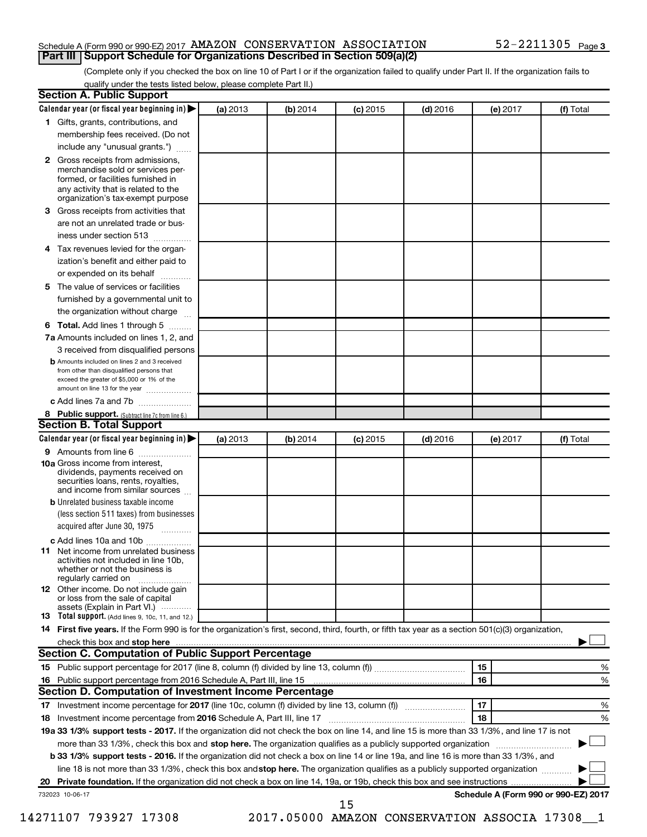## Schedule A (Form 990 or 990-EZ) 2017  $\,$  AMAZON  $\,$  CONSERVATION  $\,$  ASSOCIATION  $\,$  52-2211305  $\,$  Page **Part III Support Schedule for Organizations Described in Section 509(a)(2)**

(Complete only if you checked the box on line 10 of Part I or if the organization failed to qualify under Part II. If the organization fails to qualify under the tests listed below, please complete Part II.)

|    | <b>Section A. Public Support</b>                                                                                                                                                                                               |          |          |            |            |          |                                      |
|----|--------------------------------------------------------------------------------------------------------------------------------------------------------------------------------------------------------------------------------|----------|----------|------------|------------|----------|--------------------------------------|
|    | Calendar year (or fiscal year beginning in)                                                                                                                                                                                    | (a) 2013 | (b) 2014 | (c) 2015   | $(d)$ 2016 | (e) 2017 | (f) Total                            |
|    | 1 Gifts, grants, contributions, and                                                                                                                                                                                            |          |          |            |            |          |                                      |
|    | membership fees received. (Do not                                                                                                                                                                                              |          |          |            |            |          |                                      |
|    | include any "unusual grants.")                                                                                                                                                                                                 |          |          |            |            |          |                                      |
|    | <b>2</b> Gross receipts from admissions,<br>merchandise sold or services per-<br>formed, or facilities furnished in<br>any activity that is related to the<br>organization's tax-exempt purpose                                |          |          |            |            |          |                                      |
|    | 3 Gross receipts from activities that                                                                                                                                                                                          |          |          |            |            |          |                                      |
|    | are not an unrelated trade or bus-                                                                                                                                                                                             |          |          |            |            |          |                                      |
|    | iness under section 513                                                                                                                                                                                                        |          |          |            |            |          |                                      |
|    | 4 Tax revenues levied for the organ-                                                                                                                                                                                           |          |          |            |            |          |                                      |
|    | ization's benefit and either paid to                                                                                                                                                                                           |          |          |            |            |          |                                      |
|    | or expended on its behalf                                                                                                                                                                                                      |          |          |            |            |          |                                      |
|    |                                                                                                                                                                                                                                |          |          |            |            |          |                                      |
|    | 5 The value of services or facilities                                                                                                                                                                                          |          |          |            |            |          |                                      |
|    | furnished by a governmental unit to                                                                                                                                                                                            |          |          |            |            |          |                                      |
|    | the organization without charge                                                                                                                                                                                                |          |          |            |            |          |                                      |
|    | <b>6 Total.</b> Add lines 1 through 5                                                                                                                                                                                          |          |          |            |            |          |                                      |
|    | 7a Amounts included on lines 1, 2, and                                                                                                                                                                                         |          |          |            |            |          |                                      |
|    | 3 received from disqualified persons                                                                                                                                                                                           |          |          |            |            |          |                                      |
|    | <b>b</b> Amounts included on lines 2 and 3 received<br>from other than disqualified persons that<br>exceed the greater of \$5,000 or 1% of the<br>amount on line 13 for the year                                               |          |          |            |            |          |                                      |
|    | c Add lines 7a and 7b                                                                                                                                                                                                          |          |          |            |            |          |                                      |
|    | 8 Public support. (Subtract line 7c from line 6.)                                                                                                                                                                              |          |          |            |            |          |                                      |
|    | <b>Section B. Total Support</b>                                                                                                                                                                                                |          |          |            |            |          |                                      |
|    | Calendar year (or fiscal year beginning in)                                                                                                                                                                                    | (a) 2013 | (b) 2014 | $(c)$ 2015 | $(d)$ 2016 | (e) 2017 | (f) Total                            |
|    | 9 Amounts from line 6                                                                                                                                                                                                          |          |          |            |            |          |                                      |
|    | <b>10a</b> Gross income from interest,<br>dividends, payments received on<br>securities loans, rents, royalties,<br>and income from similar sources                                                                            |          |          |            |            |          |                                      |
|    | <b>b</b> Unrelated business taxable income                                                                                                                                                                                     |          |          |            |            |          |                                      |
|    | (less section 511 taxes) from businesses                                                                                                                                                                                       |          |          |            |            |          |                                      |
|    | acquired after June 30, 1975                                                                                                                                                                                                   |          |          |            |            |          |                                      |
|    | c Add lines 10a and 10b                                                                                                                                                                                                        |          |          |            |            |          |                                      |
|    | <b>11</b> Net income from unrelated business<br>activities not included in line 10b.<br>whether or not the business is<br>regularly carried on                                                                                 |          |          |            |            |          |                                      |
|    | 12 Other income. Do not include gain<br>or loss from the sale of capital<br>assets (Explain in Part VI.)                                                                                                                       |          |          |            |            |          |                                      |
|    | <b>13</b> Total support. (Add lines 9, 10c, 11, and 12.)                                                                                                                                                                       |          |          |            |            |          |                                      |
|    | 14 First five years. If the Form 990 is for the organization's first, second, third, fourth, or fifth tax year as a section 501(c)(3) organization,                                                                            |          |          |            |            |          |                                      |
|    | check this box and stop here with the continuum control of the state of the state of the state of the state of the state of the state of the state of the state of the state of the state of the state of the state of the sta |          |          |            |            |          |                                      |
|    | Section C. Computation of Public Support Percentage                                                                                                                                                                            |          |          |            |            |          |                                      |
|    |                                                                                                                                                                                                                                |          |          |            |            | 15       | %                                    |
|    |                                                                                                                                                                                                                                |          |          |            |            | 16       | %                                    |
|    | Section D. Computation of Investment Income Percentage                                                                                                                                                                         |          |          |            |            |          |                                      |
|    |                                                                                                                                                                                                                                |          |          |            |            | 17       | %                                    |
|    | 18 Investment income percentage from 2016 Schedule A, Part III, line 17                                                                                                                                                        |          |          |            |            | 18       | %                                    |
|    | 19a 33 1/3% support tests - 2017. If the organization did not check the box on line 14, and line 15 is more than 33 1/3%, and line 17 is not                                                                                   |          |          |            |            |          |                                      |
|    | more than 33 1/3%, check this box and stop here. The organization qualifies as a publicly supported organization                                                                                                               |          |          |            |            |          |                                      |
|    | b 33 1/3% support tests - 2016. If the organization did not check a box on line 14 or line 19a, and line 16 is more than 33 1/3%, and                                                                                          |          |          |            |            |          |                                      |
|    |                                                                                                                                                                                                                                |          |          |            |            |          |                                      |
|    | line 18 is not more than 33 1/3%, check this box and stop here. The organization qualifies as a publicly supported organization                                                                                                |          |          |            |            |          |                                      |
| 20 |                                                                                                                                                                                                                                |          |          |            |            |          | Schedule A (Form 990 or 990-EZ) 2017 |
|    | 732023 10-06-17                                                                                                                                                                                                                |          |          | 15         |            |          |                                      |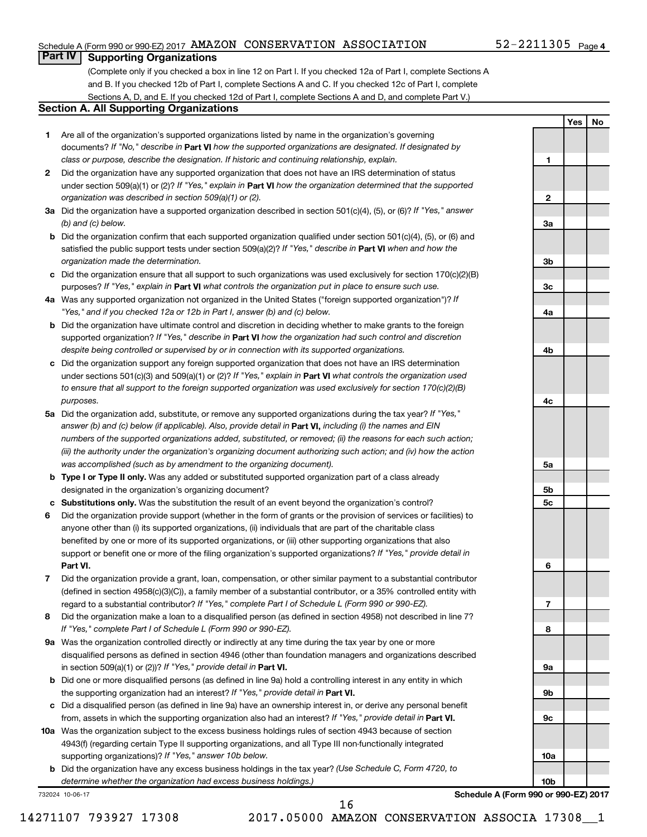## Schedule A (Form 990 or 990-EZ) 2017  $\,$  AMAZON  $\,$  CONSERVATION  $\,$  ASSOCIATION  $\,$  52-2211305  $\,$  Page

## 52-2211305 <sub>Page 4</sub>

**1**

**2**

**3a**

**3b**

**3c**

**4a**

**4b**

**4c**

**5a**

**5b 5c**

**6**

**7**

**8**

**9a**

**9b**

**9c**

**10a**

**10b**

**Yes No**

## **Part IV Supporting Organizations**

(Complete only if you checked a box in line 12 on Part I. If you checked 12a of Part I, complete Sections A and B. If you checked 12b of Part I, complete Sections A and C. If you checked 12c of Part I, complete Sections A, D, and E. If you checked 12d of Part I, complete Sections A and D, and complete Part V.)

## **Section A. All Supporting Organizations**

- **1** Are all of the organization's supported organizations listed by name in the organization's governing documents? If "No," describe in Part VI how the supported organizations are designated. If designated by *class or purpose, describe the designation. If historic and continuing relationship, explain.*
- **2** Did the organization have any supported organization that does not have an IRS determination of status under section 509(a)(1) or (2)? If "Yes," explain in Part **VI** how the organization determined that the supported *organization was described in section 509(a)(1) or (2).*
- **3a** Did the organization have a supported organization described in section 501(c)(4), (5), or (6)? If "Yes," answer *(b) and (c) below.*
- **b** Did the organization confirm that each supported organization qualified under section 501(c)(4), (5), or (6) and satisfied the public support tests under section 509(a)(2)? If "Yes," describe in Part VI when and how the *organization made the determination.*
- **c** Did the organization ensure that all support to such organizations was used exclusively for section 170(c)(2)(B) purposes? If "Yes," explain in Part VI what controls the organization put in place to ensure such use.
- **4 a** *If* Was any supported organization not organized in the United States ("foreign supported organization")? *"Yes," and if you checked 12a or 12b in Part I, answer (b) and (c) below.*
- **b** Did the organization have ultimate control and discretion in deciding whether to make grants to the foreign supported organization? If "Yes," describe in Part VI how the organization had such control and discretion *despite being controlled or supervised by or in connection with its supported organizations.*
- **c** Did the organization support any foreign supported organization that does not have an IRS determination under sections 501(c)(3) and 509(a)(1) or (2)? If "Yes," explain in Part VI what controls the organization used *to ensure that all support to the foreign supported organization was used exclusively for section 170(c)(2)(B) purposes.*
- **5a** Did the organization add, substitute, or remove any supported organizations during the tax year? If "Yes," answer (b) and (c) below (if applicable). Also, provide detail in **Part VI,** including (i) the names and EIN *numbers of the supported organizations added, substituted, or removed; (ii) the reasons for each such action; (iii) the authority under the organization's organizing document authorizing such action; and (iv) how the action was accomplished (such as by amendment to the organizing document).*
- **b Type I or Type II only.** Was any added or substituted supported organization part of a class already designated in the organization's organizing document?
- **c Substitutions only.**  Was the substitution the result of an event beyond the organization's control?
- **6** Did the organization provide support (whether in the form of grants or the provision of services or facilities) to **Part VI.** support or benefit one or more of the filing organization's supported organizations? If "Yes," provide detail in anyone other than (i) its supported organizations, (ii) individuals that are part of the charitable class benefited by one or more of its supported organizations, or (iii) other supporting organizations that also
- **7** Did the organization provide a grant, loan, compensation, or other similar payment to a substantial contributor regard to a substantial contributor? If "Yes," complete Part I of Schedule L (Form 990 or 990-EZ). (defined in section 4958(c)(3)(C)), a family member of a substantial contributor, or a 35% controlled entity with
- **8** Did the organization make a loan to a disqualified person (as defined in section 4958) not described in line 7? *If "Yes," complete Part I of Schedule L (Form 990 or 990-EZ).*
- **9 a** Was the organization controlled directly or indirectly at any time during the tax year by one or more in section 509(a)(1) or (2))? If "Yes," provide detail in **Part VI.** disqualified persons as defined in section 4946 (other than foundation managers and organizations described
- **b** Did one or more disqualified persons (as defined in line 9a) hold a controlling interest in any entity in which the supporting organization had an interest? If "Yes," provide detail in Part VI.
- **c** Did a disqualified person (as defined in line 9a) have an ownership interest in, or derive any personal benefit from, assets in which the supporting organization also had an interest? If "Yes," provide detail in Part VI.
- **10 a** Was the organization subject to the excess business holdings rules of section 4943 because of section supporting organizations)? If "Yes," answer 10b below. 4943(f) (regarding certain Type II supporting organizations, and all Type III non-functionally integrated
	- **b** Did the organization have any excess business holdings in the tax year? (Use Schedule C, Form 4720, to *determine whether the organization had excess business holdings.)*

732024 10-06-17

**Schedule A (Form 990 or 990-EZ) 2017**

16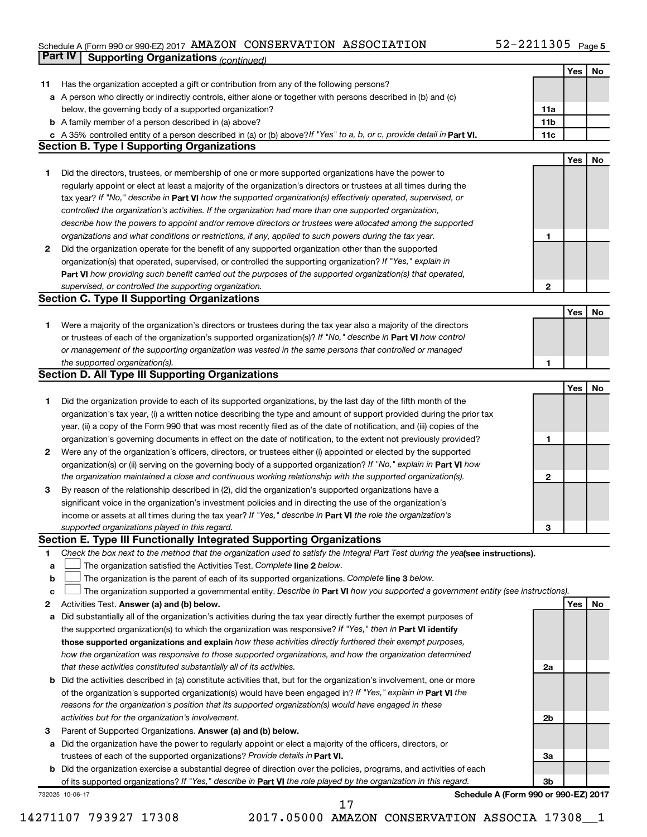## Schedule A (Form 990 or 990-EZ) 2017  $\,$  AMAZON  $\,$  CONSERVATION  $\,$  ASSOCIATION  $\,$  52-2211305  $\,$  Page **Part IV Supporting Organizations** *(continued)*

|    |                                                                                                                                 |     | Yes | No |
|----|---------------------------------------------------------------------------------------------------------------------------------|-----|-----|----|
| 11 | Has the organization accepted a gift or contribution from any of the following persons?                                         |     |     |    |
|    | a A person who directly or indirectly controls, either alone or together with persons described in (b) and (c)                  |     |     |    |
|    | below, the governing body of a supported organization?                                                                          | 11a |     |    |
|    | <b>b</b> A family member of a person described in (a) above?                                                                    | 11b |     |    |
|    | c A 35% controlled entity of a person described in (a) or (b) above? If "Yes" to a, b, or c, provide detail in Part VI.         | 11c |     |    |
|    | <b>Section B. Type I Supporting Organizations</b>                                                                               |     |     |    |
|    |                                                                                                                                 |     | Yes | No |
| 1  | Did the directors, trustees, or membership of one or more supported organizations have the power to                             |     |     |    |
|    | regularly appoint or elect at least a majority of the organization's directors or trustees at all times during the              |     |     |    |
|    | tax year? If "No," describe in Part VI how the supported organization(s) effectively operated, supervised, or                   |     |     |    |
|    | controlled the organization's activities. If the organization had more than one supported organization,                         |     |     |    |
|    | describe how the powers to appoint and/or remove directors or trustees were allocated among the supported                       |     |     |    |
|    | organizations and what conditions or restrictions, if any, applied to such powers during the tax year.                          | 1   |     |    |
| 2  | Did the organization operate for the benefit of any supported organization other than the supported                             |     |     |    |
|    | organization(s) that operated, supervised, or controlled the supporting organization? If "Yes," explain in                      |     |     |    |
|    | Part VI how providing such benefit carried out the purposes of the supported organization(s) that operated,                     |     |     |    |
|    | supervised, or controlled the supporting organization.                                                                          | 2   |     |    |
|    | <b>Section C. Type II Supporting Organizations</b>                                                                              |     |     |    |
|    |                                                                                                                                 |     | Yes | No |
| 1  | Were a majority of the organization's directors or trustees during the tax year also a majority of the directors                |     |     |    |
|    | or trustees of each of the organization's supported organization(s)? If "No," describe in Part VI how control                   |     |     |    |
|    | or management of the supporting organization was vested in the same persons that controlled or managed                          |     |     |    |
|    | the supported organization(s).                                                                                                  | 1   |     |    |
|    | <b>Section D. All Type III Supporting Organizations</b>                                                                         |     |     |    |
|    |                                                                                                                                 |     | Yes | No |
| 1  | Did the organization provide to each of its supported organizations, by the last day of the fifth month of the                  |     |     |    |
|    | organization's tax year, (i) a written notice describing the type and amount of support provided during the prior tax           |     |     |    |
|    | year, (ii) a copy of the Form 990 that was most recently filed as of the date of notification, and (iii) copies of the          |     |     |    |
|    | organization's governing documents in effect on the date of notification, to the extent not previously provided?                | 1   |     |    |
| 2  | Were any of the organization's officers, directors, or trustees either (i) appointed or elected by the supported                |     |     |    |
|    | organization(s) or (ii) serving on the governing body of a supported organization? If "No," explain in Part VI how              |     |     |    |
|    | the organization maintained a close and continuous working relationship with the supported organization(s).                     | 2   |     |    |
| 3  | By reason of the relationship described in (2), did the organization's supported organizations have a                           |     |     |    |
|    | significant voice in the organization's investment policies and in directing the use of the organization's                      |     |     |    |
|    | income or assets at all times during the tax year? If "Yes," describe in Part VI the role the organization's                    |     |     |    |
|    | supported organizations played in this regard.                                                                                  | З   |     |    |
|    | Section E. Type III Functionally Integrated Supporting Organizations                                                            |     |     |    |
| 1  | Check the box next to the method that the organization used to satisfy the Integral Part Test during the yealsee instructions). |     |     |    |
| a  | The organization satisfied the Activities Test. Complete line 2 below.                                                          |     |     |    |
| b  | The organization is the parent of each of its supported organizations. Complete line 3 below.                                   |     |     |    |
| с  | The organization supported a governmental entity. Describe in Part VI how you supported a government entity (see instructions). |     |     |    |
| 2  | Activities Test. Answer (a) and (b) below.                                                                                      |     | Yes | No |
| а  | Did substantially all of the organization's activities during the tax year directly further the exempt purposes of              |     |     |    |
|    | the supported organization(s) to which the organization was responsive? If "Yes," then in Part VI identify                      |     |     |    |
|    | those supported organizations and explain how these activities directly furthered their exempt purposes,                        |     |     |    |
|    | how the organization was responsive to those supported organizations, and how the organization determined                       |     |     |    |
|    | that these activities constituted substantially all of its activities.                                                          | 2a  |     |    |
|    | <b>b</b> Did the activities described in (a) constitute activities that, but for the organization's involvement, one or more    |     |     |    |
|    | of the organization's supported organization(s) would have been engaged in? If "Yes," explain in Part VI the                    |     |     |    |
|    | reasons for the organization's position that its supported organization(s) would have engaged in these                          |     |     |    |
|    | activities but for the organization's involvement.                                                                              | 2b  |     |    |
| з  | Parent of Supported Organizations. Answer (a) and (b) below.                                                                    |     |     |    |
|    | a Did the organization have the power to regularly appoint or elect a majority of the officers, directors, or                   |     |     |    |
|    | trustees of each of the supported organizations? Provide details in Part VI.                                                    | За  |     |    |
|    | <b>b</b> Did the organization exercise a substantial degree of direction over the policies, programs, and activities of each    |     |     |    |
|    | of its supported organizations? If "Yes," describe in Part VI the role played by the organization in this regard.               | Зb  |     |    |
|    | Schedule A (Form 990 or 990-EZ) 2017<br>732025 10-06-17                                                                         |     |     |    |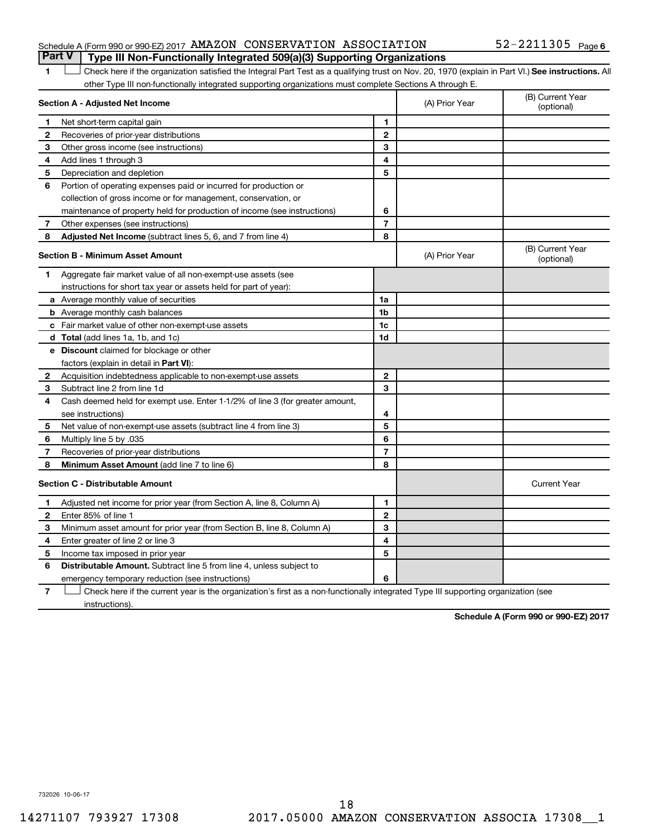## Schedule A (Form 990 or 990-EZ) 2017  $\,$  AMAZON  $\,$  CONSERVATION  $\,$  ASSOCIATION  $\,$  52-2211305  $\,$  Page **Part V Type III Non-Functionally Integrated 509(a)(3) Supporting Organizations**

## 1 **Letter See instructions.** All Check here if the organization satisfied the Integral Part Test as a qualifying trust on Nov. 20, 1970 (explain in Part VI.) See instructions. All other Type III non-functionally integrated supporting organizations must complete Sections A through E.

|              | Section A - Adjusted Net Income                                              |                | (A) Prior Year | (B) Current Year<br>(optional) |
|--------------|------------------------------------------------------------------------------|----------------|----------------|--------------------------------|
| 1            | Net short-term capital gain                                                  | 1              |                |                                |
| 2            | Recoveries of prior-year distributions                                       | $\mathbf{2}$   |                |                                |
| 3            | Other gross income (see instructions)                                        | 3              |                |                                |
| 4            | Add lines 1 through 3                                                        | 4              |                |                                |
| 5            | Depreciation and depletion                                                   | 5              |                |                                |
| 6            | Portion of operating expenses paid or incurred for production or             |                |                |                                |
|              | collection of gross income or for management, conservation, or               |                |                |                                |
|              | maintenance of property held for production of income (see instructions)     | 6              |                |                                |
| 7            | Other expenses (see instructions)                                            | $\overline{7}$ |                |                                |
| 8            | Adjusted Net Income (subtract lines 5, 6, and 7 from line 4)                 | 8              |                |                                |
|              | Section B - Minimum Asset Amount                                             |                | (A) Prior Year | (B) Current Year<br>(optional) |
| 1            | Aggregate fair market value of all non-exempt-use assets (see                |                |                |                                |
|              | instructions for short tax year or assets held for part of year):            |                |                |                                |
|              | a Average monthly value of securities                                        | 1a             |                |                                |
|              | <b>b</b> Average monthly cash balances                                       | 1b             |                |                                |
|              | <b>c</b> Fair market value of other non-exempt-use assets                    | 1c             |                |                                |
|              | d Total (add lines 1a, 1b, and 1c)                                           | 1 <sub>d</sub> |                |                                |
|              | e Discount claimed for blockage or other                                     |                |                |                                |
|              | factors (explain in detail in <b>Part VI</b> ):                              |                |                |                                |
| 2            | Acquisition indebtedness applicable to non-exempt-use assets                 | $\mathbf{2}$   |                |                                |
| 3            | Subtract line 2 from line 1d                                                 | 3              |                |                                |
| 4            | Cash deemed held for exempt use. Enter 1-1/2% of line 3 (for greater amount, |                |                |                                |
|              | see instructions)                                                            | 4              |                |                                |
| 5            | Net value of non-exempt-use assets (subtract line 4 from line 3)             | 5              |                |                                |
| 6            | Multiply line 5 by .035                                                      | 6              |                |                                |
| 7            | Recoveries of prior-year distributions                                       | $\overline{7}$ |                |                                |
| 8            | <b>Minimum Asset Amount (add line 7 to line 6)</b>                           | 8              |                |                                |
|              | <b>Section C - Distributable Amount</b>                                      |                |                | <b>Current Year</b>            |
| 1            | Adjusted net income for prior year (from Section A, line 8, Column A)        | 1              |                |                                |
| $\mathbf{2}$ | Enter 85% of line 1                                                          | $\mathbf{2}$   |                |                                |
| З            | Minimum asset amount for prior year (from Section B, line 8, Column A)       | 3              |                |                                |
| 4            | Enter greater of line 2 or line 3                                            | 4              |                |                                |
| 5            | Income tax imposed in prior year                                             | 5              |                |                                |
| 6            | <b>Distributable Amount.</b> Subtract line 5 from line 4, unless subject to  |                |                |                                |
|              | emergency temporary reduction (see instructions)                             | 6              |                |                                |
| -            | and the state of the state of the                                            |                |                |                                |

**7** Check here if the current year is the organization's first as a non-functionally integrated Type III supporting organization (see † instructions).

**Schedule A (Form 990 or 990-EZ) 2017**

732026 10-06-17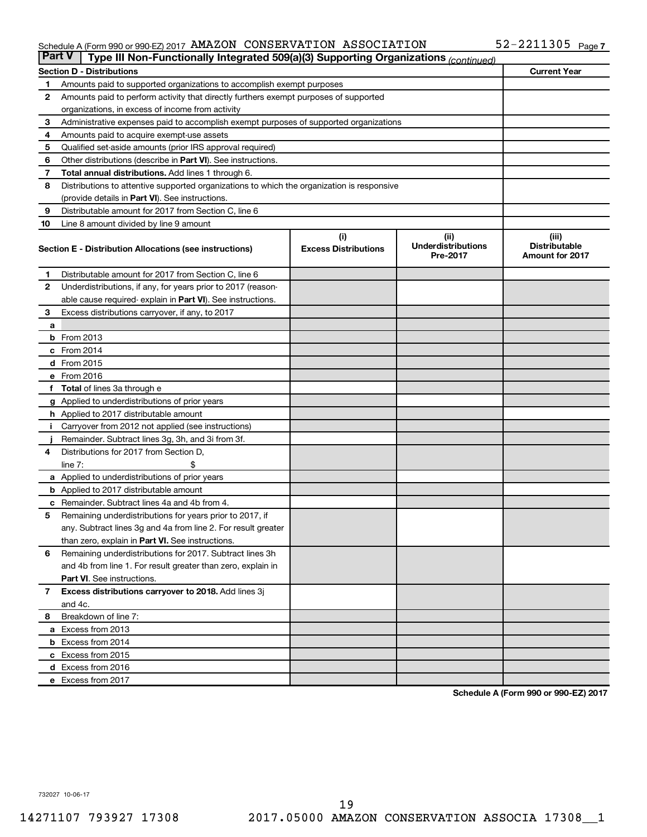#### Schedule A (Form 990 or 990-EZ) 2017 AMAZON CONSERVATION ASSOCIATION  $\,$  52-Z2II305  $\,$  Page AMAZON CONSERVATION ASSOCIATION 52-2211305

| <b>Part V</b> | Type III Non-Functionally Integrated 509(a)(3) Supporting Organizations (continued)        |                             |                                       |                                                |
|---------------|--------------------------------------------------------------------------------------------|-----------------------------|---------------------------------------|------------------------------------------------|
|               | <b>Section D - Distributions</b>                                                           |                             |                                       | <b>Current Year</b>                            |
| 1             | Amounts paid to supported organizations to accomplish exempt purposes                      |                             |                                       |                                                |
| $\mathbf{2}$  | Amounts paid to perform activity that directly furthers exempt purposes of supported       |                             |                                       |                                                |
|               | organizations, in excess of income from activity                                           |                             |                                       |                                                |
| 3             | Administrative expenses paid to accomplish exempt purposes of supported organizations      |                             |                                       |                                                |
| 4             | Amounts paid to acquire exempt-use assets                                                  |                             |                                       |                                                |
| 5             | Qualified set-aside amounts (prior IRS approval required)                                  |                             |                                       |                                                |
| 6             | Other distributions (describe in <b>Part VI</b> ). See instructions.                       |                             |                                       |                                                |
| 7             | Total annual distributions. Add lines 1 through 6.                                         |                             |                                       |                                                |
| 8             | Distributions to attentive supported organizations to which the organization is responsive |                             |                                       |                                                |
|               | (provide details in Part VI). See instructions.                                            |                             |                                       |                                                |
| 9             | Distributable amount for 2017 from Section C, line 6                                       |                             |                                       |                                                |
| 10            | Line 8 amount divided by line 9 amount                                                     |                             |                                       |                                                |
|               |                                                                                            | (i)                         | (ii)                                  | (iii)                                          |
|               | Section E - Distribution Allocations (see instructions)                                    | <b>Excess Distributions</b> | <b>Underdistributions</b><br>Pre-2017 | <b>Distributable</b><br><b>Amount for 2017</b> |
| 1             | Distributable amount for 2017 from Section C, line 6                                       |                             |                                       |                                                |
| $\mathbf{2}$  | Underdistributions, if any, for years prior to 2017 (reason-                               |                             |                                       |                                                |
|               | able cause required- explain in Part VI). See instructions.                                |                             |                                       |                                                |
| 3             | Excess distributions carryover, if any, to 2017                                            |                             |                                       |                                                |
| a             |                                                                                            |                             |                                       |                                                |
|               | <b>b</b> From 2013                                                                         |                             |                                       |                                                |
|               | c From 2014                                                                                |                             |                                       |                                                |
|               | d From 2015                                                                                |                             |                                       |                                                |
|               | e From 2016                                                                                |                             |                                       |                                                |
|               | f Total of lines 3a through e                                                              |                             |                                       |                                                |
|               | <b>g</b> Applied to underdistributions of prior years                                      |                             |                                       |                                                |
|               | h Applied to 2017 distributable amount                                                     |                             |                                       |                                                |
| Ť.            | Carryover from 2012 not applied (see instructions)                                         |                             |                                       |                                                |
|               | Remainder. Subtract lines 3g, 3h, and 3i from 3f.                                          |                             |                                       |                                                |
| 4             | Distributions for 2017 from Section D,                                                     |                             |                                       |                                                |
|               | line $7:$                                                                                  |                             |                                       |                                                |
|               | a Applied to underdistributions of prior years                                             |                             |                                       |                                                |
|               | <b>b</b> Applied to 2017 distributable amount                                              |                             |                                       |                                                |
| с             | Remainder. Subtract lines 4a and 4b from 4.                                                |                             |                                       |                                                |
| 5             | Remaining underdistributions for years prior to 2017, if                                   |                             |                                       |                                                |
|               | any. Subtract lines 3g and 4a from line 2. For result greater                              |                             |                                       |                                                |
|               | than zero, explain in Part VI. See instructions.                                           |                             |                                       |                                                |
| 6             | Remaining underdistributions for 2017. Subtract lines 3h                                   |                             |                                       |                                                |
|               | and 4b from line 1. For result greater than zero, explain in                               |                             |                                       |                                                |
|               | <b>Part VI.</b> See instructions.                                                          |                             |                                       |                                                |
| $\mathbf{7}$  | Excess distributions carryover to 2018. Add lines 3j                                       |                             |                                       |                                                |
|               | and 4c.                                                                                    |                             |                                       |                                                |
| 8             | Breakdown of line 7:                                                                       |                             |                                       |                                                |
|               | a Excess from 2013                                                                         |                             |                                       |                                                |
|               | <b>b</b> Excess from 2014                                                                  |                             |                                       |                                                |
|               | c Excess from 2015                                                                         |                             |                                       |                                                |
|               | d Excess from 2016                                                                         |                             |                                       |                                                |
|               | e Excess from 2017                                                                         |                             |                                       |                                                |

**Schedule A (Form 990 or 990-EZ) 2017**

732027 10-06-17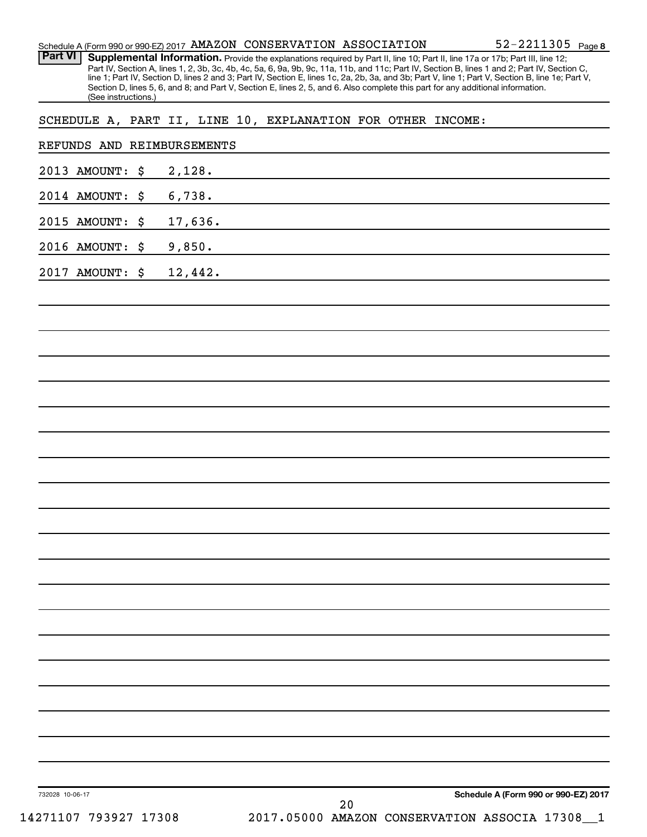| <b>Part VI</b>             | $52 - 2211305$ Page 8<br>Schedule A (Form 990 or 990-EZ) 2017 AMAZON CONSERVATION ASSOCIATION<br>Supplemental Information. Provide the explanations required by Part II, line 10; Part II, line 17a or 17b; Part III, line 12;<br>Part IV, Section A, lines 1, 2, 3b, 3c, 4b, 4c, 5a, 6, 9a, 9b, 9c, 11a, 11b, and 11c; Part IV, Section B, lines 1 and 2; Part IV, Section C, |
|----------------------------|--------------------------------------------------------------------------------------------------------------------------------------------------------------------------------------------------------------------------------------------------------------------------------------------------------------------------------------------------------------------------------|
| (See instructions.)        | line 1; Part IV, Section D, lines 2 and 3; Part IV, Section E, lines 1c, 2a, 2b, 3a, and 3b; Part V, line 1; Part V, Section B, line 1e; Part V,<br>Section D, lines 5, 6, and 8; and Part V, Section E, lines 2, 5, and 6. Also complete this part for any additional information.                                                                                            |
|                            | SCHEDULE A, PART II, LINE 10, EXPLANATION FOR OTHER INCOME:                                                                                                                                                                                                                                                                                                                    |
| REFUNDS AND REIMBURSEMENTS |                                                                                                                                                                                                                                                                                                                                                                                |
| 2013 AMOUNT:<br>\$         | 2,128.                                                                                                                                                                                                                                                                                                                                                                         |
| 2014 AMOUNT:<br>\$         | 6,738.                                                                                                                                                                                                                                                                                                                                                                         |
| 2015 AMOUNT:<br>\$         | 17,636.                                                                                                                                                                                                                                                                                                                                                                        |
| 2016 AMOUNT:<br>\$         | 9,850.                                                                                                                                                                                                                                                                                                                                                                         |
| 2017 AMOUNT:<br>\$         | 12,442.                                                                                                                                                                                                                                                                                                                                                                        |
|                            |                                                                                                                                                                                                                                                                                                                                                                                |
|                            |                                                                                                                                                                                                                                                                                                                                                                                |
|                            |                                                                                                                                                                                                                                                                                                                                                                                |
|                            |                                                                                                                                                                                                                                                                                                                                                                                |
|                            |                                                                                                                                                                                                                                                                                                                                                                                |
|                            |                                                                                                                                                                                                                                                                                                                                                                                |
|                            |                                                                                                                                                                                                                                                                                                                                                                                |
|                            |                                                                                                                                                                                                                                                                                                                                                                                |
|                            |                                                                                                                                                                                                                                                                                                                                                                                |
|                            |                                                                                                                                                                                                                                                                                                                                                                                |
|                            |                                                                                                                                                                                                                                                                                                                                                                                |
|                            |                                                                                                                                                                                                                                                                                                                                                                                |
|                            |                                                                                                                                                                                                                                                                                                                                                                                |
|                            |                                                                                                                                                                                                                                                                                                                                                                                |
|                            |                                                                                                                                                                                                                                                                                                                                                                                |
|                            |                                                                                                                                                                                                                                                                                                                                                                                |
|                            |                                                                                                                                                                                                                                                                                                                                                                                |
|                            |                                                                                                                                                                                                                                                                                                                                                                                |
|                            |                                                                                                                                                                                                                                                                                                                                                                                |
|                            |                                                                                                                                                                                                                                                                                                                                                                                |
|                            |                                                                                                                                                                                                                                                                                                                                                                                |
|                            | Schedule A (Form 990 or 990-EZ) 2017                                                                                                                                                                                                                                                                                                                                           |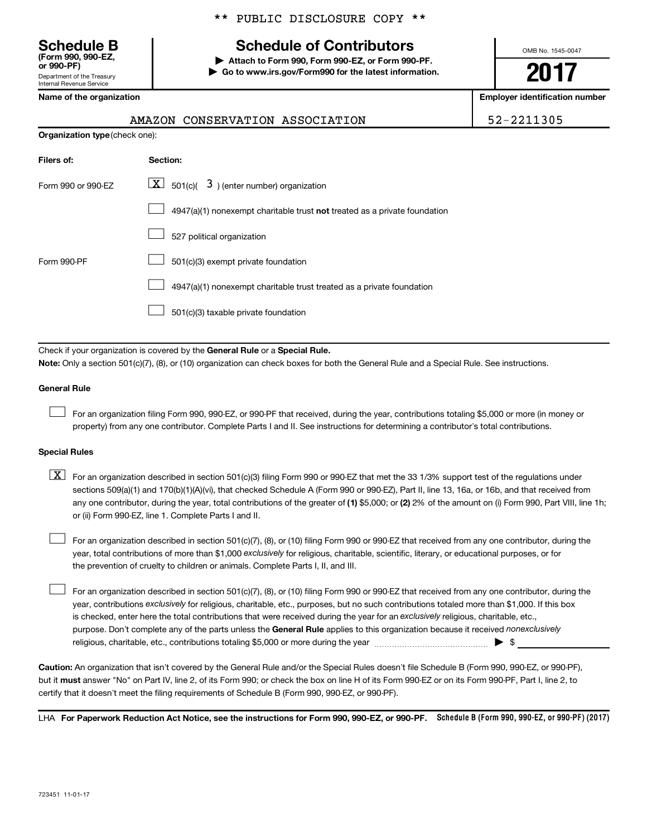Department of the Treasury Internal Revenue Service **(Form 990, 990-EZ,**

## **Schedule B Schedule of Contributors**

**or 990-PF) | Attach to Form 990, Form 990-EZ, or Form 990-PF. | Go to www.irs.gov/Form990 for the latest information.** OMB No. 1545-0047

## **2017**

**Name of the organization Employer identification number**

52-2211305

Je. See instructions.

|                                | AMAZON CONSERVATION ASSOCIATION                                                                                                                                                                      |
|--------------------------------|------------------------------------------------------------------------------------------------------------------------------------------------------------------------------------------------------|
| Organization type (check one): |                                                                                                                                                                                                      |
| Filers of:                     | Section:                                                                                                                                                                                             |
| Form 990 or 990-EZ             | $\lfloor \mathbf{X} \rfloor$ 501(c)( 3) (enter number) organization                                                                                                                                  |
|                                | 4947(a)(1) nonexempt charitable trust not treated as a private foundation                                                                                                                            |
|                                | 527 political organization                                                                                                                                                                           |
| Form 990-PF                    | 501(c)(3) exempt private foundation                                                                                                                                                                  |
|                                | 4947(a)(1) nonexempt charitable trust treated as a private foundation                                                                                                                                |
|                                | 501(c)(3) taxable private foundation                                                                                                                                                                 |
|                                | Check if your organization is covered by the General Rule or a Special Rule.<br>Note: Only a section 501(c)(7), (8), or (10) organization can check boxes for both the General Rule and a Special Ri |
| <b>General Rule</b>            |                                                                                                                                                                                                      |
|                                | For an organization filing Form 990, 990-EZ, or 990-PF that received, during the year, contributions totalin                                                                                         |

For an organization filing Form 990, 990-EZ, or 990-PF that received, during the year, contributions totaling \$5,000 or more (in money or property) from any one contributor. Complete Parts I and II. See instructions for determining a contributor's total contributions.

## **Special Rules**

any one contributor, during the year, total contributions of the greater of (1) \$5,000; or (2) 2% of the amount on (i) Form 990, Part VIII, line 1h;  $\boxed{\text{X}}$  For an organization described in section 501(c)(3) filing Form 990 or 990-EZ that met the 33 1/3% support test of the regulations under sections 509(a)(1) and 170(b)(1)(A)(vi), that checked Schedule A (Form 990 or 990-EZ), Part II, line 13, 16a, or 16b, and that received from or (ii) Form 990-EZ, line 1. Complete Parts I and II.

year, total contributions of more than \$1,000 *exclusively* for religious, charitable, scientific, literary, or educational purposes, or for For an organization described in section 501(c)(7), (8), or (10) filing Form 990 or 990-EZ that received from any one contributor, during the the prevention of cruelty to children or animals. Complete Parts I, II, and III.  $\Box$ 

purpose. Don't complete any of the parts unless the General Rule applies to this organization because it received nonexclusively year, contributions exclusively for religious, charitable, etc., purposes, but no such contributions totaled more than \$1,000. If this box is checked, enter here the total contributions that were received during the year for an exclusively religious, charitable, etc., For an organization described in section 501(c)(7), (8), or (10) filing Form 990 or 990-EZ that received from any one contributor, during the religious, charitable, etc., contributions totaling \$5,000 or more during the year  $\ldots$  $\ldots$  $\ldots$  $\ldots$  $\ldots$  $\ldots$  $\Box$ 

**Caution:**  An organization that isn't covered by the General Rule and/or the Special Rules doesn't file Schedule B (Form 990, 990-EZ, or 990-PF),  **must** but it answer "No" on Part IV, line 2, of its Form 990; or check the box on line H of its Form 990-EZ or on its Form 990-PF, Part I, line 2, to certify that it doesn't meet the filing requirements of Schedule B (Form 990, 990-EZ, or 990-PF).

LHA For Paperwork Reduction Act Notice, see the instructions for Form 990, 990-EZ, or 990-PF. Schedule B (Form 990, 990-EZ, or 990-PF) (2017)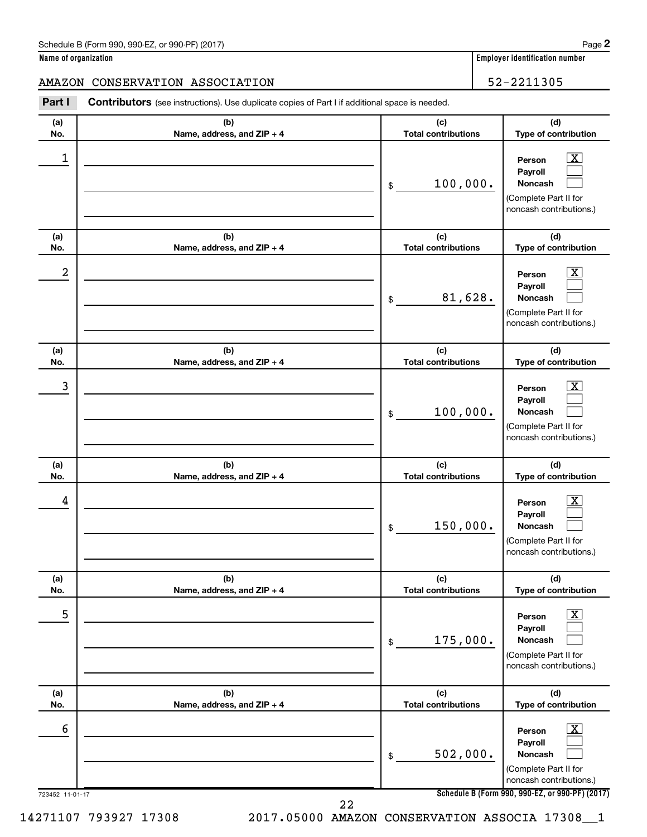| Schedule B (Form 990, 990-EZ, or 990-PF) (2017) | Page |
|-------------------------------------------------|------|
|-------------------------------------------------|------|

|  | Name of organization |
|--|----------------------|
|  |                      |

## AMAZON CONSERVATION ASSOCIATION 52-2211305

**Part I** Contributors (see instructions). Use duplicate copies of Part I if additional space is needed.

| 1<br>$\overline{\mathbf{X}}$<br>Person<br>Payroll<br>100,000.<br><b>Noncash</b><br>$$\mathbb{S}$$<br>(Complete Part II for<br>noncash contributions.)<br>(b)<br>(c)<br>(d)<br>(a)<br><b>Total contributions</b><br>Type of contribution<br>Name, address, and ZIP + 4<br>No.<br>2<br>$\overline{\mathbf{X}}$<br>Person<br>Payroll<br>81,628.<br>Noncash<br>$\$$<br>(Complete Part II for<br>noncash contributions.)<br>(b)<br>(c)<br>(d)<br>(a)<br><b>Total contributions</b><br>Type of contribution<br>No.<br>Name, address, and ZIP + 4<br>3<br>$\overline{\text{X}}$<br>Person<br>Payroll<br>100,000.<br>Noncash<br>\$<br>(Complete Part II for<br>noncash contributions.)<br>(b)<br>(c)<br>(d)<br>(a)<br><b>Total contributions</b><br>Type of contribution<br>No.<br>Name, address, and ZIP + 4<br>4<br>x<br>Person<br>Payroll<br>150,000.<br>Noncash<br>\$<br>(Complete Part II for<br>noncash contributions.)<br>(a)<br>(b)<br>(c)<br>(d)<br><b>Total contributions</b><br>Type of contribution<br>No.<br>Name, address, and ZIP + 4<br>5<br>х<br>Person<br>Payroll<br>175,000.<br>Noncash<br>\$<br>(Complete Part II for<br>noncash contributions.)<br>(d)<br>(b)<br>(c)<br>(a)<br>Type of contribution<br>Name, address, and ZIP + 4<br><b>Total contributions</b><br>No.<br>6<br>х<br>Person<br>Payroll<br>502,000.<br>Noncash<br>\$<br>(Complete Part II for<br>noncash contributions.)<br>Schedule B (Form 990, 990-EZ, or 990-PF) (2017)<br>723452 11-01-17<br>22 | (a)<br>No. | (b)<br>Name, address, and ZIP + 4 | (c)<br><b>Total contributions</b> | (d)<br>Type of contribution |
|---------------------------------------------------------------------------------------------------------------------------------------------------------------------------------------------------------------------------------------------------------------------------------------------------------------------------------------------------------------------------------------------------------------------------------------------------------------------------------------------------------------------------------------------------------------------------------------------------------------------------------------------------------------------------------------------------------------------------------------------------------------------------------------------------------------------------------------------------------------------------------------------------------------------------------------------------------------------------------------------------------------------------------------------------------------------------------------------------------------------------------------------------------------------------------------------------------------------------------------------------------------------------------------------------------------------------------------------------------------------------------------------------------------------------------------------------------------------------------|------------|-----------------------------------|-----------------------------------|-----------------------------|
|                                                                                                                                                                                                                                                                                                                                                                                                                                                                                                                                                                                                                                                                                                                                                                                                                                                                                                                                                                                                                                                                                                                                                                                                                                                                                                                                                                                                                                                                                 |            |                                   |                                   |                             |
|                                                                                                                                                                                                                                                                                                                                                                                                                                                                                                                                                                                                                                                                                                                                                                                                                                                                                                                                                                                                                                                                                                                                                                                                                                                                                                                                                                                                                                                                                 |            |                                   |                                   |                             |
|                                                                                                                                                                                                                                                                                                                                                                                                                                                                                                                                                                                                                                                                                                                                                                                                                                                                                                                                                                                                                                                                                                                                                                                                                                                                                                                                                                                                                                                                                 |            |                                   |                                   |                             |
|                                                                                                                                                                                                                                                                                                                                                                                                                                                                                                                                                                                                                                                                                                                                                                                                                                                                                                                                                                                                                                                                                                                                                                                                                                                                                                                                                                                                                                                                                 |            |                                   |                                   |                             |
|                                                                                                                                                                                                                                                                                                                                                                                                                                                                                                                                                                                                                                                                                                                                                                                                                                                                                                                                                                                                                                                                                                                                                                                                                                                                                                                                                                                                                                                                                 |            |                                   |                                   |                             |
|                                                                                                                                                                                                                                                                                                                                                                                                                                                                                                                                                                                                                                                                                                                                                                                                                                                                                                                                                                                                                                                                                                                                                                                                                                                                                                                                                                                                                                                                                 |            |                                   |                                   |                             |
|                                                                                                                                                                                                                                                                                                                                                                                                                                                                                                                                                                                                                                                                                                                                                                                                                                                                                                                                                                                                                                                                                                                                                                                                                                                                                                                                                                                                                                                                                 |            |                                   |                                   |                             |
|                                                                                                                                                                                                                                                                                                                                                                                                                                                                                                                                                                                                                                                                                                                                                                                                                                                                                                                                                                                                                                                                                                                                                                                                                                                                                                                                                                                                                                                                                 |            |                                   |                                   |                             |
|                                                                                                                                                                                                                                                                                                                                                                                                                                                                                                                                                                                                                                                                                                                                                                                                                                                                                                                                                                                                                                                                                                                                                                                                                                                                                                                                                                                                                                                                                 |            |                                   |                                   |                             |
|                                                                                                                                                                                                                                                                                                                                                                                                                                                                                                                                                                                                                                                                                                                                                                                                                                                                                                                                                                                                                                                                                                                                                                                                                                                                                                                                                                                                                                                                                 |            |                                   |                                   |                             |
|                                                                                                                                                                                                                                                                                                                                                                                                                                                                                                                                                                                                                                                                                                                                                                                                                                                                                                                                                                                                                                                                                                                                                                                                                                                                                                                                                                                                                                                                                 |            |                                   |                                   |                             |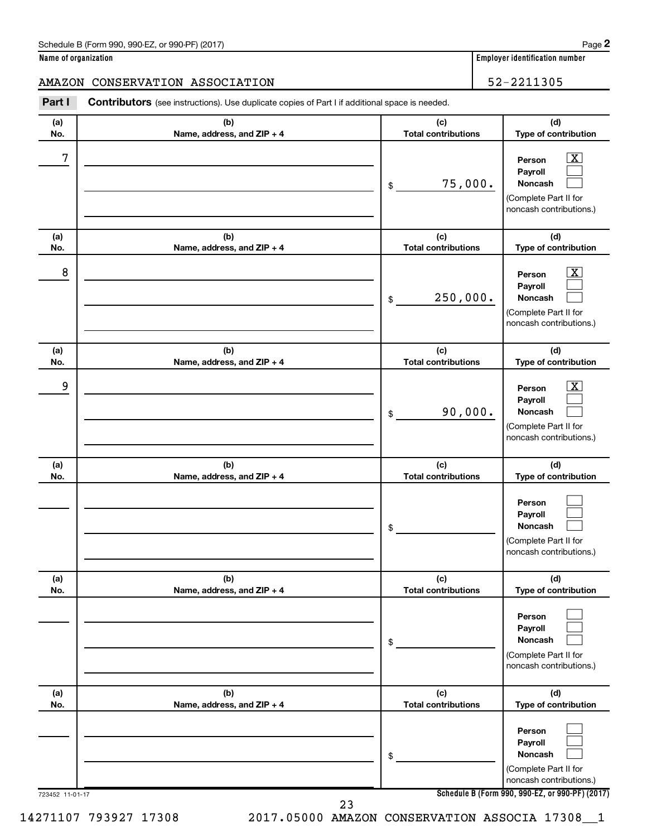| Schedule B (Form 990, 990-EZ, or 990-PF) (2017) | Page |
|-------------------------------------------------|------|
|-------------------------------------------------|------|

|  | Name of organization |
|--|----------------------|
|  |                      |

**Employer identification number** 

AMAZON CONSERVATION ASSOCIATION 52-2211305

| Part I          | <b>Contributors</b> (see instructions). Use duplicate copies of Part I if additional space is needed. |                                   |                                                                                                                                            |
|-----------------|-------------------------------------------------------------------------------------------------------|-----------------------------------|--------------------------------------------------------------------------------------------------------------------------------------------|
| (a)<br>No.      | (b)<br>Name, address, and ZIP + 4                                                                     | (c)<br><b>Total contributions</b> | (d)<br>Type of contribution                                                                                                                |
| 7               |                                                                                                       | 75,000.<br>\$                     | $\overline{\mathbf{X}}$<br>Person<br>Payroll<br>Noncash<br>(Complete Part II for<br>noncash contributions.)                                |
| (a)<br>No.      | (b)<br>Name, address, and ZIP + 4                                                                     | (c)<br><b>Total contributions</b> | (d)<br>Type of contribution                                                                                                                |
| 8               |                                                                                                       | 250,000.<br>\$                    | $\overline{\mathbf{X}}$<br>Person<br>Payroll<br>Noncash<br>(Complete Part II for<br>noncash contributions.)                                |
| (a)<br>No.      | (b)<br>Name, address, and ZIP + 4                                                                     | (c)<br><b>Total contributions</b> | (d)<br>Type of contribution                                                                                                                |
| 9               |                                                                                                       | 90,000.<br>\$                     | $\overline{\mathbf{X}}$<br>Person<br>Payroll<br>Noncash<br>(Complete Part II for<br>noncash contributions.)                                |
| (a)<br>No.      | (b)<br>Name, address, and ZIP + 4                                                                     | (c)<br><b>Total contributions</b> | (d)<br>Type of contribution                                                                                                                |
|                 |                                                                                                       |                                   |                                                                                                                                            |
|                 |                                                                                                       | \$                                | Person<br>Payroll<br><b>Noncash</b><br>(Complete Part II for<br>noncash contributions.)                                                    |
| (a)<br>No.      | (b)<br>Name, address, and ZIP + 4                                                                     | (c)<br><b>Total contributions</b> | (d)<br>Type of contribution                                                                                                                |
|                 |                                                                                                       | \$                                | Person<br>Payroll<br><b>Noncash</b><br>(Complete Part II for<br>noncash contributions.)                                                    |
| (a)<br>No.      | (b)<br>Name, address, and ZIP + 4                                                                     | (c)<br><b>Total contributions</b> | (d)<br>Type of contribution                                                                                                                |
| 723452 11-01-17 |                                                                                                       | \$                                | Person<br>Payroll<br><b>Noncash</b><br>(Complete Part II for<br>noncash contributions.)<br>Schedule B (Form 990, 990-EZ, or 990-PF) (2017) |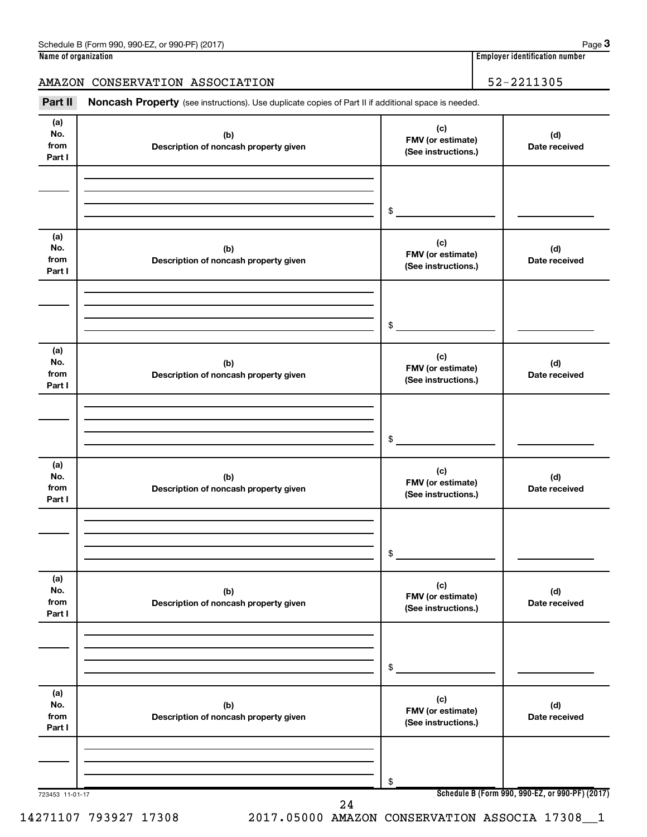## AMAZON CONSERVATION ASSOCIATION 52-2211305

Part II Noncash Property (see instructions). Use duplicate copies of Part II if additional space is needed.

| (a)<br>No.<br>from<br>Part I | (b)<br>Description of noncash property given | (c)<br>FMV (or estimate)<br>(See instructions.) | (d)<br>Date received |
|------------------------------|----------------------------------------------|-------------------------------------------------|----------------------|
|                              |                                              | \$                                              |                      |
| (a)<br>No.<br>from<br>Part I | (b)<br>Description of noncash property given | (c)<br>FMV (or estimate)<br>(See instructions.) | (d)<br>Date received |
|                              |                                              | \$                                              |                      |
| (a)<br>No.<br>from<br>Part I | (b)<br>Description of noncash property given | (c)<br>FMV (or estimate)<br>(See instructions.) | (d)<br>Date received |
|                              |                                              | \$                                              |                      |
| (a)<br>No.<br>from<br>Part I | (b)<br>Description of noncash property given | (c)<br>FMV (or estimate)<br>(See instructions.) | (d)<br>Date received |
|                              |                                              | $\$$                                            |                      |
| (a)<br>No.<br>from<br>Part I | (b)<br>Description of noncash property given | (c)<br>FMV (or estimate)<br>(See instructions.) | (d)<br>Date received |
|                              |                                              | \$                                              |                      |
| (a)<br>No.<br>from<br>Part I | (b)<br>Description of noncash property given | (c)<br>FMV (or estimate)<br>(See instructions.) | (d)<br>Date received |
|                              |                                              | \$                                              |                      |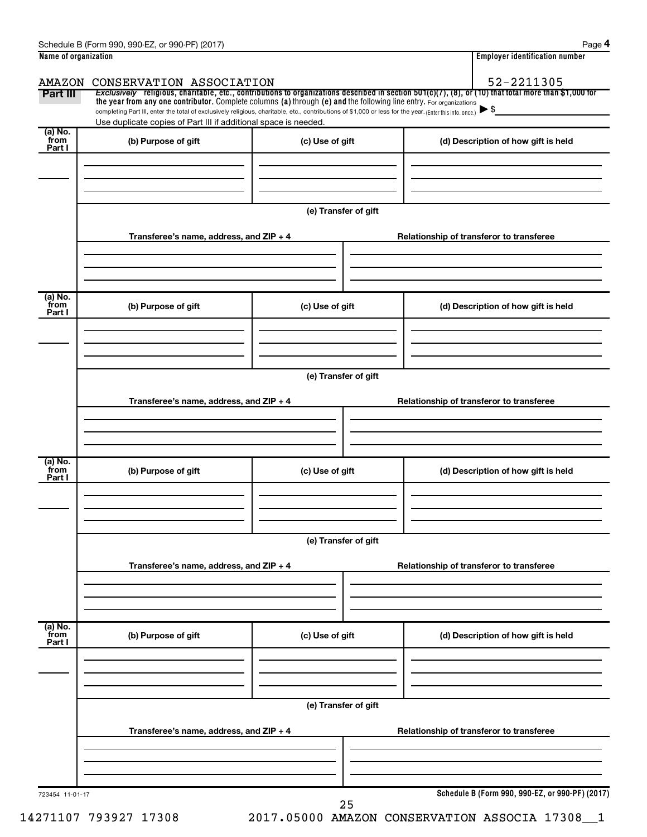| Schedule<br>i (201 <sup>-</sup><br>990-EZ<br>990-PF<br>m 990.<br>∙orm<br>or<br>ь | ade                                     |
|----------------------------------------------------------------------------------|-----------------------------------------|
| Name of organization                                                             | <br>r identitication number<br>-mnlover |

| AMAZON                    | CONSERVATION ASSOCIATION                                                                                                                                                          |                      | 52-2211305                                                                                                                                               |
|---------------------------|-----------------------------------------------------------------------------------------------------------------------------------------------------------------------------------|----------------------|----------------------------------------------------------------------------------------------------------------------------------------------------------|
| Part III                  | the year from any one contributor. Complete columns (a) through (e) and the following line entry. For organizations                                                               |                      | Exclusively religious, charitable, etc., contributions to organizations described in section $501(c)(7)$ , (8), or (10) that total more than \$1,000 for |
|                           | completing Part III, enter the total of exclusively religious, charitable, etc., contributions of \$1,000 or less for the year. (Enter this info. once.) $\blacktriangleright$ \$ |                      |                                                                                                                                                          |
| (a) No.                   | Use duplicate copies of Part III if additional space is needed.                                                                                                                   |                      |                                                                                                                                                          |
| from<br>Part I            | (b) Purpose of gift                                                                                                                                                               | (c) Use of gift      | (d) Description of how gift is held                                                                                                                      |
|                           |                                                                                                                                                                                   |                      |                                                                                                                                                          |
|                           |                                                                                                                                                                                   |                      |                                                                                                                                                          |
|                           |                                                                                                                                                                                   |                      |                                                                                                                                                          |
|                           |                                                                                                                                                                                   | (e) Transfer of gift |                                                                                                                                                          |
|                           | Transferee's name, address, and ZIP + 4                                                                                                                                           |                      | Relationship of transferor to transferee                                                                                                                 |
|                           |                                                                                                                                                                                   |                      |                                                                                                                                                          |
|                           |                                                                                                                                                                                   |                      |                                                                                                                                                          |
|                           |                                                                                                                                                                                   |                      |                                                                                                                                                          |
| (a) No.<br>from<br>Part I | (b) Purpose of gift                                                                                                                                                               | (c) Use of gift      | (d) Description of how gift is held                                                                                                                      |
|                           |                                                                                                                                                                                   |                      |                                                                                                                                                          |
|                           |                                                                                                                                                                                   |                      |                                                                                                                                                          |
|                           |                                                                                                                                                                                   |                      |                                                                                                                                                          |
|                           |                                                                                                                                                                                   | (e) Transfer of gift |                                                                                                                                                          |
|                           | Transferee's name, address, and ZIP + 4                                                                                                                                           |                      | Relationship of transferor to transferee                                                                                                                 |
|                           |                                                                                                                                                                                   |                      |                                                                                                                                                          |
|                           |                                                                                                                                                                                   |                      |                                                                                                                                                          |
| (a) No.                   |                                                                                                                                                                                   |                      |                                                                                                                                                          |
| from<br>Part I            | (b) Purpose of gift                                                                                                                                                               | (c) Use of gift      | (d) Description of how gift is held                                                                                                                      |
|                           |                                                                                                                                                                                   |                      |                                                                                                                                                          |
|                           |                                                                                                                                                                                   |                      |                                                                                                                                                          |
|                           |                                                                                                                                                                                   |                      |                                                                                                                                                          |
|                           |                                                                                                                                                                                   | (e) Transfer of gift |                                                                                                                                                          |
|                           | Transferee's name, address, and ZIP + 4                                                                                                                                           |                      | Relationship of transferor to transferee                                                                                                                 |
|                           |                                                                                                                                                                                   |                      |                                                                                                                                                          |
|                           |                                                                                                                                                                                   |                      |                                                                                                                                                          |
|                           |                                                                                                                                                                                   |                      |                                                                                                                                                          |
| (a) No.<br>from<br>Part I | (b) Purpose of gift                                                                                                                                                               | (c) Use of gift      | (d) Description of how gift is held                                                                                                                      |
|                           |                                                                                                                                                                                   |                      |                                                                                                                                                          |
|                           |                                                                                                                                                                                   |                      |                                                                                                                                                          |
|                           |                                                                                                                                                                                   |                      |                                                                                                                                                          |
|                           |                                                                                                                                                                                   | (e) Transfer of gift |                                                                                                                                                          |
|                           | Transferee's name, address, and ZIP + 4                                                                                                                                           |                      | Relationship of transferor to transferee                                                                                                                 |
|                           |                                                                                                                                                                                   |                      |                                                                                                                                                          |
|                           |                                                                                                                                                                                   |                      |                                                                                                                                                          |
|                           |                                                                                                                                                                                   |                      |                                                                                                                                                          |
| 723454 11-01-17           |                                                                                                                                                                                   | 25                   | Schedule B (Form 990, 990-EZ, or 990-PF) (2017)                                                                                                          |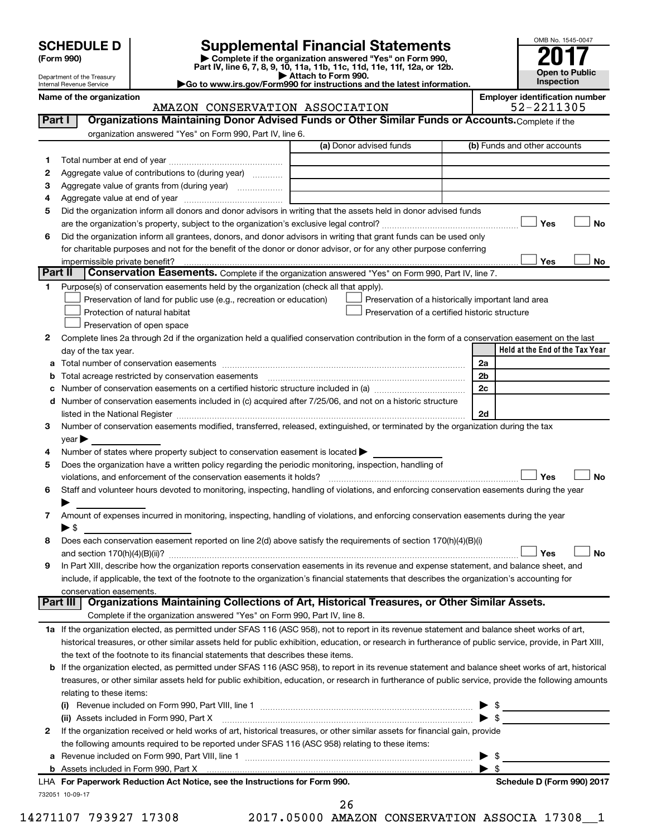Department of the Treasury Internal Revenue Service

| (Form 990) |  |
|------------|--|
|------------|--|

# **SCHEDULE D Supplemental Financial Statements**<br> **Form 990 2017**<br> **Part IV** line 6.7.8.9.10, 11a, 11b, 11d, 11d, 11d, 11d, 11d, 12a, 0r, 12b

**(Form 990) | Complete if the organization answered "Yes" on Form 990, Part IV, line 6, 7, 8, 9, 10, 11a, 11b, 11c, 11d, 11e, 11f, 12a, or 12b.**

**| Attach to Form 990. |Go to www.irs.gov/Form990 for instructions and the latest information.**



## Name of the organization<br>**AMAZON CONSERVATION ASSOCIATION Employer identification number**<br>52 – 2211305 AMAZON CONSERVATION ASSOCIATION

| Part I  | Organizations Maintaining Donor Advised Funds or Other Similar Funds or Accounts. Complete if the                                                                                                                             |                                                    |                |                                 |
|---------|-------------------------------------------------------------------------------------------------------------------------------------------------------------------------------------------------------------------------------|----------------------------------------------------|----------------|---------------------------------|
|         | organization answered "Yes" on Form 990, Part IV, line 6.                                                                                                                                                                     |                                                    |                |                                 |
|         |                                                                                                                                                                                                                               | (a) Donor advised funds                            |                | (b) Funds and other accounts    |
| 1       |                                                                                                                                                                                                                               |                                                    |                |                                 |
| 2       | Aggregate value of contributions to (during year)                                                                                                                                                                             |                                                    |                |                                 |
| 3       | Aggregate value of grants from (during year)                                                                                                                                                                                  |                                                    |                |                                 |
| 4       |                                                                                                                                                                                                                               |                                                    |                |                                 |
| 5       | Did the organization inform all donors and donor advisors in writing that the assets held in donor advised funds                                                                                                              |                                                    |                |                                 |
|         |                                                                                                                                                                                                                               |                                                    |                | Yes<br>No                       |
| 6       | Did the organization inform all grantees, donors, and donor advisors in writing that grant funds can be used only                                                                                                             |                                                    |                |                                 |
|         | for charitable purposes and not for the benefit of the donor or donor advisor, or for any other purpose conferring                                                                                                            |                                                    |                |                                 |
|         | impermissible private benefit?                                                                                                                                                                                                |                                                    |                | Yes<br>No                       |
| Part II | Conservation Easements. Complete if the organization answered "Yes" on Form 990, Part IV, line 7.                                                                                                                             |                                                    |                |                                 |
| 1.      | Purpose(s) of conservation easements held by the organization (check all that apply).                                                                                                                                         |                                                    |                |                                 |
|         | Preservation of land for public use (e.g., recreation or education)                                                                                                                                                           | Preservation of a historically important land area |                |                                 |
|         | Protection of natural habitat                                                                                                                                                                                                 | Preservation of a certified historic structure     |                |                                 |
|         | Preservation of open space                                                                                                                                                                                                    |                                                    |                |                                 |
| 2       | Complete lines 2a through 2d if the organization held a qualified conservation contribution in the form of a conservation easement on the last                                                                                |                                                    |                |                                 |
|         | day of the tax year.                                                                                                                                                                                                          |                                                    |                | Held at the End of the Tax Year |
|         |                                                                                                                                                                                                                               |                                                    | 2a             |                                 |
|         |                                                                                                                                                                                                                               |                                                    | 2 <sub>b</sub> |                                 |
|         | Number of conservation easements on a certified historic structure included in (a) manufacture included in (a)                                                                                                                |                                                    | 2c             |                                 |
| d       | Number of conservation easements included in (c) acquired after 7/25/06, and not on a historic structure                                                                                                                      |                                                    |                |                                 |
|         | listed in the National Register [111] Marshall Register [11] Marshall Register [11] Marshall Register [11] Marshall Register [11] Marshall Register [11] Marshall Register [11] Marshall Register [11] Marshall Register [11] |                                                    | 2d             |                                 |
| з       | Number of conservation easements modified, transferred, released, extinguished, or terminated by the organization during the tax                                                                                              |                                                    |                |                                 |
|         | $year \triangleright$                                                                                                                                                                                                         |                                                    |                |                                 |
| 4       | Number of states where property subject to conservation easement is located >                                                                                                                                                 |                                                    |                |                                 |
| 5       | Does the organization have a written policy regarding the periodic monitoring, inspection, handling of                                                                                                                        |                                                    |                |                                 |
|         |                                                                                                                                                                                                                               |                                                    |                | No<br>Yes                       |
| 6       | Staff and volunteer hours devoted to monitoring, inspecting, handling of violations, and enforcing conservation easements during the year                                                                                     |                                                    |                |                                 |
|         |                                                                                                                                                                                                                               |                                                    |                |                                 |
| 7       | Amount of expenses incurred in monitoring, inspecting, handling of violations, and enforcing conservation easements during the year                                                                                           |                                                    |                |                                 |
|         | ▶ \$                                                                                                                                                                                                                          |                                                    |                |                                 |
| 8       | Does each conservation easement reported on line 2(d) above satisfy the requirements of section 170(h)(4)(B)(i)                                                                                                               |                                                    |                |                                 |
|         |                                                                                                                                                                                                                               |                                                    |                | No<br>Yes                       |
| 9       | In Part XIII, describe how the organization reports conservation easements in its revenue and expense statement, and balance sheet, and                                                                                       |                                                    |                |                                 |
|         | include, if applicable, the text of the footnote to the organization's financial statements that describes the organization's accounting for                                                                                  |                                                    |                |                                 |
|         | conservation easements.                                                                                                                                                                                                       |                                                    |                |                                 |
|         | Organizations Maintaining Collections of Art, Historical Treasures, or Other Similar Assets.<br>Part III                                                                                                                      |                                                    |                |                                 |
|         | Complete if the organization answered "Yes" on Form 990, Part IV, line 8.                                                                                                                                                     |                                                    |                |                                 |
|         | 1a If the organization elected, as permitted under SFAS 116 (ASC 958), not to report in its revenue statement and balance sheet works of art,                                                                                 |                                                    |                |                                 |
|         | historical treasures, or other similar assets held for public exhibition, education, or research in furtherance of public service, provide, in Part XIII,                                                                     |                                                    |                |                                 |
|         | the text of the footnote to its financial statements that describes these items.                                                                                                                                              |                                                    |                |                                 |
|         | <b>b</b> If the organization elected, as permitted under SFAS 116 (ASC 958), to report in its revenue statement and balance sheet works of art, historical                                                                    |                                                    |                |                                 |
|         | treasures, or other similar assets held for public exhibition, education, or research in furtherance of public service, provide the following amounts                                                                         |                                                    |                |                                 |
|         | relating to these items:                                                                                                                                                                                                      |                                                    |                |                                 |
|         |                                                                                                                                                                                                                               |                                                    | ▶              | \$                              |
|         | (ii) Assets included in Form 990, Part X                                                                                                                                                                                      |                                                    |                | $\blacktriangleright$ \$        |
| 2       | If the organization received or held works of art, historical treasures, or other similar assets for financial gain, provide                                                                                                  |                                                    |                |                                 |
|         | the following amounts required to be reported under SFAS 116 (ASC 958) relating to these items:                                                                                                                               |                                                    |                |                                 |
| а       | Revenue included on Form 990, Part VIII, line 1 [2000] [2000] [2000] [2000] [3000] [3000] [3000] [3000] [3000                                                                                                                 |                                                    | ▶              | \$                              |
|         |                                                                                                                                                                                                                               |                                                    |                | $\blacktriangleright$ \$        |
|         | LHA For Paperwork Reduction Act Notice, see the Instructions for Form 990.                                                                                                                                                    |                                                    |                | Schedule D (Form 990) 2017      |
|         | 732051 10-09-17                                                                                                                                                                                                               |                                                    |                |                                 |
|         |                                                                                                                                                                                                                               | 26                                                 |                |                                 |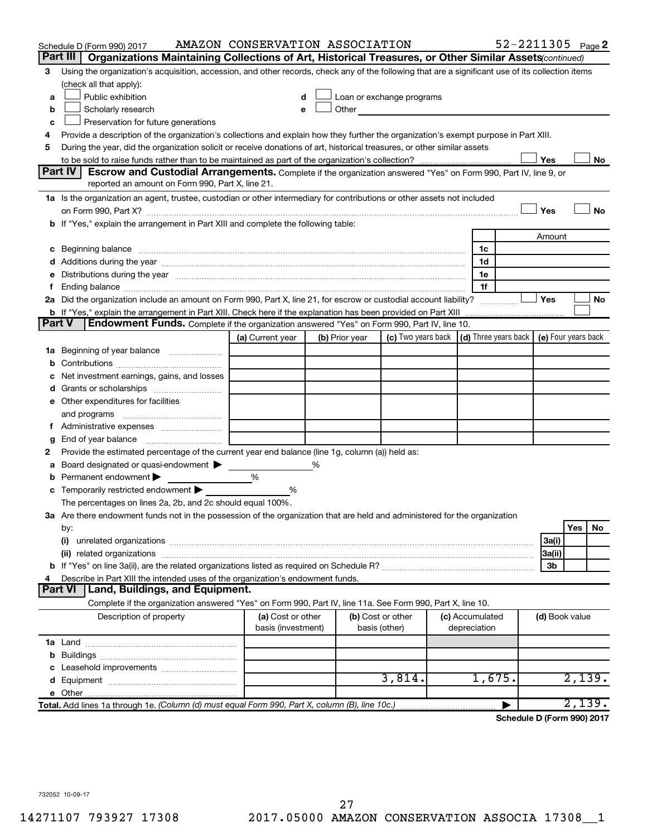|        | Schedule D (Form 990) 2017                                                                                                                                                                                                     | AMAZON CONSERVATION ASSOCIATION         |   |                |                                    |                                            | 52-2211305 Page 2 |                |        |     |
|--------|--------------------------------------------------------------------------------------------------------------------------------------------------------------------------------------------------------------------------------|-----------------------------------------|---|----------------|------------------------------------|--------------------------------------------|-------------------|----------------|--------|-----|
|        | Part III<br>Organizations Maintaining Collections of Art, Historical Treasures, or Other Similar Assets (continued)                                                                                                            |                                         |   |                |                                    |                                            |                   |                |        |     |
| З      | Using the organization's acquisition, accession, and other records, check any of the following that are a significant use of its collection items                                                                              |                                         |   |                |                                    |                                            |                   |                |        |     |
|        | (check all that apply):                                                                                                                                                                                                        |                                         |   |                |                                    |                                            |                   |                |        |     |
| a      | Public exhibition                                                                                                                                                                                                              |                                         |   |                | Loan or exchange programs          |                                            |                   |                |        |     |
| b      | Scholarly research                                                                                                                                                                                                             |                                         |   | Other          |                                    |                                            |                   |                |        |     |
| c      | Preservation for future generations                                                                                                                                                                                            |                                         |   |                |                                    |                                            |                   |                |        |     |
| 4      | Provide a description of the organization's collections and explain how they further the organization's exempt purpose in Part XIII.                                                                                           |                                         |   |                |                                    |                                            |                   |                |        |     |
| 5      | During the year, did the organization solicit or receive donations of art, historical treasures, or other similar assets                                                                                                       |                                         |   |                |                                    |                                            |                   |                |        |     |
|        |                                                                                                                                                                                                                                |                                         |   |                |                                    |                                            |                   | Yes            |        | No  |
|        | Part IV<br><b>Escrow and Custodial Arrangements.</b> Complete if the organization answered "Yes" on Form 990, Part IV, line 9, or                                                                                              |                                         |   |                |                                    |                                            |                   |                |        |     |
|        | reported an amount on Form 990, Part X, line 21.                                                                                                                                                                               |                                         |   |                |                                    |                                            |                   |                |        |     |
|        | 1a Is the organization an agent, trustee, custodian or other intermediary for contributions or other assets not included                                                                                                       |                                         |   |                |                                    |                                            |                   |                |        |     |
|        | on Form 990, Part X? [11] matter continuum matter contract and contract and contract and contract and contract and contract and contract and contract and contract and contract and contract and contract and contract and con |                                         |   |                |                                    |                                            |                   | Yes            |        | No  |
|        | b If "Yes," explain the arrangement in Part XIII and complete the following table:                                                                                                                                             |                                         |   |                |                                    |                                            |                   |                |        |     |
|        |                                                                                                                                                                                                                                |                                         |   |                |                                    |                                            |                   | Amount         |        |     |
| c      | Beginning balance measurements and contain the contract of the contract of the contract of the contract of the                                                                                                                 |                                         |   |                |                                    | 1c                                         |                   |                |        |     |
|        |                                                                                                                                                                                                                                |                                         |   |                |                                    | 1d                                         |                   |                |        |     |
|        |                                                                                                                                                                                                                                |                                         |   |                |                                    | 1e                                         |                   |                |        |     |
|        |                                                                                                                                                                                                                                |                                         |   |                |                                    | 1f                                         |                   |                |        |     |
|        | 2a Did the organization include an amount on Form 990, Part X, line 21, for escrow or custodial account liability?                                                                                                             |                                         |   |                |                                    |                                            |                   | Yes            |        | No  |
|        | <b>b</b> If "Yes," explain the arrangement in Part XIII. Check here if the explanation has been provided on Part XIII<br>Endowment Funds. Complete if the organization answered "Yes" on Form 990, Part IV, line 10.<br>Part V |                                         |   |                |                                    |                                            |                   |                |        |     |
|        |                                                                                                                                                                                                                                |                                         |   |                |                                    |                                            |                   |                |        |     |
|        |                                                                                                                                                                                                                                | (a) Current year                        |   | (b) Prior year | (c) Two years back $\mid$          | (d) Three years back   (e) Four years back |                   |                |        |     |
| ٦а     | Beginning of year balance                                                                                                                                                                                                      |                                         |   |                |                                    |                                            |                   |                |        |     |
|        |                                                                                                                                                                                                                                |                                         |   |                |                                    |                                            |                   |                |        |     |
|        | Net investment earnings, gains, and losses                                                                                                                                                                                     |                                         |   |                |                                    |                                            |                   |                |        |     |
| d      | Grants or scholarships<br>e Other expenditures for facilities                                                                                                                                                                  |                                         |   |                |                                    |                                            |                   |                |        |     |
|        | and programs                                                                                                                                                                                                                   |                                         |   |                |                                    |                                            |                   |                |        |     |
|        |                                                                                                                                                                                                                                |                                         |   |                |                                    |                                            |                   |                |        |     |
|        |                                                                                                                                                                                                                                |                                         |   |                |                                    |                                            |                   |                |        |     |
| g<br>2 | Provide the estimated percentage of the current year end balance (line 1g, column (a)) held as:                                                                                                                                |                                         |   |                |                                    |                                            |                   |                |        |     |
| а      | Board designated or quasi-endowment                                                                                                                                                                                            |                                         | % |                |                                    |                                            |                   |                |        |     |
| b      | Permanent endowment                                                                                                                                                                                                            | %                                       |   |                |                                    |                                            |                   |                |        |     |
|        | Temporarily restricted endowment                                                                                                                                                                                               | %                                       |   |                |                                    |                                            |                   |                |        |     |
|        | The percentages on lines 2a, 2b, and 2c should equal 100%.                                                                                                                                                                     |                                         |   |                |                                    |                                            |                   |                |        |     |
|        | 3a Are there endowment funds not in the possession of the organization that are held and administered for the organization                                                                                                     |                                         |   |                |                                    |                                            |                   |                |        |     |
|        | by:                                                                                                                                                                                                                            |                                         |   |                |                                    |                                            |                   |                | Yes    | No. |
|        | (i)                                                                                                                                                                                                                            |                                         |   |                |                                    |                                            |                   | 3a(i)          |        |     |
|        |                                                                                                                                                                                                                                |                                         |   |                |                                    |                                            |                   | 3a(ii)         |        |     |
|        |                                                                                                                                                                                                                                |                                         |   |                |                                    |                                            |                   | Зb             |        |     |
|        | Describe in Part XIII the intended uses of the organization's endowment funds.                                                                                                                                                 |                                         |   |                |                                    |                                            |                   |                |        |     |
|        | Land, Buildings, and Equipment.<br><b>Part VI</b>                                                                                                                                                                              |                                         |   |                |                                    |                                            |                   |                |        |     |
|        | Complete if the organization answered "Yes" on Form 990, Part IV, line 11a. See Form 990, Part X, line 10.                                                                                                                     |                                         |   |                |                                    |                                            |                   |                |        |     |
|        | Description of property                                                                                                                                                                                                        | (a) Cost or other<br>basis (investment) |   |                | (b) Cost or other<br>basis (other) | (c) Accumulated<br>depreciation            |                   | (d) Book value |        |     |
|        |                                                                                                                                                                                                                                |                                         |   |                |                                    |                                            |                   |                |        |     |
| b      |                                                                                                                                                                                                                                |                                         |   |                |                                    |                                            |                   |                |        |     |
|        |                                                                                                                                                                                                                                |                                         |   |                |                                    |                                            |                   |                |        |     |
|        |                                                                                                                                                                                                                                |                                         |   |                | 3,814.                             | 1,675.                                     |                   |                | 2,139. |     |
|        |                                                                                                                                                                                                                                |                                         |   |                |                                    |                                            |                   |                |        |     |
|        | Total. Add lines 1a through 1e. (Column (d) must equal Form 990, Part X, column (B), line 10c.)                                                                                                                                |                                         |   |                |                                    |                                            |                   |                | 2,139. |     |
|        |                                                                                                                                                                                                                                |                                         |   |                |                                    |                                            |                   |                |        |     |

**Schedule D (Form 990) 2017**

732052 10-09-17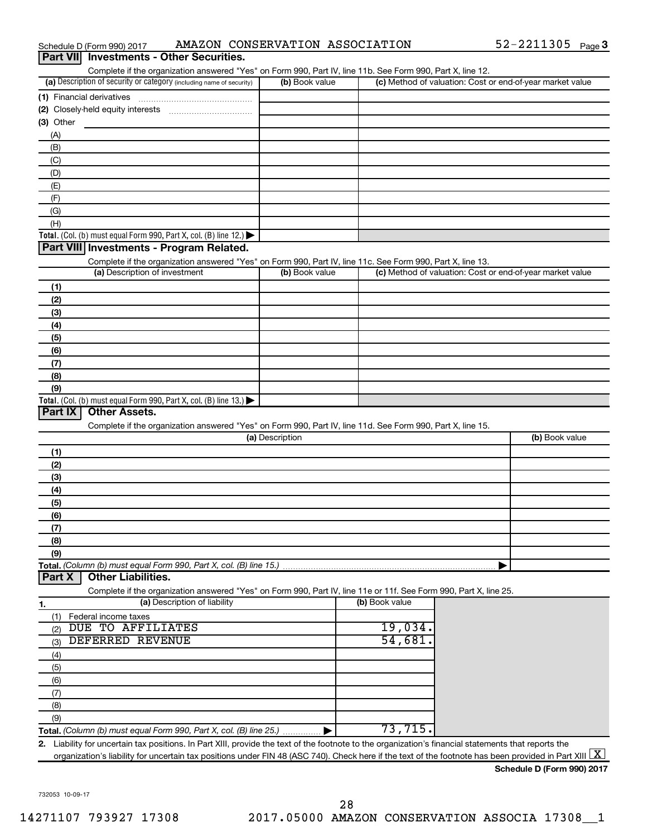| AMAZON CONSERVATION ASSOCIATION<br>Schedule D (Form 990) 2017                                                                                                                                                                                                                                                                   |                 |                | 52-2211305 Page 3                                         |
|---------------------------------------------------------------------------------------------------------------------------------------------------------------------------------------------------------------------------------------------------------------------------------------------------------------------------------|-----------------|----------------|-----------------------------------------------------------|
| <b>Investments - Other Securities.</b><br><b>Part VIII</b>                                                                                                                                                                                                                                                                      |                 |                |                                                           |
| Complete if the organization answered "Yes" on Form 990, Part IV, line 11b. See Form 990, Part X, line 12.                                                                                                                                                                                                                      |                 |                |                                                           |
| (a) Description of security or category (including name of security)                                                                                                                                                                                                                                                            | (b) Book value  |                | (c) Method of valuation: Cost or end-of-year market value |
| (1) Financial derivatives                                                                                                                                                                                                                                                                                                       |                 |                |                                                           |
|                                                                                                                                                                                                                                                                                                                                 |                 |                |                                                           |
| (3) Other                                                                                                                                                                                                                                                                                                                       |                 |                |                                                           |
| (A)                                                                                                                                                                                                                                                                                                                             |                 |                |                                                           |
| (B)                                                                                                                                                                                                                                                                                                                             |                 |                |                                                           |
| (C)                                                                                                                                                                                                                                                                                                                             |                 |                |                                                           |
| (D)                                                                                                                                                                                                                                                                                                                             |                 |                |                                                           |
| (E)                                                                                                                                                                                                                                                                                                                             |                 |                |                                                           |
| (F)                                                                                                                                                                                                                                                                                                                             |                 |                |                                                           |
| (G)                                                                                                                                                                                                                                                                                                                             |                 |                |                                                           |
| (H)<br>Total. (Col. (b) must equal Form 990, Part X, col. (B) line 12.) $\blacktriangleright$                                                                                                                                                                                                                                   |                 |                |                                                           |
| Part VIII Investments - Program Related.                                                                                                                                                                                                                                                                                        |                 |                |                                                           |
| Complete if the organization answered "Yes" on Form 990, Part IV, line 11c. See Form 990, Part X, line 13.                                                                                                                                                                                                                      |                 |                |                                                           |
| (a) Description of investment                                                                                                                                                                                                                                                                                                   | (b) Book value  |                | (c) Method of valuation: Cost or end-of-year market value |
| (1)                                                                                                                                                                                                                                                                                                                             |                 |                |                                                           |
| (2)                                                                                                                                                                                                                                                                                                                             |                 |                |                                                           |
| (3)                                                                                                                                                                                                                                                                                                                             |                 |                |                                                           |
| (4)                                                                                                                                                                                                                                                                                                                             |                 |                |                                                           |
| (5)                                                                                                                                                                                                                                                                                                                             |                 |                |                                                           |
| (6)                                                                                                                                                                                                                                                                                                                             |                 |                |                                                           |
| (7)                                                                                                                                                                                                                                                                                                                             |                 |                |                                                           |
| (8)                                                                                                                                                                                                                                                                                                                             |                 |                |                                                           |
| (9)                                                                                                                                                                                                                                                                                                                             |                 |                |                                                           |
| Total. (Col. (b) must equal Form 990, Part X, col. (B) line $13.$ )                                                                                                                                                                                                                                                             |                 |                |                                                           |
| <b>Other Assets.</b><br>Part IX                                                                                                                                                                                                                                                                                                 |                 |                |                                                           |
| Complete if the organization answered "Yes" on Form 990, Part IV, line 11d. See Form 990, Part X, line 15.                                                                                                                                                                                                                      |                 |                |                                                           |
|                                                                                                                                                                                                                                                                                                                                 | (a) Description |                | (b) Book value                                            |
| (1)                                                                                                                                                                                                                                                                                                                             |                 |                |                                                           |
| (2)                                                                                                                                                                                                                                                                                                                             |                 |                |                                                           |
| (3)                                                                                                                                                                                                                                                                                                                             |                 |                |                                                           |
| (4)                                                                                                                                                                                                                                                                                                                             |                 |                |                                                           |
| (5)                                                                                                                                                                                                                                                                                                                             |                 |                |                                                           |
| (6)                                                                                                                                                                                                                                                                                                                             |                 |                |                                                           |
| (7)                                                                                                                                                                                                                                                                                                                             |                 |                |                                                           |
| (8)                                                                                                                                                                                                                                                                                                                             |                 |                |                                                           |
| (9)                                                                                                                                                                                                                                                                                                                             |                 |                |                                                           |
| Total. (Column (b) must equal Form 990, Part X, col. (B) line 15.)                                                                                                                                                                                                                                                              |                 |                |                                                           |
| <b>Other Liabilities.</b><br>Part X                                                                                                                                                                                                                                                                                             |                 |                |                                                           |
| Complete if the organization answered "Yes" on Form 990, Part IV, line 11e or 11f. See Form 990, Part X, line 25.                                                                                                                                                                                                               |                 |                |                                                           |
| (a) Description of liability<br>1.                                                                                                                                                                                                                                                                                              |                 | (b) Book value |                                                           |
| (1)<br>Federal income taxes                                                                                                                                                                                                                                                                                                     |                 |                |                                                           |
| DUE TO AFFILIATES<br>(2)                                                                                                                                                                                                                                                                                                        |                 | 19,034.        |                                                           |
| DEFERRED REVENUE<br>(3)                                                                                                                                                                                                                                                                                                         |                 | 54,681         |                                                           |
| (4)                                                                                                                                                                                                                                                                                                                             |                 |                |                                                           |
| (5)                                                                                                                                                                                                                                                                                                                             |                 |                |                                                           |
| (6)                                                                                                                                                                                                                                                                                                                             |                 |                |                                                           |
| (7)                                                                                                                                                                                                                                                                                                                             |                 |                |                                                           |
| (8)                                                                                                                                                                                                                                                                                                                             |                 |                |                                                           |
| (9)                                                                                                                                                                                                                                                                                                                             |                 | 73,715         |                                                           |
| Total. (Column (b) must equal Form 990, Part X, col. (B) line 25.)                                                                                                                                                                                                                                                              |                 |                |                                                           |
| 2. Liability for uncertain tax positions. In Part XIII, provide the text of the footnote to the organization's financial statements that reports the<br>organization's liability for uncertain tax positions under FIN 48 (ASC 740). Check here if the text of the footnote has been provided in Part XIII $\boxed{\mathrm{X}}$ |                 |                |                                                           |
|                                                                                                                                                                                                                                                                                                                                 |                 |                |                                                           |

**Schedule D (Form 990) 2017**

732053 10-09-17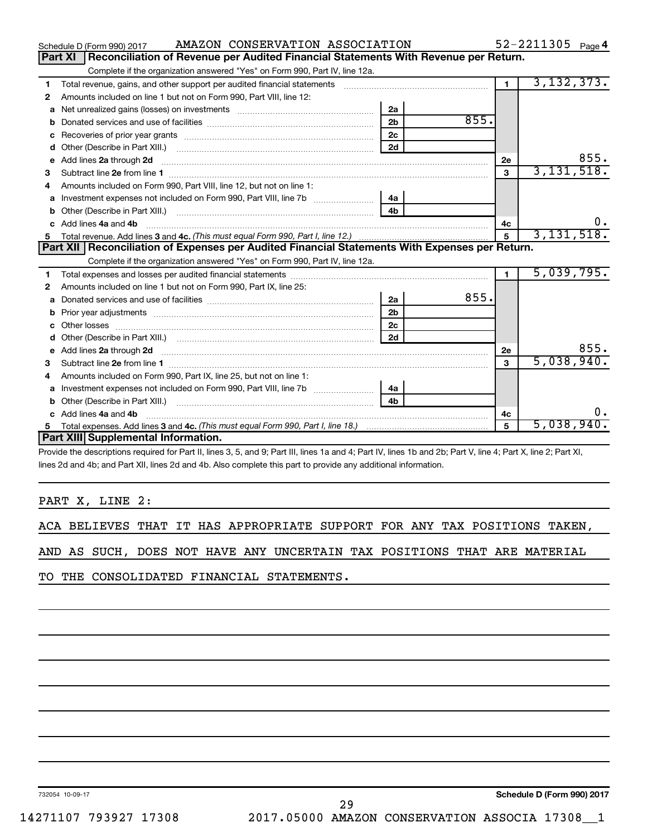|    | AMAZON CONSERVATION ASSOCIATION<br>Schedule D (Form 990) 2017                                                                                                                                                                      |                |      |                | 52-2211305 Page 4 |
|----|------------------------------------------------------------------------------------------------------------------------------------------------------------------------------------------------------------------------------------|----------------|------|----------------|-------------------|
|    | Reconciliation of Revenue per Audited Financial Statements With Revenue per Return.<br><b>Part XI</b>                                                                                                                              |                |      |                |                   |
|    | Complete if the organization answered "Yes" on Form 990, Part IV, line 12a.                                                                                                                                                        |                |      |                |                   |
| 1  | Total revenue, gains, and other support per audited financial statements [11, 11] matter controller and the support per audited financial statements [11] matter controller and the support of the support of the support of t     |                |      | $\blacksquare$ | 3, 132, 373.      |
| 2  | Amounts included on line 1 but not on Form 990, Part VIII, line 12:                                                                                                                                                                |                |      |                |                   |
| a  |                                                                                                                                                                                                                                    | 2a             |      |                |                   |
| b  |                                                                                                                                                                                                                                    | 2 <sub>b</sub> | 855. |                |                   |
| c  |                                                                                                                                                                                                                                    | 2 <sub>c</sub> |      |                |                   |
| d  | Other (Describe in Part XIII.) <b>Construction Contract Construction</b> Chemistry Chemistry Chemistry Chemistry Chemistry                                                                                                         | 2d             |      |                |                   |
| е  | Add lines 2a through 2d                                                                                                                                                                                                            |                |      | 2e             | 855.              |
| 3  |                                                                                                                                                                                                                                    |                |      | 3              | 3,131,518.        |
| 4  | Amounts included on Form 990, Part VIII, line 12, but not on line 1:                                                                                                                                                               |                |      |                |                   |
| a  |                                                                                                                                                                                                                                    | l 4a           |      |                |                   |
|    |                                                                                                                                                                                                                                    | 4 <sub>h</sub> |      |                |                   |
|    | c Add lines 4a and 4b                                                                                                                                                                                                              |                |      | 4c             |                   |
| 5  |                                                                                                                                                                                                                                    |                |      | 5              | 3,131,518.        |
|    | Part XII   Reconciliation of Expenses per Audited Financial Statements With Expenses per Return.                                                                                                                                   |                |      |                |                   |
|    |                                                                                                                                                                                                                                    |                |      |                |                   |
|    | Complete if the organization answered "Yes" on Form 990, Part IV, line 12a.                                                                                                                                                        |                |      |                |                   |
| 1  |                                                                                                                                                                                                                                    |                |      | $\blacksquare$ | 5,039,795.        |
| 2  | Amounts included on line 1 but not on Form 990, Part IX, line 25:                                                                                                                                                                  |                |      |                |                   |
| a  |                                                                                                                                                                                                                                    | 2a             | 855. |                |                   |
| b  |                                                                                                                                                                                                                                    | 2 <sub>b</sub> |      |                |                   |
| c. |                                                                                                                                                                                                                                    | 2 <sub>c</sub> |      |                |                   |
| d  |                                                                                                                                                                                                                                    | 2d             |      |                |                   |
| е  |                                                                                                                                                                                                                                    |                |      | 2е             | 855.              |
| 3  | Add lines 2a through 2d <b>contained a contained a contained a contained a</b> contained a contained a contained a contained a contact a contact a contact a contact a contact a contact a contact a contact a contact a contact a |                |      | 3              | 5,038,940.        |
| 4  | Amounts included on Form 990, Part IX, line 25, but not on line 1:                                                                                                                                                                 |                |      |                |                   |
| a  |                                                                                                                                                                                                                                    | 4a             |      |                |                   |
|    |                                                                                                                                                                                                                                    | 4 <sub>b</sub> |      |                |                   |
|    | c Add lines 4a and 4b                                                                                                                                                                                                              |                |      | 4c             | 0.                |
| 5  |                                                                                                                                                                                                                                    |                |      | 5              | 5,038,940.        |
|    | Part XIII Supplemental Information.                                                                                                                                                                                                |                |      |                |                   |

8, 5, and 9; Part III, lines 1a and 4; Part IV, lines 1b a lines 2d and 4b; and Part XII, lines 2d and 4b. Also complete this part to provide any additional information.

PART X, LINE 2:

ACA BELIEVES THAT IT HAS APPROPRIATE SUPPORT FOR ANY TAX POSITIONS TAKEN,

AND AS SUCH, DOES NOT HAVE ANY UNCERTAIN TAX POSITIONS THAT ARE MATERIAL

TO THE CONSOLIDATED FINANCIAL STATEMENTS.

732054 10-09-17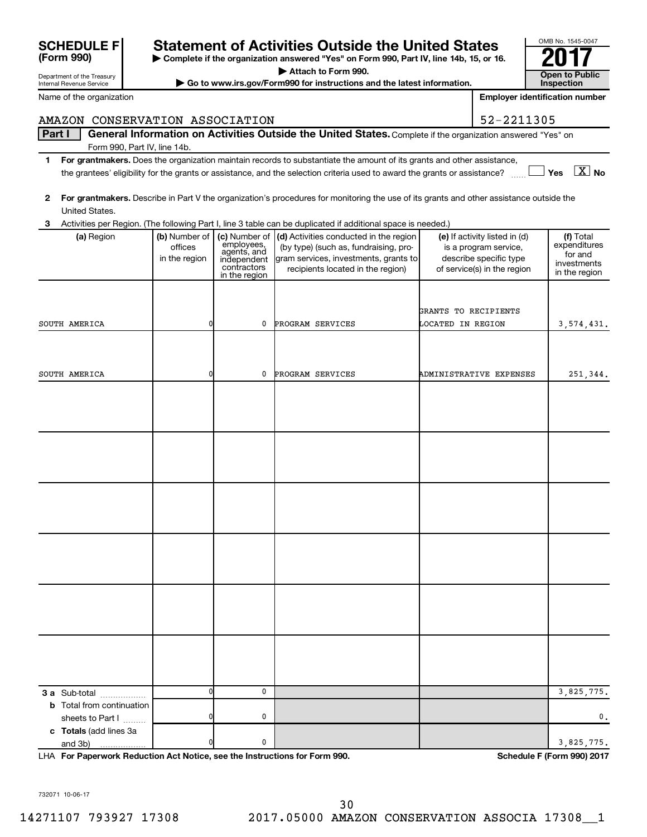| General Information on Activities Outside the United States. Complete if the organization answered "Yes" on<br>Part I<br>Form 990, Part IV, line 14b.<br>For grantmakers. Does the organization maintain records to substantiate the amount of its grants and other assistance,<br>1.<br>$\boxed{\text{X}}$ No<br>the grantees' eligibility for the grants or assistance, and the selection criteria used to award the grants or assistance?<br>Yes<br>For grantmakers. Describe in Part V the organization's procedures for monitoring the use of its grants and other assistance outside the<br>2<br>United States.<br>Activities per Region. (The following Part I, line 3 table can be duplicated if additional space is needed.)<br>3<br>(a) Region<br>(b) Number of<br>(c) Number of<br>(d) Activities conducted in the region<br>(e) If activity listed in (d)<br>(f) Total<br>employees,<br>agents, and<br>expenditures<br>offices<br>(by type) (such as, fundraising, pro-<br>is a program service,<br>for and<br>describe specific type<br>in the region<br>gram services, investments, grants to<br>independent<br>investments<br>contractors<br>recipients located in the region)<br>of service(s) in the region<br>in the region<br>in the region<br>GRANTS TO RECIPIENTS<br>0<br>SOUTH AMERICA<br>0<br>PROGRAM SERVICES<br>LOCATED IN REGION<br>3, 574, 431.<br>0<br>PROGRAM SERVICES<br>SOUTH AMERICA<br>0<br>ADMINISTRATIVE EXPENSES<br>251,344.<br>0<br>3,825,775.<br>$\Omega$<br>3 a Sub-total<br><b>b</b> Total from continuation<br>0<br>sheets to Part I<br>c Totals (add lines 3a | AMAZON CONSERVATION ASSOCIATION |  |  | 52-2211305 |            |
|---------------------------------------------------------------------------------------------------------------------------------------------------------------------------------------------------------------------------------------------------------------------------------------------------------------------------------------------------------------------------------------------------------------------------------------------------------------------------------------------------------------------------------------------------------------------------------------------------------------------------------------------------------------------------------------------------------------------------------------------------------------------------------------------------------------------------------------------------------------------------------------------------------------------------------------------------------------------------------------------------------------------------------------------------------------------------------------------------------------------------------------------------------------------------------------------------------------------------------------------------------------------------------------------------------------------------------------------------------------------------------------------------------------------------------------------------------------------------------------------------------------------------------------------------------------------------------------------------------|---------------------------------|--|--|------------|------------|
|                                                                                                                                                                                                                                                                                                                                                                                                                                                                                                                                                                                                                                                                                                                                                                                                                                                                                                                                                                                                                                                                                                                                                                                                                                                                                                                                                                                                                                                                                                                                                                                                         |                                 |  |  |            |            |
|                                                                                                                                                                                                                                                                                                                                                                                                                                                                                                                                                                                                                                                                                                                                                                                                                                                                                                                                                                                                                                                                                                                                                                                                                                                                                                                                                                                                                                                                                                                                                                                                         |                                 |  |  |            |            |
|                                                                                                                                                                                                                                                                                                                                                                                                                                                                                                                                                                                                                                                                                                                                                                                                                                                                                                                                                                                                                                                                                                                                                                                                                                                                                                                                                                                                                                                                                                                                                                                                         |                                 |  |  |            |            |
|                                                                                                                                                                                                                                                                                                                                                                                                                                                                                                                                                                                                                                                                                                                                                                                                                                                                                                                                                                                                                                                                                                                                                                                                                                                                                                                                                                                                                                                                                                                                                                                                         |                                 |  |  |            |            |
|                                                                                                                                                                                                                                                                                                                                                                                                                                                                                                                                                                                                                                                                                                                                                                                                                                                                                                                                                                                                                                                                                                                                                                                                                                                                                                                                                                                                                                                                                                                                                                                                         |                                 |  |  |            |            |
|                                                                                                                                                                                                                                                                                                                                                                                                                                                                                                                                                                                                                                                                                                                                                                                                                                                                                                                                                                                                                                                                                                                                                                                                                                                                                                                                                                                                                                                                                                                                                                                                         |                                 |  |  |            |            |
|                                                                                                                                                                                                                                                                                                                                                                                                                                                                                                                                                                                                                                                                                                                                                                                                                                                                                                                                                                                                                                                                                                                                                                                                                                                                                                                                                                                                                                                                                                                                                                                                         |                                 |  |  |            |            |
|                                                                                                                                                                                                                                                                                                                                                                                                                                                                                                                                                                                                                                                                                                                                                                                                                                                                                                                                                                                                                                                                                                                                                                                                                                                                                                                                                                                                                                                                                                                                                                                                         |                                 |  |  |            |            |
|                                                                                                                                                                                                                                                                                                                                                                                                                                                                                                                                                                                                                                                                                                                                                                                                                                                                                                                                                                                                                                                                                                                                                                                                                                                                                                                                                                                                                                                                                                                                                                                                         |                                 |  |  |            |            |
|                                                                                                                                                                                                                                                                                                                                                                                                                                                                                                                                                                                                                                                                                                                                                                                                                                                                                                                                                                                                                                                                                                                                                                                                                                                                                                                                                                                                                                                                                                                                                                                                         |                                 |  |  |            |            |
|                                                                                                                                                                                                                                                                                                                                                                                                                                                                                                                                                                                                                                                                                                                                                                                                                                                                                                                                                                                                                                                                                                                                                                                                                                                                                                                                                                                                                                                                                                                                                                                                         |                                 |  |  |            |            |
|                                                                                                                                                                                                                                                                                                                                                                                                                                                                                                                                                                                                                                                                                                                                                                                                                                                                                                                                                                                                                                                                                                                                                                                                                                                                                                                                                                                                                                                                                                                                                                                                         |                                 |  |  |            |            |
|                                                                                                                                                                                                                                                                                                                                                                                                                                                                                                                                                                                                                                                                                                                                                                                                                                                                                                                                                                                                                                                                                                                                                                                                                                                                                                                                                                                                                                                                                                                                                                                                         |                                 |  |  |            |            |
|                                                                                                                                                                                                                                                                                                                                                                                                                                                                                                                                                                                                                                                                                                                                                                                                                                                                                                                                                                                                                                                                                                                                                                                                                                                                                                                                                                                                                                                                                                                                                                                                         |                                 |  |  |            |            |
|                                                                                                                                                                                                                                                                                                                                                                                                                                                                                                                                                                                                                                                                                                                                                                                                                                                                                                                                                                                                                                                                                                                                                                                                                                                                                                                                                                                                                                                                                                                                                                                                         |                                 |  |  |            |            |
|                                                                                                                                                                                                                                                                                                                                                                                                                                                                                                                                                                                                                                                                                                                                                                                                                                                                                                                                                                                                                                                                                                                                                                                                                                                                                                                                                                                                                                                                                                                                                                                                         |                                 |  |  |            |            |
|                                                                                                                                                                                                                                                                                                                                                                                                                                                                                                                                                                                                                                                                                                                                                                                                                                                                                                                                                                                                                                                                                                                                                                                                                                                                                                                                                                                                                                                                                                                                                                                                         |                                 |  |  |            |            |
|                                                                                                                                                                                                                                                                                                                                                                                                                                                                                                                                                                                                                                                                                                                                                                                                                                                                                                                                                                                                                                                                                                                                                                                                                                                                                                                                                                                                                                                                                                                                                                                                         |                                 |  |  |            |            |
|                                                                                                                                                                                                                                                                                                                                                                                                                                                                                                                                                                                                                                                                                                                                                                                                                                                                                                                                                                                                                                                                                                                                                                                                                                                                                                                                                                                                                                                                                                                                                                                                         |                                 |  |  |            |            |
|                                                                                                                                                                                                                                                                                                                                                                                                                                                                                                                                                                                                                                                                                                                                                                                                                                                                                                                                                                                                                                                                                                                                                                                                                                                                                                                                                                                                                                                                                                                                                                                                         |                                 |  |  |            |            |
|                                                                                                                                                                                                                                                                                                                                                                                                                                                                                                                                                                                                                                                                                                                                                                                                                                                                                                                                                                                                                                                                                                                                                                                                                                                                                                                                                                                                                                                                                                                                                                                                         |                                 |  |  |            |            |
|                                                                                                                                                                                                                                                                                                                                                                                                                                                                                                                                                                                                                                                                                                                                                                                                                                                                                                                                                                                                                                                                                                                                                                                                                                                                                                                                                                                                                                                                                                                                                                                                         |                                 |  |  |            |            |
|                                                                                                                                                                                                                                                                                                                                                                                                                                                                                                                                                                                                                                                                                                                                                                                                                                                                                                                                                                                                                                                                                                                                                                                                                                                                                                                                                                                                                                                                                                                                                                                                         |                                 |  |  |            |            |
|                                                                                                                                                                                                                                                                                                                                                                                                                                                                                                                                                                                                                                                                                                                                                                                                                                                                                                                                                                                                                                                                                                                                                                                                                                                                                                                                                                                                                                                                                                                                                                                                         |                                 |  |  |            |            |
|                                                                                                                                                                                                                                                                                                                                                                                                                                                                                                                                                                                                                                                                                                                                                                                                                                                                                                                                                                                                                                                                                                                                                                                                                                                                                                                                                                                                                                                                                                                                                                                                         |                                 |  |  |            |            |
|                                                                                                                                                                                                                                                                                                                                                                                                                                                                                                                                                                                                                                                                                                                                                                                                                                                                                                                                                                                                                                                                                                                                                                                                                                                                                                                                                                                                                                                                                                                                                                                                         |                                 |  |  |            |            |
|                                                                                                                                                                                                                                                                                                                                                                                                                                                                                                                                                                                                                                                                                                                                                                                                                                                                                                                                                                                                                                                                                                                                                                                                                                                                                                                                                                                                                                                                                                                                                                                                         |                                 |  |  |            |            |
|                                                                                                                                                                                                                                                                                                                                                                                                                                                                                                                                                                                                                                                                                                                                                                                                                                                                                                                                                                                                                                                                                                                                                                                                                                                                                                                                                                                                                                                                                                                                                                                                         |                                 |  |  |            |            |
|                                                                                                                                                                                                                                                                                                                                                                                                                                                                                                                                                                                                                                                                                                                                                                                                                                                                                                                                                                                                                                                                                                                                                                                                                                                                                                                                                                                                                                                                                                                                                                                                         |                                 |  |  |            |            |
|                                                                                                                                                                                                                                                                                                                                                                                                                                                                                                                                                                                                                                                                                                                                                                                                                                                                                                                                                                                                                                                                                                                                                                                                                                                                                                                                                                                                                                                                                                                                                                                                         |                                 |  |  |            |            |
|                                                                                                                                                                                                                                                                                                                                                                                                                                                                                                                                                                                                                                                                                                                                                                                                                                                                                                                                                                                                                                                                                                                                                                                                                                                                                                                                                                                                                                                                                                                                                                                                         |                                 |  |  |            |            |
|                                                                                                                                                                                                                                                                                                                                                                                                                                                                                                                                                                                                                                                                                                                                                                                                                                                                                                                                                                                                                                                                                                                                                                                                                                                                                                                                                                                                                                                                                                                                                                                                         |                                 |  |  |            | 0.         |
| 0<br>0<br>and 3b)<br>.                                                                                                                                                                                                                                                                                                                                                                                                                                                                                                                                                                                                                                                                                                                                                                                                                                                                                                                                                                                                                                                                                                                                                                                                                                                                                                                                                                                                                                                                                                                                                                                  |                                 |  |  |            | 3,825,775. |

**For Paperwork Reduction Act Notice, see the Instructions for Form 990. Schedule F (Form 990) 2017** LHA

732071 10-06-17

14271107 793927 17308 2017.05000 AMAZON CONSERVATION ASSOCIA 17308\_\_1 30

| <b>Statement of Activities Outside the United States</b>                                 |  |
|------------------------------------------------------------------------------------------|--|
| ► Complete if the organization answered "Yes" on Form 990, Part IV, line 14b, 15, or 16. |  |

**| Attach to Form 990.**

**Exercise Form 990.**<br>■ Go to www.irs.gov/Form990 for instructions and the latest information. <br>■ Inspection **Inspection Employer identification number**

OMB No. 1545-0047

Department of the Treasury Internal Revenue Service

**(Form 990)**

| Name of the organization |
|--------------------------|
|                          |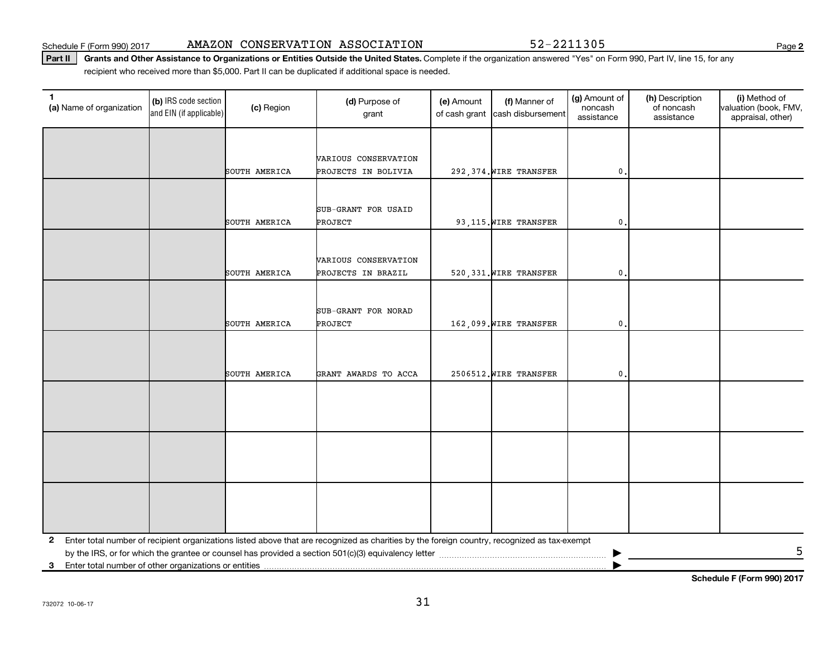Schedule F (Form 990) 2017 Page AMAZON CONSERVATION ASSOCIATION 52-2211305

Part II | Grants and Other Assistance to Organizations or Entities Outside the United States. Complete if the organization answered "Yes" on Form 990, Part IV, line 15, for any recipient who received more than \$5,000. Part II can be duplicated if additional space is needed.

| $\mathbf{1}$<br>(a) Name of organization                   | (b) IRS code section<br>and EIN (if applicable) | (c) Region    | (d) Purpose of<br>grant                                                                                                                      | (e) Amount | (f) Manner of<br>of cash grant cash disbursement | (g) Amount of<br>noncash<br>assistance | (h) Description<br>of noncash<br>assistance | (i) Method of<br>valuation (book, FMV,<br>appraisal, other) |
|------------------------------------------------------------|-------------------------------------------------|---------------|----------------------------------------------------------------------------------------------------------------------------------------------|------------|--------------------------------------------------|----------------------------------------|---------------------------------------------|-------------------------------------------------------------|
|                                                            |                                                 |               |                                                                                                                                              |            |                                                  |                                        |                                             |                                                             |
|                                                            |                                                 |               | VARIOUS CONSERVATION                                                                                                                         |            |                                                  |                                        |                                             |                                                             |
|                                                            |                                                 | SOUTH AMERICA | PROJECTS IN BOLIVIA                                                                                                                          |            | 292, 374. WIRE TRANSFER                          | 0.                                     |                                             |                                                             |
|                                                            |                                                 |               |                                                                                                                                              |            |                                                  |                                        |                                             |                                                             |
|                                                            |                                                 |               | SUB-GRANT FOR USAID                                                                                                                          |            |                                                  |                                        |                                             |                                                             |
|                                                            |                                                 | SOUTH AMERICA | PROJECT                                                                                                                                      |            | 93,115. WIRE TRANSFER                            | $\mathbf{0}$ .                         |                                             |                                                             |
|                                                            |                                                 |               |                                                                                                                                              |            |                                                  |                                        |                                             |                                                             |
|                                                            |                                                 |               | VARIOUS CONSERVATION                                                                                                                         |            |                                                  |                                        |                                             |                                                             |
|                                                            |                                                 | SOUTH AMERICA | PROJECTS IN BRAZIL                                                                                                                           |            | 520, 331. WIRE TRANSFER                          | $\mathbf{0}$                           |                                             |                                                             |
|                                                            |                                                 |               |                                                                                                                                              |            |                                                  |                                        |                                             |                                                             |
|                                                            |                                                 |               | SUB-GRANT FOR NORAD                                                                                                                          |            |                                                  |                                        |                                             |                                                             |
|                                                            |                                                 | SOUTH AMERICA | <b>PROJECT</b>                                                                                                                               |            | 162,099. WIRE TRANSFER                           | $\mathbf 0$ .                          |                                             |                                                             |
|                                                            |                                                 |               |                                                                                                                                              |            |                                                  |                                        |                                             |                                                             |
|                                                            |                                                 |               |                                                                                                                                              |            |                                                  |                                        |                                             |                                                             |
|                                                            |                                                 | SOUTH AMERICA | GRANT AWARDS TO ACCA                                                                                                                         |            | 2506512. WIRE TRANSFER                           | 0.                                     |                                             |                                                             |
|                                                            |                                                 |               |                                                                                                                                              |            |                                                  |                                        |                                             |                                                             |
|                                                            |                                                 |               |                                                                                                                                              |            |                                                  |                                        |                                             |                                                             |
|                                                            |                                                 |               |                                                                                                                                              |            |                                                  |                                        |                                             |                                                             |
|                                                            |                                                 |               |                                                                                                                                              |            |                                                  |                                        |                                             |                                                             |
|                                                            |                                                 |               |                                                                                                                                              |            |                                                  |                                        |                                             |                                                             |
|                                                            |                                                 |               |                                                                                                                                              |            |                                                  |                                        |                                             |                                                             |
|                                                            |                                                 |               |                                                                                                                                              |            |                                                  |                                        |                                             |                                                             |
|                                                            |                                                 |               |                                                                                                                                              |            |                                                  |                                        |                                             |                                                             |
|                                                            |                                                 |               |                                                                                                                                              |            |                                                  |                                        |                                             |                                                             |
| $\mathbf{2}$                                               |                                                 |               | Enter total number of recipient organizations listed above that are recognized as charities by the foreign country, recognized as tax-exempt |            |                                                  |                                        |                                             | 5                                                           |
| Enter total number of other organizations or entities<br>3 |                                                 |               |                                                                                                                                              |            |                                                  |                                        |                                             |                                                             |

**Schedule F (Form 990) 2017**

**2**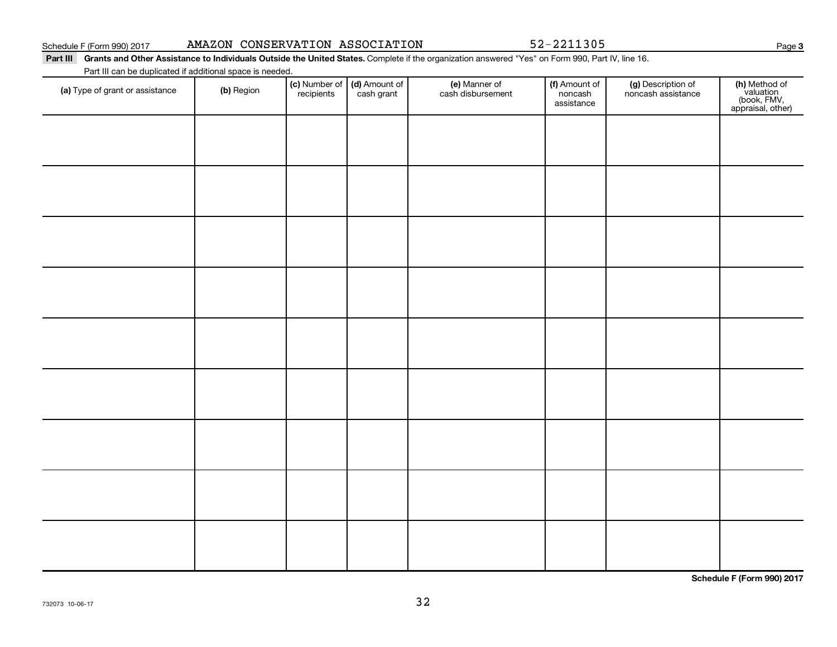Schedule F (Form 990) 2017

| AMAZON CONSERVATION ASSOCIATION |  |
|---------------------------------|--|
|---------------------------------|--|

52-2211305

┯

Part III Grants and Other Assistance to Individuals Outside the United States. Complete if the organization answered "Yes" on Form 990, Part IV, line 16.

Part III can be duplicated if additional space is needed.

| (a) Type of grant or assistance | (b) Region | <b>(c)</b> Number of <b>(d)</b> Amount of recipients cash grant | <b>(e)</b> Manner of<br>cash disbursement | (f) Amount of<br>noncash<br>assistance | (g) Description of<br>noncash assistance | (h) Method of<br>valuation<br>(book, FMV,<br>appraisal, other) |
|---------------------------------|------------|-----------------------------------------------------------------|-------------------------------------------|----------------------------------------|------------------------------------------|----------------------------------------------------------------|
|                                 |            |                                                                 |                                           |                                        |                                          |                                                                |
|                                 |            |                                                                 |                                           |                                        |                                          |                                                                |
|                                 |            |                                                                 |                                           |                                        |                                          |                                                                |
|                                 |            |                                                                 |                                           |                                        |                                          |                                                                |
|                                 |            |                                                                 |                                           |                                        |                                          |                                                                |
|                                 |            |                                                                 |                                           |                                        |                                          |                                                                |
|                                 |            |                                                                 |                                           |                                        |                                          |                                                                |
|                                 |            |                                                                 |                                           |                                        |                                          |                                                                |
|                                 |            |                                                                 |                                           |                                        |                                          |                                                                |

**Schedule F (Form 990) 2017**

**3**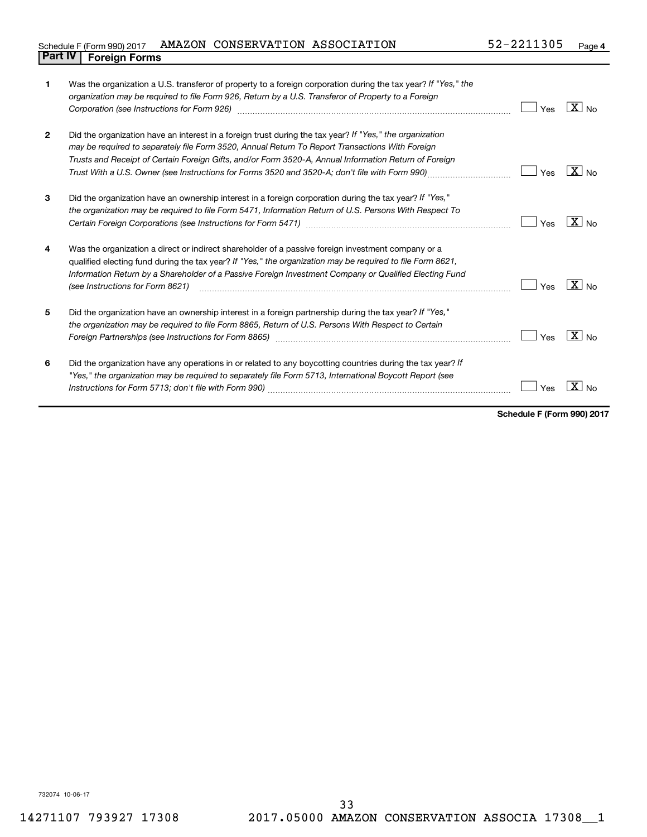## Schedule F (Form 990) 2017 AMAZON CONSERVATION ASSOCIATION 52-2211305 Page **Part IV F** (Form 990) 2017 1

| 1              | Was the organization a U.S. transferor of property to a foreign corporation during the tax year? If "Yes," the<br>organization may be required to file Form 926, Return by a U.S. Transferor of Property to a Foreign<br>Corporation (see Instructions for Form 926) [11] March 1999 [12] March 1999 [12] March 1999 [12] March 1999 [1                                                                                | Yes | $X _{N0}$  |
|----------------|------------------------------------------------------------------------------------------------------------------------------------------------------------------------------------------------------------------------------------------------------------------------------------------------------------------------------------------------------------------------------------------------------------------------|-----|------------|
| $\overline{2}$ | Did the organization have an interest in a foreign trust during the tax year? If "Yes," the organization<br>may be required to separately file Form 3520, Annual Return To Report Transactions With Foreign<br>Trusts and Receipt of Certain Foreign Gifts, and/or Form 3520-A, Annual Information Return of Foreign<br>Trust With a U.S. Owner (see Instructions for Forms 3520 and 3520-A; don't file with Form 990) | Yes | $X _{N_Q}$ |
| 3              | Did the organization have an ownership interest in a foreign corporation during the tax year? If "Yes,"<br>the organization may be required to file Form 5471, Information Return of U.S. Persons With Respect To                                                                                                                                                                                                      | Yes | $X _{N0}$  |
| 4              | Was the organization a direct or indirect shareholder of a passive foreign investment company or a<br>qualified electing fund during the tax year? If "Yes," the organization may be required to file Form 8621,<br>Information Return by a Shareholder of a Passive Foreign Investment Company or Qualified Electing Fund<br>(see Instructions for Form 8621)                                                         | Yes | $X _{NQ}$  |
| 5              | Did the organization have an ownership interest in a foreign partnership during the tax year? If "Yes,"<br>the organization may be required to file Form 8865, Return of U.S. Persons With Respect to Certain<br>Foreign Partnerships (see Instructions for Form 8865)                                                                                                                                                 | Yes | $X _{No}$  |
| 6              | Did the organization have any operations in or related to any boycotting countries during the tax year? If<br>"Yes," the organization may be required to separately file Form 5713, International Boycott Report (see                                                                                                                                                                                                  | Yes |            |

**Schedule F (Form 990) 2017**

732074 10-06-17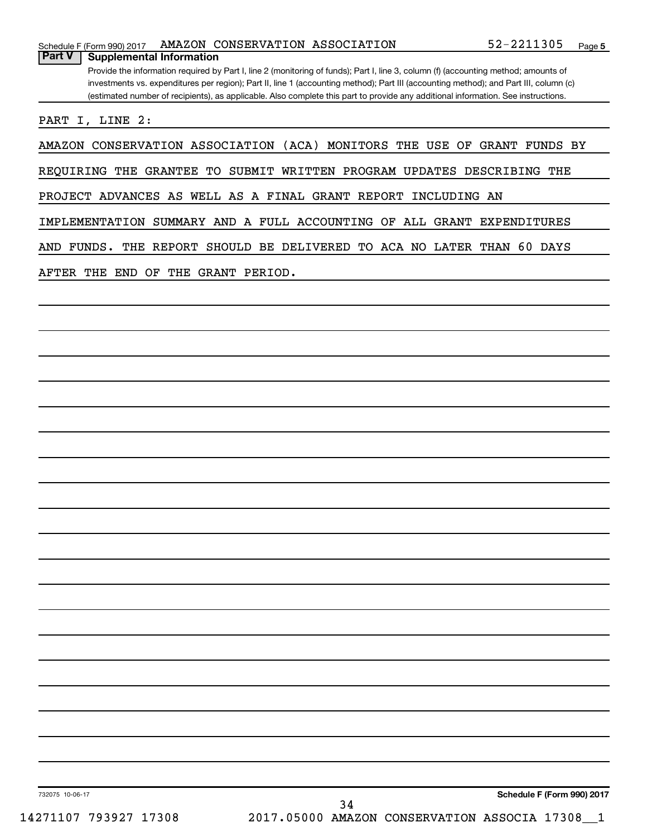|  |  |  | Schedule F (Form 990) 2017 AMAZON CONSERVATION ASSOCIATION |  | 52-2211305 | Page |  |
|--|--|--|------------------------------------------------------------|--|------------|------|--|
|--|--|--|------------------------------------------------------------|--|------------|------|--|

Provide the information required by Part I, line 2 (monitoring of funds); Part I, line 3, column (f) (accounting method; amounts of investments vs. expenditures per region); Part II, line 1 (accounting method); Part III (accounting method); and Part III, column (c) (estimated number of recipients), as applicable. Also complete this part to provide any additional information. See instructions. **Part V Supplemental Information**

PART I, LINE 2:

AMAZON CONSERVATION ASSOCIATION (ACA) MONITORS THE USE OF GRANT FUNDS BY

REQUIRING THE GRANTEE TO SUBMIT WRITTEN PROGRAM UPDATES DESCRIBING THE

PROJECT ADVANCES AS WELL AS A FINAL GRANT REPORT INCLUDING AN

IMPLEMENTATION SUMMARY AND A FULL ACCOUNTING OF ALL GRANT EXPENDITURES

AND FUNDS. THE REPORT SHOULD BE DELIVERED TO ACA NO LATER THAN 60 DAYS

AFTER THE END OF THE GRANT PERIOD.

732075 10-06-17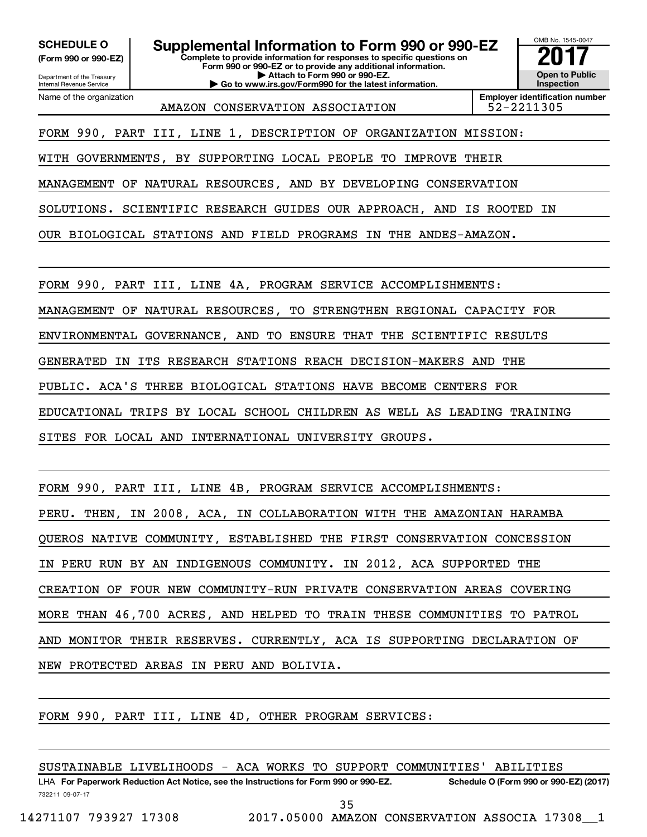**(Form 990 or 990-EZ)**

Department of the Treasury Internal Revenue Service

Name of the organization

**SCHEDULE O Supplemental Information to Form 990 or 990-EZ** <br>(Form 990 or 990-EZ) Complete to provide information for responses to specific questions on

**Complete to provide information for responses to specific questions on Form 990 or 990-EZ or to provide any additional information. | Attach to Form 990 or 990-EZ. | Go to www.irs.gov/Form990 for the latest information.**

**Inspection Employer identification number**

OMB No. 1545-0047

**Open to Public**

AMAZON CONSERVATION ASSOCIATION 52-2211305

FORM 990, PART III, LINE 1, DESCRIPTION OF ORGANIZATION MISSION:

WITH GOVERNMENTS, BY SUPPORTING LOCAL PEOPLE TO IMPROVE THEIR

MANAGEMENT OF NATURAL RESOURCES, AND BY DEVELOPING CONSERVATION

SOLUTIONS. SCIENTIFIC RESEARCH GUIDES OUR APPROACH, AND IS ROOTED IN

OUR BIOLOGICAL STATIONS AND FIELD PROGRAMS IN THE ANDES-AMAZON.

FORM 990, PART III, LINE 4A, PROGRAM SERVICE ACCOMPLISHMENTS:

MANAGEMENT OF NATURAL RESOURCES, TO STRENGTHEN REGIONAL CAPACITY FOR

ENVIRONMENTAL GOVERNANCE, AND TO ENSURE THAT THE SCIENTIFIC RESULTS

GENERATED IN ITS RESEARCH STATIONS REACH DECISION-MAKERS AND THE

PUBLIC. ACA'S THREE BIOLOGICAL STATIONS HAVE BECOME CENTERS FOR

EDUCATIONAL TRIPS BY LOCAL SCHOOL CHILDREN AS WELL AS LEADING TRAINING

SITES FOR LOCAL AND INTERNATIONAL UNIVERSITY GROUPS.

FORM 990, PART III, LINE 4B, PROGRAM SERVICE ACCOMPLISHMENTS: PERU. THEN, IN 2008, ACA, IN COLLABORATION WITH THE AMAZONIAN HARAMBA QUEROS NATIVE COMMUNITY, ESTABLISHED THE FIRST CONSERVATION CONCESSION IN PERU RUN BY AN INDIGENOUS COMMUNITY. IN 2012, ACA SUPPORTED THE CREATION OF FOUR NEW COMMUNITY-RUN PRIVATE CONSERVATION AREAS COVERING MORE THAN 46,700 ACRES, AND HELPED TO TRAIN THESE COMMUNITIES TO PATROL AND MONITOR THEIR RESERVES. CURRENTLY, ACA IS SUPPORTING DECLARATION OF NEW PROTECTED AREAS IN PERU AND BOLIVIA.

FORM 990, PART III, LINE 4D, OTHER PROGRAM SERVICES:

SUSTAINABLE LIVELIHOODS - ACA WORKS TO SUPPORT COMMUNITIES' ABILITIES

732211 09-07-17 LHA For Paperwork Reduction Act Notice, see the Instructions for Form 990 or 990-EZ. Schedule O (Form 990 or 990-EZ) (2017)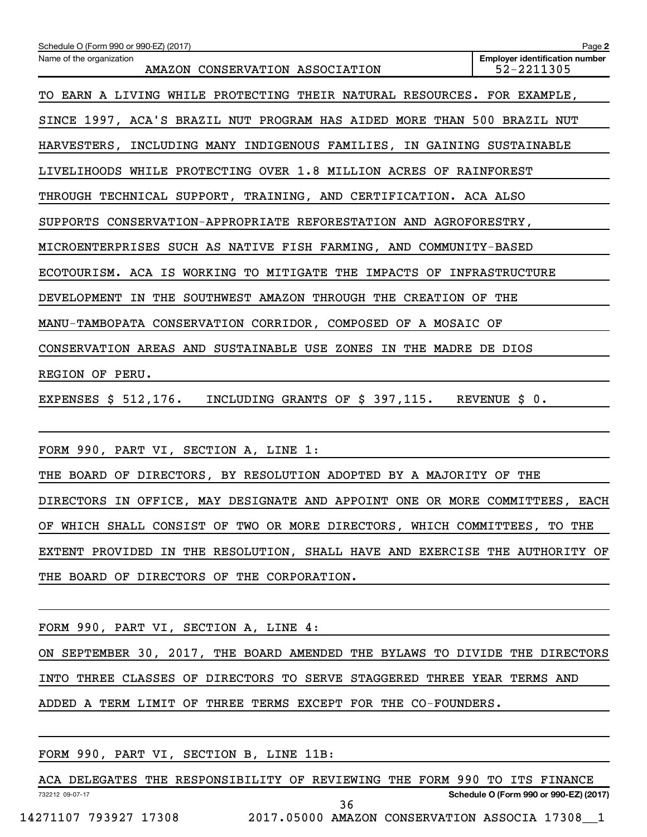| Schedule O (Form 990 or 990-EZ) (2017)                                      | Page 2                                              |
|-----------------------------------------------------------------------------|-----------------------------------------------------|
| Name of the organization<br>AMAZON CONSERVATION ASSOCIATION                 | <b>Employer identification number</b><br>52-2211305 |
| TO EARN A LIVING WHILE PROTECTING THEIR NATURAL RESOURCES. FOR EXAMPLE,     |                                                     |
| SINCE 1997, ACA'S BRAZIL NUT PROGRAM HAS AIDED MORE THAN 500 BRAZIL NUT     |                                                     |
| HARVESTERS, INCLUDING MANY INDIGENOUS FAMILIES, IN GAINING SUSTAINABLE      |                                                     |
| LIVELIHOODS WHILE PROTECTING OVER 1.8 MILLION ACRES OF RAINFOREST           |                                                     |
| THROUGH TECHNICAL SUPPORT, TRAINING, AND CERTIFICATION. ACA ALSO            |                                                     |
| SUPPORTS CONSERVATION-APPROPRIATE REFORESTATION AND AGROFORESTRY,           |                                                     |
| MICROENTERPRISES SUCH AS NATIVE FISH FARMING, AND COMMUNITY-BASED           |                                                     |
| ECOTOURISM. ACA IS WORKING TO MITIGATE THE IMPACTS OF INFRASTRUCTURE        |                                                     |
| DEVELOPMENT IN THE SOUTHWEST AMAZON THROUGH THE CREATION OF THE             |                                                     |
| MANU-TAMBOPATA CONSERVATION CORRIDOR, COMPOSED OF A MOSAIC OF               |                                                     |
| CONSERVATION AREAS AND SUSTAINABLE USE ZONES IN THE MADRE DE DIOS           |                                                     |
| REGION OF PERU.                                                             |                                                     |
| EXPENSES \$ 512,176. INCLUDING GRANTS OF \$ 397,115. REVENUE \$ 0.          |                                                     |
|                                                                             |                                                     |
| FORM 990, PART VI, SECTION A, LINE 1:                                       |                                                     |
| THE BOARD OF DIRECTORS, BY RESOLUTION ADOPTED BY A MAJORITY OF THE          |                                                     |
| DIRECTORS IN OFFICE, MAY DESIGNATE AND APPOINT ONE OR MORE COMMITTEES, EACH |                                                     |
| OF WHICH SHALL CONSIST OF TWO OR MORE DIRECTORS, WHICH COMMITTEES, TO THE   |                                                     |
| EXTENT PROVIDED IN THE RESOLUTION, SHALL HAVE AND EXERCISE THE AUTHORITY OF |                                                     |

THE BOARD OF DIRECTORS OF THE CORPORATION.

FORM 990, PART VI, SECTION A, LINE 4: ON SEPTEMBER 30, 2017, THE BOARD AMENDED THE BYLAWS TO DIVIDE THE DIRECTORS INTO THREE CLASSES OF DIRECTORS TO SERVE STAGGERED THREE YEAR TERMS AND ADDED A TERM LIMIT OF THREE TERMS EXCEPT FOR THE CO-FOUNDERS.

FORM 990, PART VI, SECTION B, LINE 11B:

732212 09-07-17 **Schedule O (Form 990 or 990-EZ) (2017)** ACA DELEGATES THE RESPONSIBILITY OF REVIEWING THE FORM 990 TO ITS FINANCE 36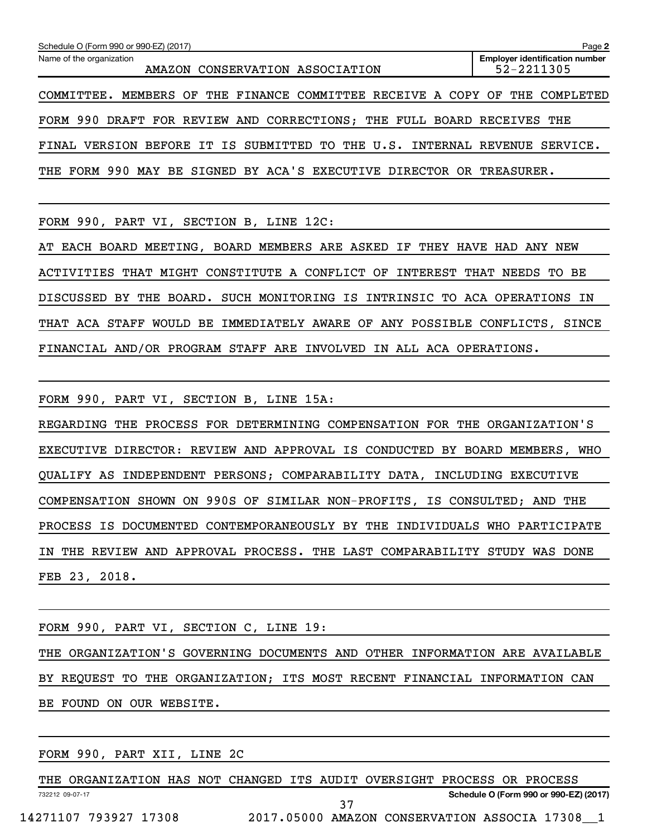| Schedule O (Form 990 or 990-EZ) (2017)                                      | Page 2                                              |
|-----------------------------------------------------------------------------|-----------------------------------------------------|
| Name of the organization<br>AMAZON CONSERVATION ASSOCIATION                 | <b>Employer identification number</b><br>52-2211305 |
| COMMITTEE. MEMBERS OF THE FINANCE COMMITTEE RECEIVE A COPY OF THE COMPLETED |                                                     |
| FORM 990 DRAFT FOR REVIEW AND CORRECTIONS; THE FULL BOARD RECEIVES THE      |                                                     |
| FINAL VERSION BEFORE IT IS SUBMITTED TO THE U.S. INTERNAL REVENUE SERVICE.  |                                                     |
| THE FORM 990 MAY BE SIGNED BY ACA'S EXECUTIVE DIRECTOR OR TREASURER.        |                                                     |

FORM 990, PART VI, SECTION B, LINE 12C:

AT EACH BOARD MEETING, BOARD MEMBERS ARE ASKED IF THEY HAVE HAD ANY NEW ACTIVITIES THAT MIGHT CONSTITUTE A CONFLICT OF INTEREST THAT NEEDS TO BE DISCUSSED BY THE BOARD. SUCH MONITORING IS INTRINSIC TO ACA OPERATIONS IN THAT ACA STAFF WOULD BE IMMEDIATELY AWARE OF ANY POSSIBLE CONFLICTS, SINCE FINANCIAL AND/OR PROGRAM STAFF ARE INVOLVED IN ALL ACA OPERATIONS.

FORM 990, PART VI, SECTION B, LINE 15A:

REGARDING THE PROCESS FOR DETERMINING COMPENSATION FOR THE ORGANIZATION'S EXECUTIVE DIRECTOR: REVIEW AND APPROVAL IS CONDUCTED BY BOARD MEMBERS, WHO QUALIFY AS INDEPENDENT PERSONS; COMPARABILITY DATA, INCLUDING EXECUTIVE COMPENSATION SHOWN ON 990S OF SIMILAR NON-PROFITS, IS CONSULTED; AND THE PROCESS IS DOCUMENTED CONTEMPORANEOUSLY BY THE INDIVIDUALS WHO PARTICIPATE IN THE REVIEW AND APPROVAL PROCESS. THE LAST COMPARABILITY STUDY WAS DONE FEB 23, 2018.

|  |  | FORM 990, PART VI, SECTION C, LINE 19: |  |  |  |                                                                            |  |  |
|--|--|----------------------------------------|--|--|--|----------------------------------------------------------------------------|--|--|
|  |  |                                        |  |  |  | THE ORGANIZATION'S GOVERNING DOCUMENTS AND OTHER INFORMATION ARE AVAILABLE |  |  |
|  |  |                                        |  |  |  | BY REOUEST TO THE ORGANIZATION; ITS MOST RECENT FINANCIAL INFORMATION CAN  |  |  |
|  |  | BE FOUND ON OUR WEBSITE.               |  |  |  |                                                                            |  |  |
|  |  |                                        |  |  |  |                                                                            |  |  |

FORM 990, PART XII, LINE 2C

732212 09-07-17 **Schedule O (Form 990 or 990-EZ) (2017)** THE ORGANIZATION HAS NOT CHANGED ITS AUDIT OVERSIGHT PROCESS OR PROCESS 14271107 793927 17308 2017.05000 AMAZON CONSERVATION ASSOCIA 17308\_\_1 37